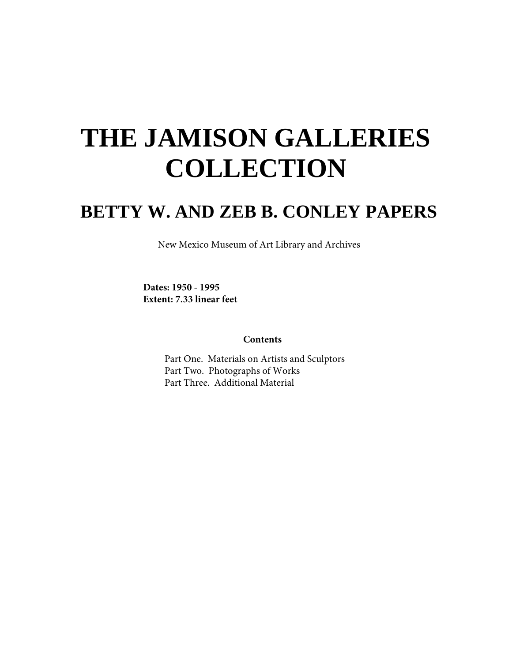# **THE JAMISON GALLERIES COLLECTION**

## **BETTY W. AND ZEB B. CONLEY PAPERS**

New Mexico Museum of Art Library and Archives

**Dates: 1950 - 1995 Extent: 7.33 linear feet**

#### **Contents**

Part One. Materials on Artists and Sculptors Part Two. Photographs of Works Part Three. Additional Material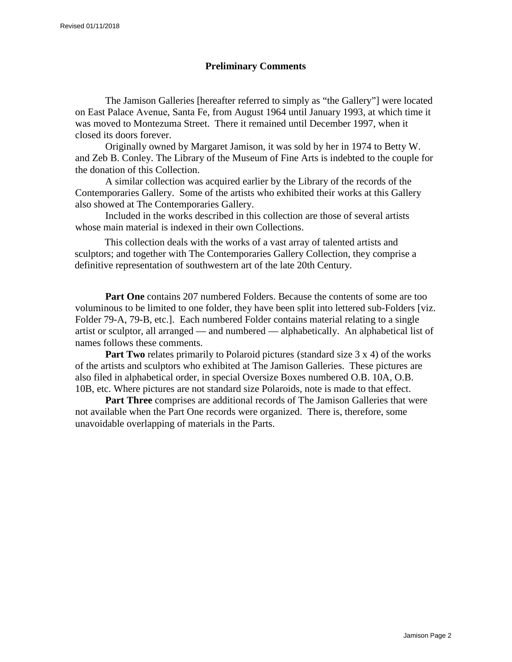#### **Preliminary Comments**

The Jamison Galleries [hereafter referred to simply as "the Gallery"] were located on East Palace Avenue, Santa Fe, from August 1964 until January 1993, at which time it was moved to Montezuma Street. There it remained until December 1997, when it closed its doors forever.

Originally owned by Margaret Jamison, it was sold by her in 1974 to Betty W. and Zeb B. Conley. The Library of the Museum of Fine Arts is indebted to the couple for the donation of this Collection.

A similar collection was acquired earlier by the Library of the records of the Contemporaries Gallery. Some of the artists who exhibited their works at this Gallery also showed at The Contemporaries Gallery.

Included in the works described in this collection are those of several artists whose main material is indexed in their own Collections.

This collection deals with the works of a vast array of talented artists and sculptors; and together with The Contemporaries Gallery Collection, they comprise a definitive representation of southwestern art of the late 20th Century.

**Part One** contains 207 numbered Folders. Because the contents of some are too voluminous to be limited to one folder, they have been split into lettered sub-Folders [viz. Folder 79-A, 79-B, etc.]. Each numbered Folder contains material relating to a single artist or sculptor, all arranged — and numbered — alphabetically. An alphabetical list of names follows these comments.

**Part Two** relates primarily to Polaroid pictures (standard size 3 x 4) of the works of the artists and sculptors who exhibited at The Jamison Galleries. These pictures are also filed in alphabetical order, in special Oversize Boxes numbered O.B. 10A, O.B. 10B, etc. Where pictures are not standard size Polaroids, note is made to that effect.

Part Three comprises are additional records of The Jamison Galleries that were not available when the Part One records were organized. There is, therefore, some unavoidable overlapping of materials in the Parts.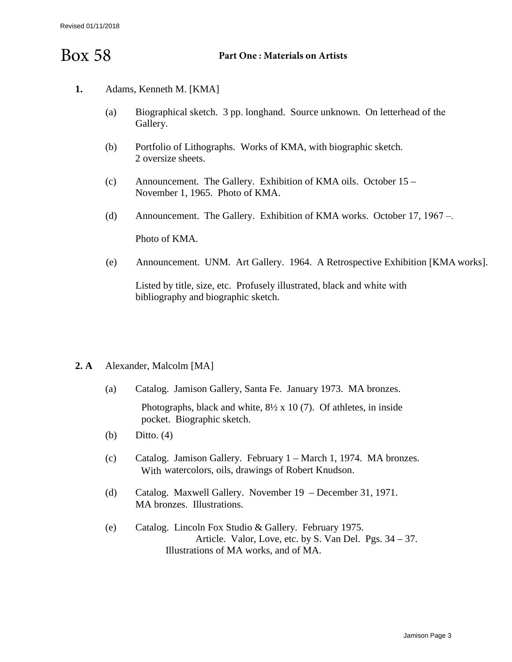- **1.** Adams, Kenneth M. [KMA]
	- (a) Biographical sketch. 3 pp. longhand. Source unknown. On letterhead of the Gallery.
	- (b) Portfolio of Lithographs. Works of KMA, with biographic sketch. 2 oversize sheets.
	- (c) Announcement. The Gallery. Exhibition of KMA oils. October 15 November 1, 1965. Photo of KMA.
	- (d) Announcement. The Gallery. Exhibition of KMA works. October 17, 1967 –.

Photo of KMA.

(e) Announcement. UNM. Art Gallery. 1964. A Retrospective Exhibition [KMA works].

Listed by title, size, etc. Profusely illustrated, black and white with bibliography and biographic sketch.

#### **2. A** Alexander, Malcolm [MA]

- (a) Catalog. Jamison Gallery, Santa Fe. January 1973. MA bronzes. Photographs, black and white,  $8\frac{1}{2} \times 10(7)$ . Of athletes, in inside pocket. Biographic sketch.
- $(b)$  Ditto.  $(4)$
- (c) Catalog. Jamison Gallery. February 1 March 1, 1974. MA bronzes. With watercolors, oils, drawings of Robert Knudson.
- (d) Catalog. Maxwell Gallery. November 19 December 31, 1971. MA bronzes. Illustrations.
- (e) Catalog. Lincoln Fox Studio & Gallery. February 1975. Article. Valor, Love, etc. by S. Van Del. Pgs. 34 – 37. Illustrations of MA works, and of MA.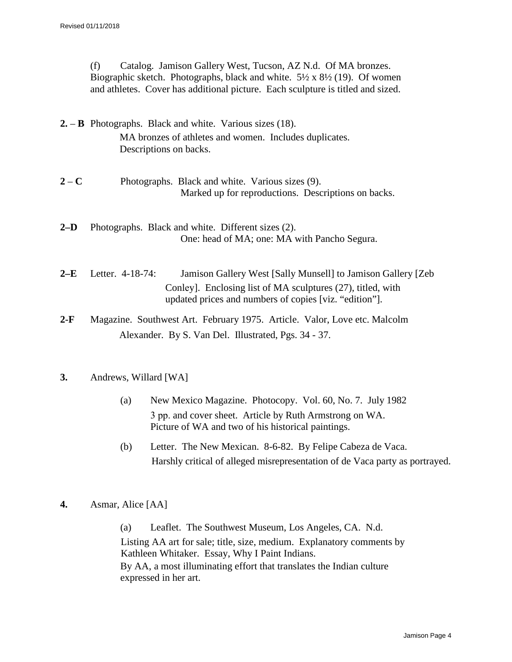| (f) |  |  |  | Catalog. Jamison Gallery West, Tucson, AZ N.d. Of MA bronzes. |                                                                                                    |
|-----|--|--|--|---------------------------------------------------------------|----------------------------------------------------------------------------------------------------|
|     |  |  |  |                                                               | Biographic sketch. Photographs, black and white. $5\frac{1}{2} \times 8\frac{1}{2}$ (19). Of women |
|     |  |  |  |                                                               | and athletes. Cover has additional picture. Each sculpture is titled and sized.                    |

- **2. B** Photographs. Black and white. Various sizes (18). MA bronzes of athletes and women. Includes duplicates. Descriptions on backs.
- **2 C** Photographs. Black and white. Various sizes (9). Marked up for reproductions. Descriptions on backs.
- **2–D** Photographs. Black and white. Different sizes (2). One: head of MA; one: MA with Pancho Segura.
- **2–E** Letter. 4-18-74: Jamison Gallery West [Sally Munsell] to Jamison Gallery [Zeb Conley]. Enclosing list of MA sculptures (27), titled, with updated prices and numbers of copies [viz. "edition"].
- **2-F** Magazine. Southwest Art. February 1975. Article. Valor, Love etc. Malcolm Alexander. By S. Van Del. Illustrated, Pgs. 34 - 37.

#### **3.** Andrews, Willard [WA]

- (a) New Mexico Magazine. Photocopy. Vol. 60, No. 7. July 1982 3 pp. and cover sheet. Article by Ruth Armstrong on WA. Picture of WA and two of his historical paintings.
- (b) Letter. The New Mexican. 8-6-82. By Felipe Cabeza de Vaca. Harshly critical of alleged misrepresentation of de Vaca party as portrayed.
- **4.** Asmar, Alice [AA]

(a) Leaflet. The Southwest Museum, Los Angeles, CA. N.d. Listing AA art for sale; title, size, medium. Explanatory comments by Kathleen Whitaker. Essay, Why I Paint Indians. By AA, a most illuminating effort that translates the Indian culture expressed in her art.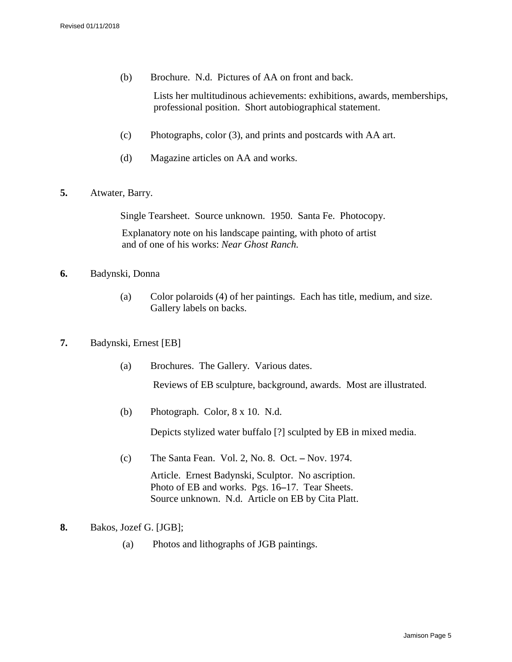(b) Brochure. N.d. Pictures of AA on front and back.

Lists her multitudinous achievements: exhibitions, awards, memberships, professional position. Short autobiographical statement.

- (c) Photographs, color (3), and prints and postcards with AA art.
- (d) Magazine articles on AA and works.
- **5.** Atwater, Barry.

Single Tearsheet. Source unknown. 1950. Santa Fe. Photocopy.

Explanatory note on his landscape painting, with photo of artist and of one of his works: *Near Ghost Ranch.*

- **6.** Badynski, Donna
	- (a) Color polaroids (4) of her paintings. Each has title, medium, and size. Gallery labels on backs.

#### **7.** Badynski, Ernest [EB]

(a) Brochures. The Gallery. Various dates.

Reviews of EB sculpture, background, awards. Most are illustrated.

(b) Photograph. Color, 8 x 10. N.d.

Depicts stylized water buffalo [?] sculpted by EB in mixed media.

(c) The Santa Fean. Vol. 2, No. 8. Oct. **–** Nov. 1974.

Article. Ernest Badynski, Sculptor. No ascription. Photo of EB and works. Pgs. 16**–**17. Tear Sheets. Source unknown. N.d. Article on EB by Cita Platt.

- **8.** Bakos, Jozef G. [JGB];
	- (a) Photos and lithographs of JGB paintings.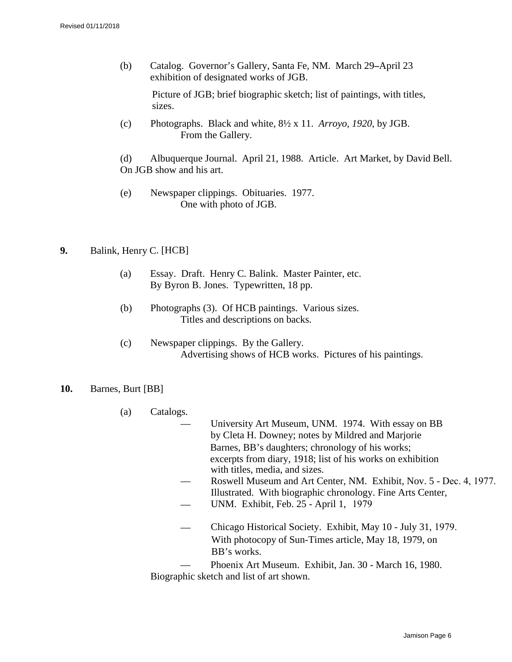(b) Catalog. Governor's Gallery, Santa Fe, NM. March 29**–**April 23 exhibition of designated works of JGB.

> Picture of JGB; brief biographic sketch; list of paintings, with titles, sizes.

(c) Photographs. Black and white, 8½ x 11. *Arroyo, 1920,* by JGB. From the Gallery.

(d) Albuquerque Journal. April 21, 1988. Article. Art Market, by David Bell. On JGB show and his art.

(e) Newspaper clippings. Obituaries. 1977. One with photo of JGB.

#### **9.** Balink, Henry C. [HCB]

- (a) Essay. Draft. Henry C. Balink. Master Painter, etc. By Byron B. Jones. Typewritten, 18 pp.
- (b) Photographs (3). Of HCB paintings. Various sizes. Titles and descriptions on backs.
- (c) Newspaper clippings. By the Gallery. Advertising shows of HCB works. Pictures of his paintings.

#### **10.** Barnes, Burt [BB]

- (a) Catalogs.
	- University Art Museum, UNM. 1974. With essay on BB by Cleta H. Downey; notes by Mildred and Marjorie Barnes, BB's daughters; chronology of his works; excerpts from diary, 1918; list of his works on exhibition with titles, media, and sizes.
		- Roswell Museum and Art Center, NM. Exhibit, Nov. 5 Dec. 4, 1977. Illustrated. With biographic chronology. Fine Arts Center,
		- UNM. Exhibit, Feb. 25 - April 1, 1979
		- Chicago Historical Society. Exhibit, May 10 July 31, 1979. With photocopy of Sun-Times article, May 18, 1979, on BB's works.

— Phoenix Art Museum. Exhibit, Jan. 30 - March 16, 1980. Biographic sketch and list of art shown.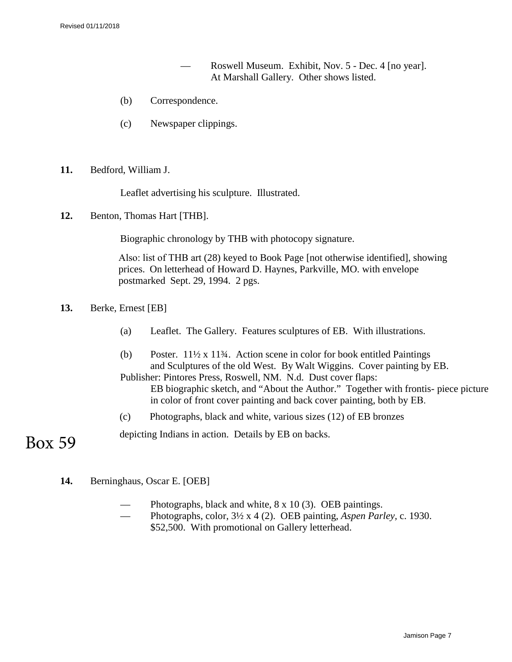— Roswell Museum. Exhibit, Nov. 5 - Dec. 4 [no year]. At Marshall Gallery. Other shows listed.

- (b) Correspondence.
- (c) Newspaper clippings.
- **11.** Bedford, William J.

Leaflet advertising his sculpture. Illustrated.

**12.** Benton, Thomas Hart [THB].

Biographic chronology by THB with photocopy signature.

Also: list of THB art (28) keyed to Book Page [not otherwise identified], showing prices. On letterhead of Howard D. Haynes, Parkville, MO. with envelope postmarked Sept. 29, 1994. 2 pgs.

- **13.** Berke, Ernest [EB]
	- (a) Leaflet. The Gallery. Features sculptures of EB. With illustrations.
	- (b) Poster.  $11\frac{1}{2} \times 11\frac{3}{4}$ . Action scene in color for book entitled Paintings and Sculptures of the old West. By Walt Wiggins. Cover painting by EB. Publisher: Pintores Press, Roswell, NM. N.d. Dust cover flaps:

EB biographic sketch, and "About the Author." Together with frontis- piece picture in color of front cover painting and back cover painting, both by EB.

(c) Photographs, black and white, various sizes (12) of EB bronzes

depicting Indians in action. Details by EB on backs.

- Box 59
	- **14.** Berninghaus, Oscar E. [OEB]
		- Photographs, black and white, 8 x 10 (3). OEB paintings.
		- Photographs, color, 3½ x 4 (2). OEB painting, *Aspen Parley,* c. 1930. \$52,500. With promotional on Gallery letterhead.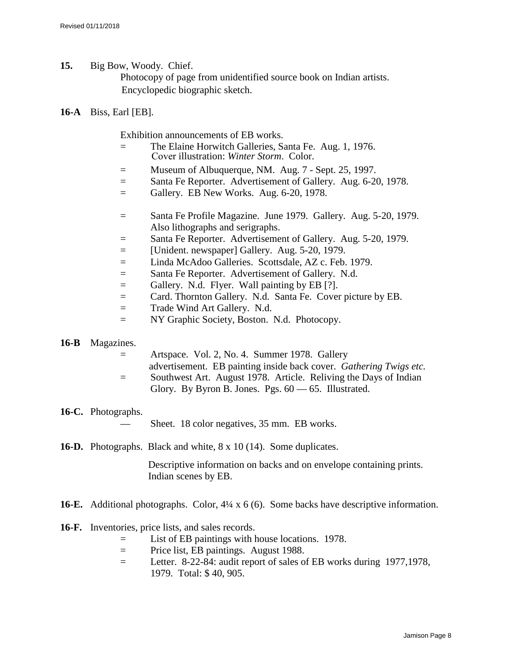#### **15.** Big Bow, Woody. Chief.

Photocopy of page from unidentified source book on Indian artists. Encyclopedic biographic sketch.

**16-A** Biss, Earl [EB].

Exhibition announcements of EB works.

- = The Elaine Horwitch Galleries, Santa Fe. Aug. 1, 1976. Cover illustration: *Winter Storm*. Color.
- = Museum of Albuquerque, NM. Aug. 7 Sept. 25, 1997.
- = Santa Fe Reporter. Advertisement of Gallery. Aug. 6-20, 1978.
- = Gallery. EB New Works. Aug. 6-20, 1978.
- = Santa Fe Profile Magazine. June 1979. Gallery. Aug. 5-20, 1979. Also lithographs and serigraphs.
- = Santa Fe Reporter. Advertisement of Gallery. Aug. 5-20, 1979.
- = [Unident. newspaper] Gallery. Aug. 5-20, 1979.
- = Linda McAdoo Galleries. Scottsdale, AZ c. Feb. 1979.
- = Santa Fe Reporter. Advertisement of Gallery. N.d.
- = Gallery. N.d. Flyer. Wall painting by EB [?].
- = Card. Thornton Gallery. N.d. Santa Fe. Cover picture by EB.
- = Trade Wind Art Gallery. N.d.
- = NY Graphic Society, Boston. N.d. Photocopy.

#### **16-B** Magazines.

- = Artspace. Vol. 2, No. 4. Summer 1978. Gallery advertisement. EB painting inside back cover. *Gathering Twigs etc.*
- = Southwest Art. August 1978. Article. Reliving the Days of Indian Glory. By Byron B. Jones. Pgs.  $60 - 65$ . Illustrated.

#### **16-C.** Photographs.

Sheet. 18 color negatives, 35 mm. EB works.

**16-D.** Photographs. Black and white, 8 x 10 (14). Some duplicates.

Descriptive information on backs and on envelope containing prints. Indian scenes by EB.

#### **16-E.** Additional photographs. Color, 4¼ x 6 (6). Some backs have descriptive information.

- **16-F.** Inventories, price lists, and sales records.
	- = List of EB paintings with house locations. 1978.
	- = Price list, EB paintings. August 1988.
	- = Letter. 8-22-84: audit report of sales of EB works during 1977,1978, 1979. Total: \$ 40, 905.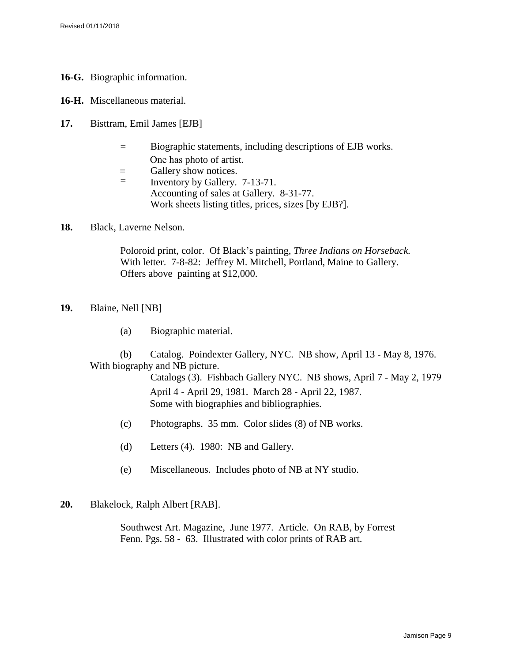- **16-G.** Biographic information.
- **16-H.** Miscellaneous material.
- **17.** Bisttram, Emil James [EJB]
	- = Biographic statements, including descriptions of EJB works. One has photo of artist.
	- = Gallery show notices.
	- = Inventory by Gallery. 7-13-71. Accounting of sales at Gallery. 8-31-77. Work sheets listing titles, prices, sizes [by EJB?].
- **18.** Black, Laverne Nelson.

Poloroid print, color. Of Black's painting, *Three Indians on Horseback.* With letter. 7-8-82: Jeffrey M. Mitchell, Portland, Maine to Gallery. Offers above painting at \$12,000.

- **19.** Blaine, Nell [NB]
	- (a) Biographic material.

(b) Catalog. Poindexter Gallery, NYC. NB show, April 13 - May 8, 1976. With biography and NB picture.

Catalogs (3). Fishbach Gallery NYC. NB shows, April 7 - May 2, 1979 April 4 - April 29, 1981. March 28 - April 22, 1987. Some with biographies and bibliographies.

- (c) Photographs. 35 mm. Color slides (8) of NB works.
- (d) Letters (4). 1980: NB and Gallery.
- (e) Miscellaneous. Includes photo of NB at NY studio.
- **20.** Blakelock, Ralph Albert [RAB].

Southwest Art. Magazine, June 1977. Article. On RAB, by Forrest Fenn. Pgs. 58 - 63. Illustrated with color prints of RAB art.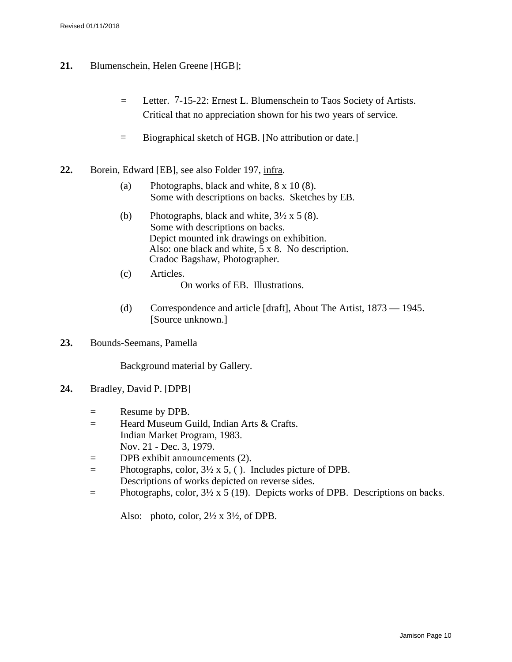- **21.** Blumenschein, Helen Greene [HGB];
	- = Letter. 7-15-22: Ernest L. Blumenschein to Taos Society of Artists. Critical that no appreciation shown for his two years of service.
	- $=$ Biographical sketch of HGB. [No attribution or date.]
- **22.** Borein, Edward [EB], see also Folder 197, infra.
	- (a) Photographs, black and white, 8 x 10 (8). Some with descriptions on backs. Sketches by EB.
	- (b) Photographs, black and white,  $3\frac{1}{2} \times 5$  (8). Some with descriptions on backs. Depict mounted ink drawings on exhibition. Also: one black and white,  $\overline{5} \times 8$ . No description. Cradoc Bagshaw, Photographer.
	- (c) Articles. On works of EB. Illustrations.
	- (d) Correspondence and article [draft], About The Artist, 1873 1945. [Source unknown.]
- **23.** Bounds-Seemans, Pamella

Background material by Gallery.

- **24.** Bradley, David P. [DPB]
	- = Resume by DPB.
	- = Heard Museum Guild, Indian Arts & Crafts. Indian Market Program, 1983. Nov. 21 - Dec. 3, 1979.
	- = DPB exhibit announcements (2).
	- = Photographs, color, 3½ x 5, ( ). Includes picture of DPB. Descriptions of works depicted on reverse sides.
	- $=$  Photographs, color,  $3\frac{1}{2} \times 5$  (19). Depicts works of DPB. Descriptions on backs.

Also: photo, color,  $2\frac{1}{2} \times 3\frac{1}{2}$ , of DPB.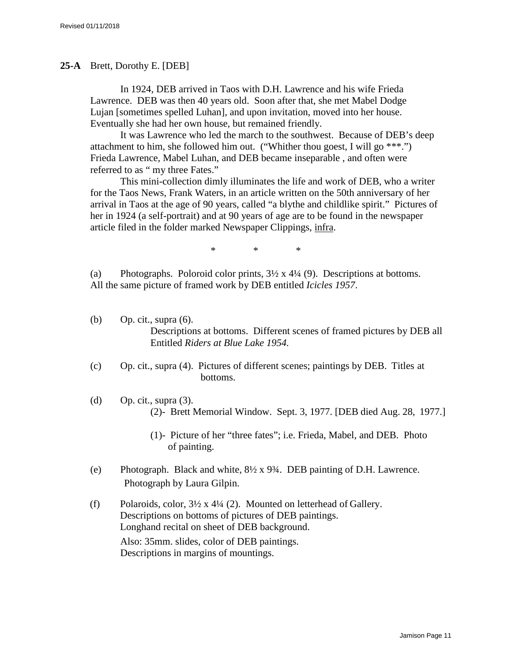#### **25-A** Brett, Dorothy E. [DEB]

In 1924, DEB arrived in Taos with D.H. Lawrence and his wife Frieda Lawrence. DEB was then 40 years old. Soon after that, she met Mabel Dodge Lujan [sometimes spelled Luhan], and upon invitation, moved into her house. Eventually she had her own house, but remained friendly.

It was Lawrence who led the march to the southwest. Because of DEB's deep attachment to him, she followed him out. ("Whither thou goest, I will go \*\*\*.") Frieda Lawrence, Mabel Luhan, and DEB became inseparable , and often were referred to as " my three Fates."

This mini-collection dimly illuminates the life and work of DEB, who a writer for the Taos News, Frank Waters, in an article written on the 50th anniversary of her arrival in Taos at the age of 90 years, called "a blythe and childlike spirit." Pictures of her in 1924 (a self-portrait) and at 90 years of age are to be found in the newspaper article filed in the folder marked Newspaper Clippings, infra.

\* \* \*

(a) Photographs. Poloroid color prints, 3½ x 4¼ (9). Descriptions at bottoms. All the same picture of framed work by DEB entitled *Icicles 1957*.

- (b) Op. cit., supra (6). Descriptions at bottoms. Different scenes of framed pictures by DEB all Entitled *Riders at Blue Lake 1954.*
- (c) Op. cit., supra (4). Pictures of different scenes; paintings by DEB. Titles at bottoms.
- (d) Op. cit., supra (3). (2)- Brett Memorial Window. Sept. 3, 1977. [DEB died Aug. 28, 1977.]
	- (1)- Picture of her "three fates"; i.e. Frieda, Mabel, and DEB. Photo of painting.
- (e) Photograph. Black and white,  $8\frac{1}{2} \times 9\frac{3}{4}$ . DEB painting of D.H. Lawrence. Photograph by Laura Gilpin.
- (f) Polaroids, color,  $3\frac{1}{2} \times 4\frac{1}{4}$  (2). Mounted on letterhead of Gallery. Descriptions on bottoms of pictures of DEB paintings. Longhand recital on sheet of DEB background.

Also: 35mm. slides, color of DEB paintings. Descriptions in margins of mountings.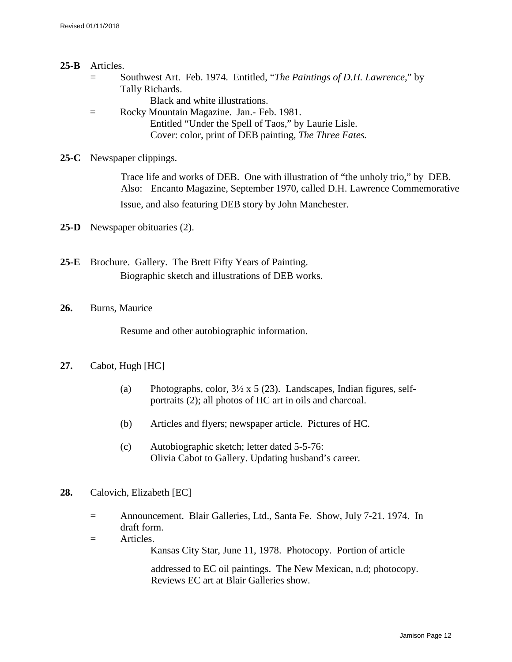- **25-B** Articles.
	- = Southwest Art. Feb. 1974. Entitled, "*The Paintings of D.H. Lawrence,*" by Tally Richards.
		- Black and white illustrations.
	- = Rocky Mountain Magazine. Jan.- Feb. 1981. Entitled "Under the Spell of Taos," by Laurie Lisle. Cover: color, print of DEB painting, *The Three Fates.*
- **25-C** Newspaper clippings.

Trace life and works of DEB. One with illustration of "the unholy trio," by DEB. Also: Encanto Magazine, September 1970, called D.H. Lawrence Commemorative

Issue, and also featuring DEB story by John Manchester.

- **25-D** Newspaper obituaries (2).
- **25-E** Brochure. Gallery. The Brett Fifty Years of Painting. Biographic sketch and illustrations of DEB works.
- **26.** Burns, Maurice

Resume and other autobiographic information.

- **27.** Cabot, Hugh [HC]
	- (a) Photographs, color, 3½ x 5 (23). Landscapes, Indian figures, selfportraits (2); all photos of HC art in oils and charcoal.
	- (b) Articles and flyers; newspaper article. Pictures of HC.
	- (c) Autobiographic sketch; letter dated 5-5-76: Olivia Cabot to Gallery. Updating husband's career.
- **28.** Calovich, Elizabeth [EC]
	- = Announcement. Blair Galleries, Ltd., Santa Fe. Show, July 7-21. 1974. In draft form.
	- = Articles. Kansas City Star, June 11, 1978. Photocopy. Portion of article

addressed to EC oil paintings. The New Mexican, n.d; photocopy. Reviews EC art at Blair Galleries show.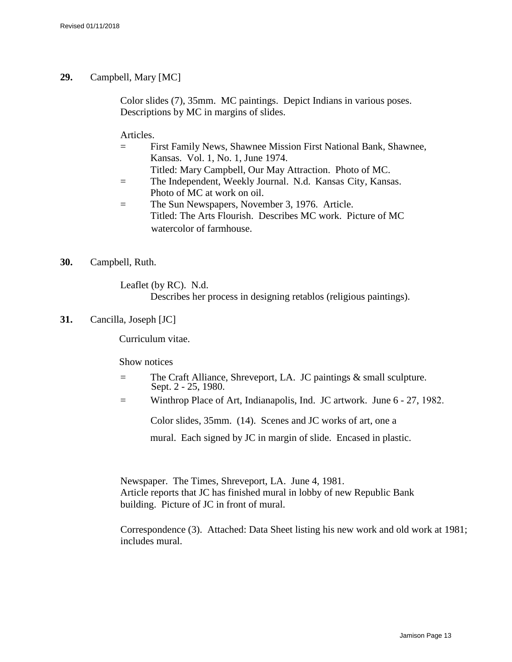#### **29.** Campbell, Mary [MC]

Color slides (7), 35mm. MC paintings. Depict Indians in various poses. Descriptions by MC in margins of slides.

Articles.

- = First Family News, Shawnee Mission First National Bank, Shawnee, Kansas. Vol. 1, No. 1, June 1974. Titled: Mary Campbell, Our May Attraction. Photo of MC.
- = The Independent, Weekly Journal. N.d. Kansas City, Kansas. Photo of MC at work on oil.
- = The Sun Newspapers, November 3, 1976. Article. Titled: The Arts Flourish. Describes MC work. Picture of MC watercolor of farmhouse.

#### **30.** Campbell, Ruth.

Leaflet (by RC). N.d. Describes her process in designing retablos (religious paintings).

**31.** Cancilla, Joseph [JC]

Curriculum vitae.

Show notices

- = The Craft Alliance, Shreveport, LA. JC paintings & small sculpture. Sept. 2 - 25, 1980.
- = Winthrop Place of Art, Indianapolis, Ind. JC artwork. June 6 27, 1982.

Color slides, 35mm. (14). Scenes and JC works of art, one a

mural. Each signed by JC in margin of slide. Encased in plastic.

Newspaper. The Times, Shreveport, LA. June 4, 1981. Article reports that JC has finished mural in lobby of new Republic Bank building. Picture of JC in front of mural.

Correspondence (3). Attached: Data Sheet listing his new work and old work at 1981; includes mural.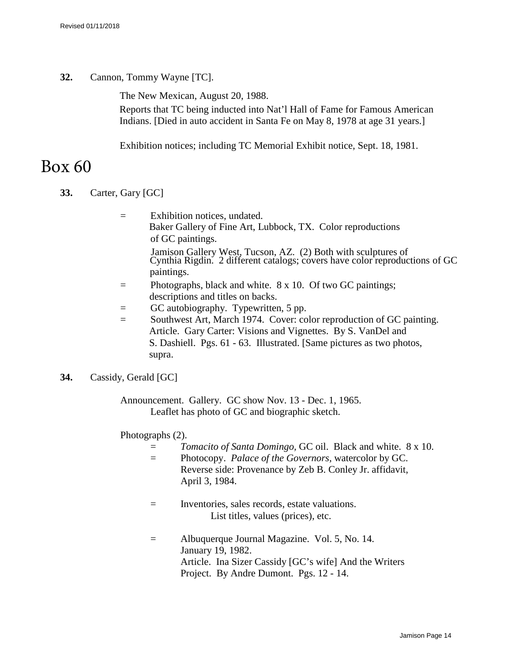**32.** Cannon, Tommy Wayne [TC].

The New Mexican, August 20, 1988.

Reports that TC being inducted into Nat'l Hall of Fame for Famous American Indians. [Died in auto accident in Santa Fe on May 8, 1978 at age 31 years.]

Exhibition notices; including TC Memorial Exhibit notice, Sept. 18, 1981.

### Box 60

- **33.** Carter, Gary [GC]
	- = Exhibition notices, undated. Baker Gallery of Fine Art, Lubbock, TX. Color reproductions of GC paintings. Jamison Gallery West, Tucson, AZ. (2) Both with sculptures of Cynthia Rigdin. 2 different catalogs; covers have color reproductions of GC paintings.
	- $=$ Photographs, black and white. 8 x 10. Of two GC paintings; descriptions and titles on backs.
	- = GC autobiography. Typewritten, 5 pp.
	- = Southwest Art, March 1974. Cover: color reproduction of GC painting. Article. Gary Carter: Visions and Vignettes. By S. VanDel and S. Dashiell. Pgs. 61 - 63. Illustrated. [Same pictures as two photos, supra.
- **34.** Cassidy, Gerald [GC]

Announcement. Gallery. GC show Nov. 13 - Dec. 1, 1965. Leaflet has photo of GC and biographic sketch.

Photographs (2).

- = *Tomacito of Santa Domingo,* GC oil. Black and white. 8 x 10.
- = Photocopy. *Palace of the Governors,* watercolor by GC. Reverse side: Provenance by Zeb B. Conley Jr. affidavit, April 3, 1984.
- = Inventories, sales records, estate valuations. List titles, values (prices), etc.
- = Albuquerque Journal Magazine. Vol. 5, No. 14. January 19, 1982. Article. Ina Sizer Cassidy [GC's wife] And the Writers Project. By Andre Dumont. Pgs. 12 - 14.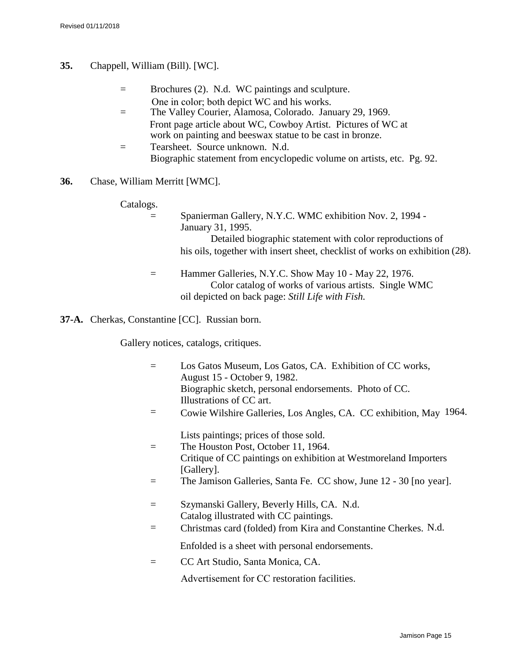#### **35.** Chappell, William (Bill). [WC].

- = Brochures (2). N.d. WC paintings and sculpture. One in color; both depict WC and his works.
- = The Valley Courier, Alamosa, Colorado. January 29, 1969. Front page article about WC, Cowboy Artist. Pictures of WC at work on painting and beeswax statue to be cast in bronze.
- = Tearsheet. Source unknown. N.d. Biographic statement from encyclopedic volume on artists, etc. Pg. 92.
- **36.** Chase, William Merritt [WMC].

Catalogs.

- = Spanierman Gallery, N.Y.C. WMC exhibition Nov. 2, 1994 January 31, 1995. Detailed biographic statement with color reproductions of his oils, together with insert sheet, checklist of works on exhibition (28).
- = Hammer Galleries, N.Y.C. Show May 10 May 22, 1976. Color catalog of works of various artists. Single WMC oil depicted on back page: *Still Life with Fish.*

#### **37-A.** Cherkas, Constantine [CC]. Russian born.

Gallery notices, catalogs, critiques.

- = Los Gatos Museum, Los Gatos, CA. Exhibition of CC works, August 15 - October 9, 1982. Biographic sketch, personal endorsements. Photo of CC. Illustrations of CC art.
- = Cowie Wilshire Galleries, Los Angles, CA. CC exhibition, May 1964.

Lists paintings; prices of those sold.

- = The Houston Post, October 11, 1964. Critique of CC paintings on exhibition at Westmoreland Importers [Gallery].
- = The Jamison Galleries, Santa Fe. CC show, June 12 - 30 [no year].
- = Szymanski Gallery, Beverly Hills, CA. N.d. Catalog illustrated with CC paintings.
- = Christmas card (folded) from Kira and Constantine Cherkes. N.d.

Enfolded is a sheet with personal endorsements.

= CC Art Studio, Santa Monica, CA.

Advertisement for CC restoration facilities.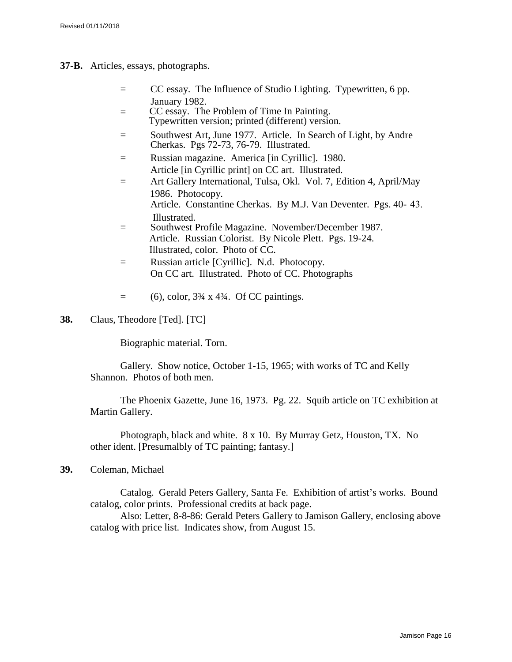- **37-B.** Articles, essays, photographs.
	- = CC essay. The Influence of Studio Lighting. Typewritten, 6 pp. January 1982.
	- = CC essay. The Problem of Time In Painting. Typewritten version; printed (different) version.
	- = Southwest Art, June 1977. Article. In Search of Light, by Andre Cherkas. Pgs 72-73, 76-79. Illustrated.
	- = Russian magazine. America [in Cyrillic]. 1980. Article [in Cyrillic print] on CC art. Illustrated.
	- = Art Gallery International, Tulsa, Okl. Vol. 7, Edition 4, April/May 1986. Photocopy. Article. Constantine Cherkas. By M.J. Van Deventer. Pgs. 40- 43. Illustrated.
	- = Southwest Profile Magazine. November/December 1987. Article. Russian Colorist. By Nicole Plett. Pgs. 19-24. Illustrated, color. Photo of CC.
	- = Russian article [Cyrillic]. N.d. Photocopy. On CC art. Illustrated. Photo of CC. Photographs
	- = (6), color, 3¾ x 4¾. Of CC paintings.
- **38.** Claus, Theodore [Ted]. [TC]

Biographic material. Torn.

Gallery. Show notice, October 1-15, 1965; with works of TC and Kelly Shannon. Photos of both men.

The Phoenix Gazette, June 16, 1973. Pg. 22. Squib article on TC exhibition at Martin Gallery.

Photograph, black and white. 8 x 10. By Murray Getz, Houston, TX. No other ident. [Presumalbly of TC painting; fantasy.]

**39.** Coleman, Michael

Catalog. Gerald Peters Gallery, Santa Fe. Exhibition of artist's works. Bound catalog, color prints. Professional credits at back page.

Also: Letter, 8-8-86: Gerald Peters Gallery to Jamison Gallery, enclosing above catalog with price list. Indicates show, from August 15.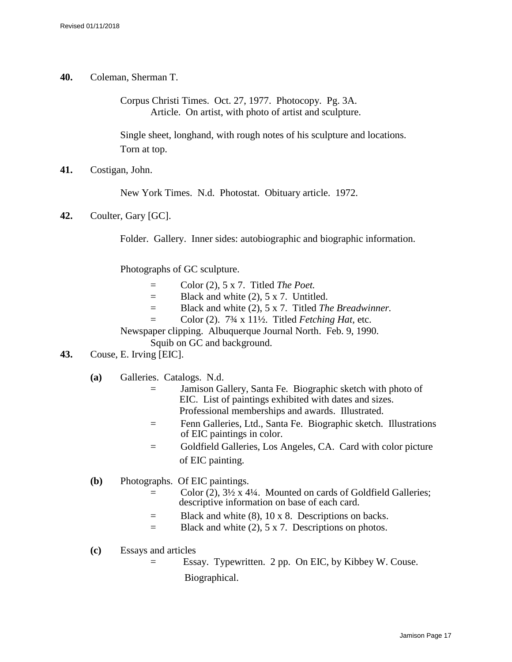**40.** Coleman, Sherman T.

Corpus Christi Times. Oct. 27, 1977. Photocopy. Pg. 3A. Article. On artist, with photo of artist and sculpture.

Single sheet, longhand, with rough notes of his sculpture and locations. Torn at top.

**41.** Costigan, John.

New York Times. N.d. Photostat. Obituary article. 1972.

**42.** Coulter, Gary [GC].

Folder. Gallery. Inner sides: autobiographic and biographic information.

Photographs of GC sculpture.

- = Color (2), 5 x 7. Titled *The Poet.*
- $=$  Black and white (2), 5 x 7. Untitled.
- = Black and white (2), 5 x 7. Titled *The Breadwinner.*
- = Color (2). 7¾ x 11½. Titled *Fetching Hat,* etc.

Newspaper clipping. Albuquerque Journal North. Feb. 9, 1990.

Squib on GC and background.

### **43.** Couse, E. Irving [EIC].

- **(a)** Galleries. Catalogs. N.d.
	- = Jamison Gallery, Santa Fe. Biographic sketch with photo of EIC. List of paintings exhibited with dates and sizes. Professional memberships and awards. Illustrated.
	- = Fenn Galleries, Ltd., Santa Fe. Biographic sketch. Illustrations of EIC paintings in color.
	- = Goldfield Galleries, Los Angeles, CA. Card with color picture of EIC painting.

#### **(b)** Photographs. Of EIC paintings.

- $=$  Color (2),  $3\frac{1}{2} \times 4\frac{1}{4}$ . Mounted on cards of Goldfield Galleries; descriptive information on base of each card.
- $=$  Black and white (8), 10 x 8. Descriptions on backs.
- = Black and white (2), 5 x 7. Descriptions on photos.

**(c)** Essays and articles

= Essay. Typewritten. 2 pp. On EIC, by Kibbey W. Couse. Biographical.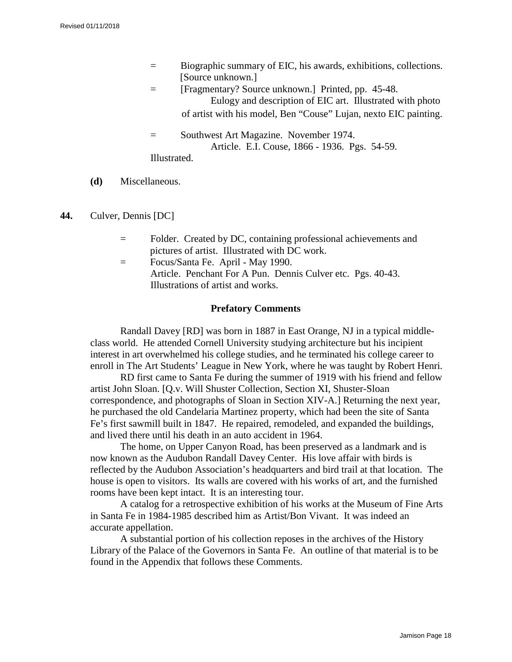- = Biographic summary of EIC, his awards, exhibitions, collections. [Source unknown.]
- = [Fragmentary? Source unknown.] Printed, pp. 45-48. Eulogy and description of EIC art. Illustrated with photo of artist with his model, Ben "Couse" Lujan, nexto EIC painting.
- = Southwest Art Magazine. November 1974. Article. E.I. Couse, 1866 - 1936. Pgs. 54-59.

Illustrated.

- **(d)** Miscellaneous.
- **44.** Culver, Dennis [DC]
	- = Folder. Created by DC, containing professional achievements and pictures of artist. Illustrated with DC work.
	- = Focus/Santa Fe. April - May 1990. Article. Penchant For A Pun. Dennis Culver etc. Pgs. 40-43. Illustrations of artist and works.

#### **Prefatory Comments**

Randall Davey [RD] was born in 1887 in East Orange, NJ in a typical middleclass world. He attended Cornell University studying architecture but his incipient interest in art overwhelmed his college studies, and he terminated his college career to enroll in The Art Students' League in New York, where he was taught by Robert Henri.

RD first came to Santa Fe during the summer of 1919 with his friend and fellow artist John Sloan. [Q.v. Will Shuster Collection, Section XI, Shuster-Sloan correspondence, and photographs of Sloan in Section XIV-A.] Returning the next year, he purchased the old Candelaria Martinez property, which had been the site of Santa Fe's first sawmill built in 1847. He repaired, remodeled, and expanded the buildings, and lived there until his death in an auto accident in 1964.

The home, on Upper Canyon Road, has been preserved as a landmark and is now known as the Audubon Randall Davey Center. His love affair with birds is reflected by the Audubon Association's headquarters and bird trail at that location. The house is open to visitors. Its walls are covered with his works of art, and the furnished rooms have been kept intact. It is an interesting tour.

A catalog for a retrospective exhibition of his works at the Museum of Fine Arts in Santa Fe in 1984-1985 described him as Artist/Bon Vivant. It was indeed an accurate appellation.

A substantial portion of his collection reposes in the archives of the History Library of the Palace of the Governors in Santa Fe. An outline of that material is to be found in the Appendix that follows these Comments.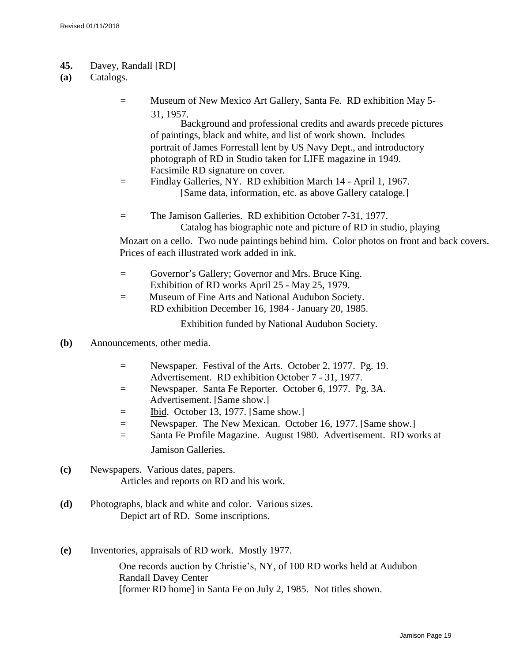#### **45.** Davey, Randall [RD]

- **(a)** Catalogs.
	- = Museum of New Mexico Art Gallery, Santa Fe. RD exhibition May 5- 31, 1957.

Background and professional credits and awards precede pictures of paintings, black and white, and list of work shown. Includes portrait of James Forrestall lent by US Navy Dept., and introductory photograph of RD in Studio taken for LIFE magazine in 1949. Facsimile RD signature on cover.

- = Findlay Galleries, NY. RD exhibition March 14 April 1, 1967. [Same data, information, etc. as above Gallery cataloge.]
- = The Jamison Galleries. RD exhibition October 7-31, 1977. Catalog has biographic note and picture of RD in studio, playing

Mozart on a cello. Two nude paintings behind him. Color photos on front and back covers. Prices of each illustrated work added in ink.

- $=$ Governor's Gallery; Governor and Mrs. Bruce King. Exhibition of RD works April 25 - May 25, 1979.
- = Museum of Fine Arts and National Audubon Society. RD exhibition December 16, 1984 - January 20, 1985.

Exhibition funded by National Audubon Society.

- **(b)** Announcements, other media.
	- = Newspaper. Festival of the Arts. October 2, 1977. Pg. 19. Advertisement. RD exhibition October 7 - 31, 1977.
	- = Newspaper. Santa Fe Reporter. October 6, 1977. Pg. 3A. Advertisement. [Same show.]
	- $=$  Ibid. October 13, 1977. [Same show.]
	- = Newspaper. The New Mexican. October 16, 1977. [Same show.]
	- = Santa Fe Profile Magazine. August 1980. Advertisement. RD works at

Jamison Galleries.

- **(c)** Newspapers. Various dates, papers. Articles and reports on RD and his work.
- **(d)** Photographs, black and white and color. Various sizes. Depict art of RD. Some inscriptions.
- **(e)** Inventories, appraisals of RD work. Mostly 1977.

One records auction by Christie's, NY, of 100 RD works held at Audubon Randall Davey Center [former RD home] in Santa Fe on July 2, 1985. Not titles shown.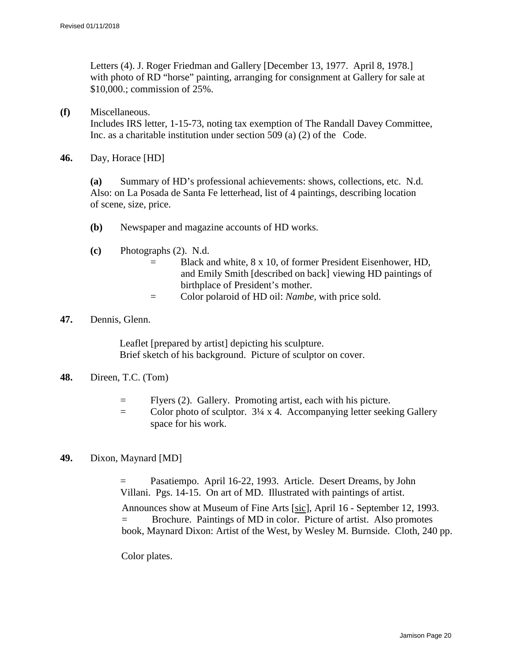Letters (4). J. Roger Friedman and Gallery [December 13, 1977. April 8, 1978.] with photo of RD "horse" painting, arranging for consignment at Gallery for sale at \$10,000.; commission of 25%.

**(f)** Miscellaneous.

Includes IRS letter, 1-15-73, noting tax exemption of The Randall Davey Committee, Inc. as a charitable institution under section 509 (a) (2) of the Code.

**46.** Day, Horace [HD]

**(a)** Summary of HD's professional achievements: shows, collections, etc. N.d. Also: on La Posada de Santa Fe letterhead, list of 4 paintings, describing location of scene, size, price.

- **(b)** Newspaper and magazine accounts of HD works.
- **(c)** Photographs (2). N.d.
	- = Black and white, 8 x 10, of former President Eisenhower, HD, and Emily Smith [described on back] viewing HD paintings of birthplace of President's mother.
	- = Color polaroid of HD oil: *Nambe,* with price sold.
- **47.** Dennis, Glenn.

Leaflet [prepared by artist] depicting his sculpture. Brief sketch of his background. Picture of sculptor on cover.

#### **48.** Direen, T.C. (Tom)

- = Flyers (2). Gallery. Promoting artist, each with his picture.
- $=$  Color photo of sculptor.  $3/4 \times 4$ . Accompanying letter seeking Gallery space for his work.
- **49.** Dixon, Maynard [MD]

= Pasatiempo. April 16-22, 1993. Article. Desert Dreams, by John Villani. Pgs. 14-15. On art of MD. Illustrated with paintings of artist.

Announces show at Museum of Fine Arts [sic], April 16 - September 12, 1993. Brochure. Paintings of MD in color. Picture of artist. Also promotes book, Maynard Dixon: Artist of the West, by Wesley M. Burnside. Cloth, 240 pp.

Color plates.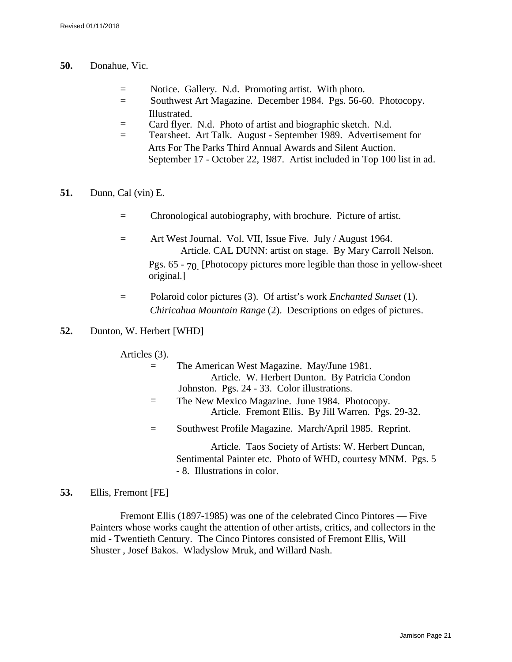#### **50.** Donahue, Vic.

- = Notice. Gallery. N.d. Promoting artist. With photo.
- = Southwest Art Magazine. December 1984. Pgs. 56-60. Photocopy. Illustrated.
- = Card flyer. N.d. Photo of artist and biographic sketch. N.d.
- = Tearsheet. Art Talk. August - September 1989. Advertisement for Arts For The Parks Third Annual Awards and Silent Auction. September 17 - October 22, 1987. Artist included in Top 100 list in ad.
- **51.** Dunn, Cal (vin) E.
	- = Chronological autobiography, with brochure. Picture of artist.
	- = Art West Journal. Vol. VII, Issue Five. July / August 1964. Article. CAL DUNN: artist on stage. By Mary Carroll Nelson. Pgs. 65 - 70. [Photocopy pictures more legible than those in yellow-sheet original.]
	- = Polaroid color pictures (3). Of artist's work *Enchanted Sunset* (1). *Chiricahua Mountain Range* (2). Descriptions on edges of pictures.

#### **52.** Dunton, W. Herbert [WHD]

Articles (3).

- = The American West Magazine. May/June 1981. Article. W. Herbert Dunton. By Patricia Condon Johnston. Pgs. 24 - 33. Color illustrations.
- = The New Mexico Magazine. June 1984. Photocopy. Article. Fremont Ellis. By Jill Warren. Pgs. 29-32.
- = Southwest Profile Magazine. March/April 1985. Reprint.

Article. Taos Society of Artists: W. Herbert Duncan, Sentimental Painter etc. Photo of WHD, courtesy MNM. Pgs. 5 - 8. Illustrations in color.

#### **53.** Ellis, Fremont [FE]

Fremont Ellis (1897-1985) was one of the celebrated Cinco Pintores — Five Painters whose works caught the attention of other artists, critics, and collectors in the mid - Twentieth Century. The Cinco Pintores consisted of Fremont Ellis, Will Shuster , Josef Bakos. Wladyslow Mruk, and Willard Nash.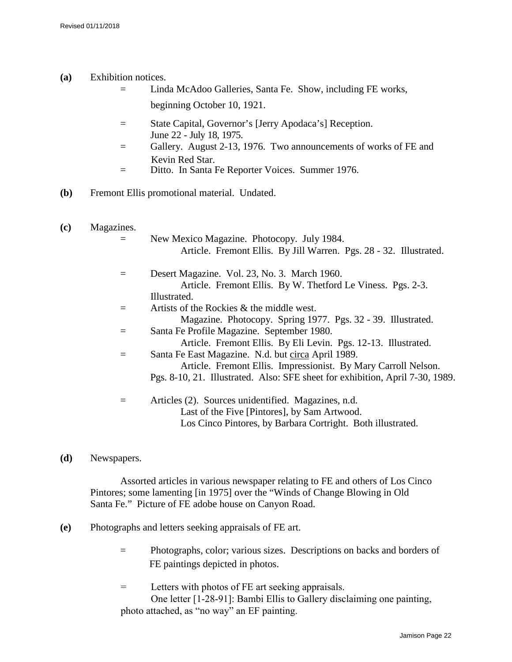- **(a)** Exhibition notices.
	- = Linda McAdoo Galleries, Santa Fe. Show, including FE works, beginning October 10, 1921.
	- = State Capital, Governor's [Jerry Apodaca's] Reception. June 22 - July 18, 1975.
	- = Gallery. August 2-13, 1976. Two announcements of works of FE and Kevin Red Star.
	- = Ditto. In Santa Fe Reporter Voices. Summer 1976.
- **(b)** Fremont Ellis promotional material. Undated.
- **(c)** Magazines.
	- = New Mexico Magazine. Photocopy. July 1984. Article. Fremont Ellis. By Jill Warren. Pgs. 28 - 32. Illustrated.
	- = Desert Magazine. Vol. 23, No. 3. March 1960. Article. Fremont Ellis. By W. Thetford Le Viness. Pgs. 2-3. Illustrated.
	- $=$  Artists of the Rockies & the middle west. Magazine. Photocopy. Spring 1977. Pgs. 32 - 39. Illustrated.
	- = Santa Fe Profile Magazine. September 1980.
		- Article. Fremont Ellis. By Eli Levin. Pgs. 12-13. Illustrated.
	- = Santa Fe East Magazine. N.d. but circa April 1989. Article. Fremont Ellis. Impressionist. By Mary Carroll Nelson.
		- Pgs. 8-10, 21. Illustrated. Also: SFE sheet for exhibition, April 7-30, 1989.
	- = Articles (2). Sources unidentified. Magazines, n.d. Last of the Five [Pintores], by Sam Artwood. Los Cinco Pintores, by Barbara Cortright. Both illustrated.
- **(d)** Newspapers.

Assorted articles in various newspaper relating to FE and others of Los Cinco Pintores; some lamenting [in 1975] over the "Winds of Change Blowing in Old Santa Fe." Picture of FE adobe house on Canyon Road.

- **(e)** Photographs and letters seeking appraisals of FE art.
	- = Photographs, color; various sizes. Descriptions on backs and borders of FE paintings depicted in photos.
	- = Letters with photos of FE art seeking appraisals. One letter [1-28-91]: Bambi Ellis to Gallery disclaiming one painting,

photo attached, as "no way" an EF painting.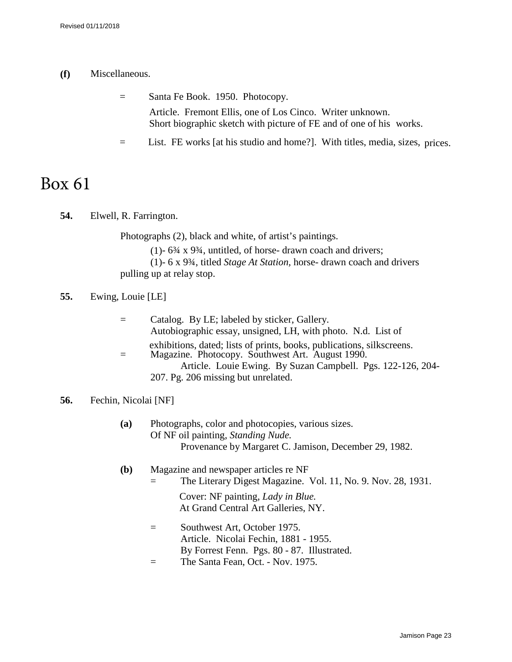- **(f)** Miscellaneous.
	- = Santa Fe Book. 1950. Photocopy. Article. Fremont Ellis, one of Los Cinco. Writer unknown. Short biographic sketch with picture of FE and of one of his works.
	- = List. FE works [at his studio and home?]. With titles, media, sizes, prices.

### Box 61

**54.** Elwell, R. Farrington.

Photographs (2), black and white, of artist's paintings.

(1)-  $6\frac{3}{4}$  x  $9\frac{3}{4}$ , untitled, of horse-drawn coach and drivers;

(1)- 6 x 9¾, titled *Stage At Station,* horse- drawn coach and drivers pulling up at relay stop.

#### **55.** Ewing, Louie [LE]

| Catalog. By LE; labeled by sticker, Gallery.<br>Autobiographic essay, unsigned, LH, with photo. N.d. List of                                                                              |
|-------------------------------------------------------------------------------------------------------------------------------------------------------------------------------------------|
| exhibitions, dated; lists of prints, books, publications, silkscreens.<br>Magazine. Photocopy. Southwest Art. August 1990.<br>Article. Louie Ewing. By Suzan Campbell. Pgs. 122-126, 204- |
| 207. Pg. 206 missing but unrelated.                                                                                                                                                       |

#### **56.** Fechin, Nicolai [NF]

**(a)** Photographs, color and photocopies, various sizes. Of NF oil painting, *Standing Nude.* Provenance by Margaret C. Jamison, December 29, 1982.

#### **(b)** Magazine and newspaper articles re NF

- = The Literary Digest Magazine. Vol. 11, No. 9. Nov. 28, 1931. Cover: NF painting, *Lady in Blue.*
	- At Grand Central Art Galleries, NY.
- = Southwest Art, October 1975. Article. Nicolai Fechin, 1881 - 1955. By Forrest Fenn. Pgs. 80 - 87. Illustrated.
- = The Santa Fean, Oct. - Nov. 1975.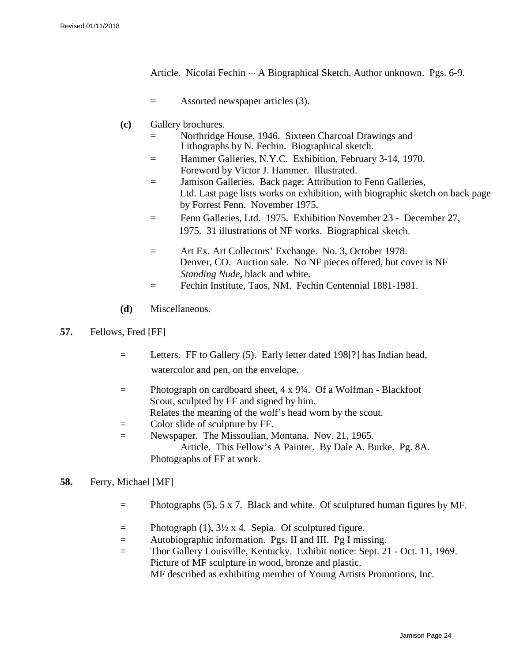Article. Nicolai Fechin ⋅⋅⋅ A Biographical Sketch. Author unknown. Pgs. 6-9.

- = Assorted newspaper articles (3).
- **(c)** Gallery brochures.
	- = Northridge House, 1946. Sixteen Charcoal Drawings and Lithographs by N. Fechin. Biographical sketch.
	- = Hammer Galleries, N.Y.C. Exhibition, February 3-14, 1970. Foreword by Victor J. Hammer. Illustrated.
	- = Jamison Galleries. Back page: Attribution to Fenn Galleries, Ltd. Last page lists works on exhibition, with biographic sketch on back page by Forrest Fenn. November 1975.
	- = Fenn Galleries, Ltd. 1975. Exhibition November 23 December 27, 1975. 31 illustrations of NF works. Biographical sketch.
	- = Art Ex. Art Collectors' Exchange. No. 3, October 1978. Denver, CO. Auction sale. No NF pieces offered, but cover is NF *Standing Nude,* black and white.
	- = Fechin Institute, Taos, NM. Fechin Centennial 1881-1981.
- **(d)** Miscellaneous.
- **57.** Fellows, Fred [FF]
	- = Letters. FF to Gallery (5). Early letter dated 198[?] has Indian head, watercolor and pen, on the envelope.
	- = Photograph on cardboard sheet, 4 x 9¾. Of a Wolfman - Blackfoot Scout, sculpted by FF and signed by him.
	- Relates the meaning of the wolf's head worn by the scout.
	- = Color slide of sculpture by FF.
	- = Newspaper. The Missoulian, Montana. Nov. 21, 1965. Article. This Fellow's A Painter. By Dale A. Burke. Pg. 8A. Photographs of FF at work.

#### **58.** Ferry, Michael [MF]

- = Photographs (5), 5 x 7. Black and white. Of sculptured human figures by MF.
- = Photograph  $(1)$ ,  $3\frac{1}{2}x$  4. Sepia. Of sculptured figure.
- = Autobiographic information. Pgs. II and III. Pg I missing.
- = Thor Gallery Louisville, Kentucky. Exhibit notice: Sept. 21 - Oct. 11, 1969. Picture of MF sculpture in wood, bronze and plastic. MF described as exhibiting member of Young Artists Promotions, Inc.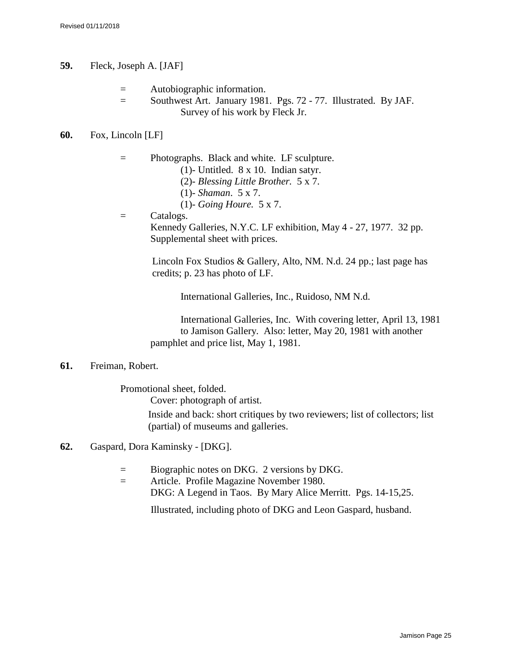**59.** Fleck, Joseph A. [JAF]

- = Autobiographic information.
- = Southwest Art. January 1981. Pgs. 72 77. Illustrated. By JAF. Survey of his work by Fleck Jr.

#### **60.** Fox, Lincoln [LF]

- = Photographs. Black and white. LF sculpture.
	- (1)- Untitled. 8 x 10. Indian satyr.
	- (2)- *Blessing Little Brother.* 5 x 7.
	- (1)- *Shaman*. 5 x 7.
	- (1)- *Going Houre.* 5 x 7.
- = Catalogs. Kennedy Galleries, N.Y.C. LF exhibition, May 4 - 27, 1977. 32 pp. Supplemental sheet with prices.

Lincoln Fox Studios & Gallery, Alto, NM. N.d. 24 pp.; last page has credits; p. 23 has photo of LF.

International Galleries, Inc., Ruidoso, NM N.d.

International Galleries, Inc. With covering letter, April 13, 1981 to Jamison Gallery. Also: letter, May 20, 1981 with another pamphlet and price list, May 1, 1981.

#### **61.** Freiman, Robert.

Promotional sheet, folded.

Cover: photograph of artist.

Inside and back: short critiques by two reviewers; list of collectors; list (partial) of museums and galleries.

- **62.** Gaspard, Dora Kaminsky [DKG].
	- = Biographic notes on DKG. 2 versions by DKG.
	- = Article. Profile Magazine November 1980. DKG: A Legend in Taos. By Mary Alice Merritt. Pgs. 14-15,25.

Illustrated, including photo of DKG and Leon Gaspard, husband.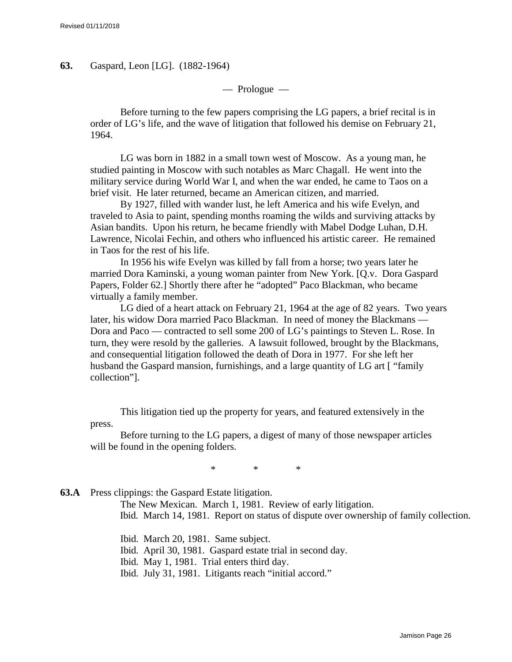#### **63.** Gaspard, Leon [LG]. (1882-1964)

— Prologue —

Before turning to the few papers comprising the LG papers, a brief recital is in order of LG's life, and the wave of litigation that followed his demise on February 21, 1964.

LG was born in 1882 in a small town west of Moscow. As a young man, he studied painting in Moscow with such notables as Marc Chagall. He went into the military service during World War I, and when the war ended, he came to Taos on a brief visit. He later returned, became an American citizen, and married.

By 1927, filled with wander lust, he left America and his wife Evelyn, and traveled to Asia to paint, spending months roaming the wilds and surviving attacks by Asian bandits. Upon his return, he became friendly with Mabel Dodge Luhan, D.H. Lawrence, Nicolai Fechin, and others who influenced his artistic career. He remained in Taos for the rest of his life.

In 1956 his wife Evelyn was killed by fall from a horse; two years later he married Dora Kaminski, a young woman painter from New York. [Q.v. Dora Gaspard Papers, Folder 62.] Shortly there after he "adopted" Paco Blackman, who became virtually a family member.

LG died of a heart attack on February 21, 1964 at the age of 82 years. Two years later, his widow Dora married Paco Blackman. In need of money the Blackmans — Dora and Paco — contracted to sell some 200 of LG's paintings to Steven L. Rose. In turn, they were resold by the galleries. A lawsuit followed, brought by the Blackmans, and consequential litigation followed the death of Dora in 1977. For she left her husband the Gaspard mansion, furnishings, and a large quantity of LG art [ "family collection"].

This litigation tied up the property for years, and featured extensively in the press.

Before turning to the LG papers, a digest of many of those newspaper articles will be found in the opening folders.

\* \* \*

**63.A** Press clippings: the Gaspard Estate litigation.

The New Mexican. March 1, 1981. Review of early litigation. Ibid. March 14, 1981. Report on status of dispute over ownership of family collection.

Ibid. March 20, 1981. Same subject.

Ibid. April 30, 1981. Gaspard estate trial in second day.

Ibid. May 1, 1981. Trial enters third day.

Ibid. July 31, 1981. Litigants reach "initial accord."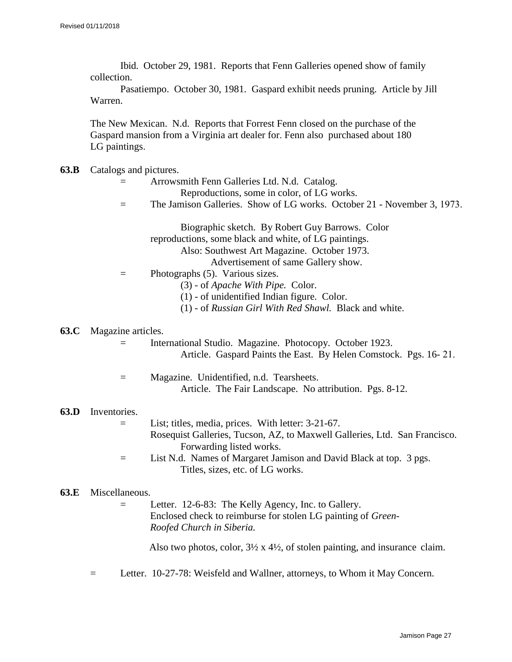Ibid. October 29, 1981. Reports that Fenn Galleries opened show of family collection.

Pasatiempo. October 30, 1981. Gaspard exhibit needs pruning. Article by Jill Warren.

The New Mexican. N.d. Reports that Forrest Fenn closed on the purchase of the Gaspard mansion from a Virginia art dealer for. Fenn also purchased about 180 LG paintings.

- **63.B** Catalogs and pictures.
	- Arrowsmith Fenn Galleries Ltd. N.d. Catalog.
		- Reproductions, some in color, of LG works.
	- = The Jamison Galleries. Show of LG works. October 21 - November 3, 1973.

Biographic sketch. By Robert Guy Barrows. Color reproductions, some black and white, of LG paintings. Also: Southwest Art Magazine. October 1973.

Advertisement of same Gallery show.

- = Photographs (5). Various sizes.
	- (3) of *Apache With Pipe.* Color.
	- (1) of unidentified Indian figure. Color.
	- (1) of *Russian Girl With Red Shawl.* Black and white.

#### **63.C** Magazine articles.

International Studio. Magazine. Photocopy. October 1923. Article. Gaspard Paints the East. By Helen Comstock. Pgs. 16- 21.

= Magazine. Unidentified, n.d. Tearsheets. Article. The Fair Landscape. No attribution. Pgs. 8-12.

#### **63.D** Inventories.

= List; titles, media, prices. With letter: 3-21-67.

- Rosequist Galleries, Tucson, AZ, to Maxwell Galleries, Ltd. San Francisco. Forwarding listed works.
- = List N.d. Names of Margaret Jamison and David Black at top. 3 pgs. Titles, sizes, etc. of LG works.

#### **63.E** Miscellaneous.

= Letter. 12-6-83: The Kelly Agency, Inc. to Gallery. Enclosed check to reimburse for stolen LG painting of *Green-Roofed Church in Siberia.*

Also two photos, color,  $3\frac{1}{2} \times 4\frac{1}{2}$ , of stolen painting, and insurance claim.

= Letter. 10-27-78: Weisfeld and Wallner, attorneys, to Whom it May Concern.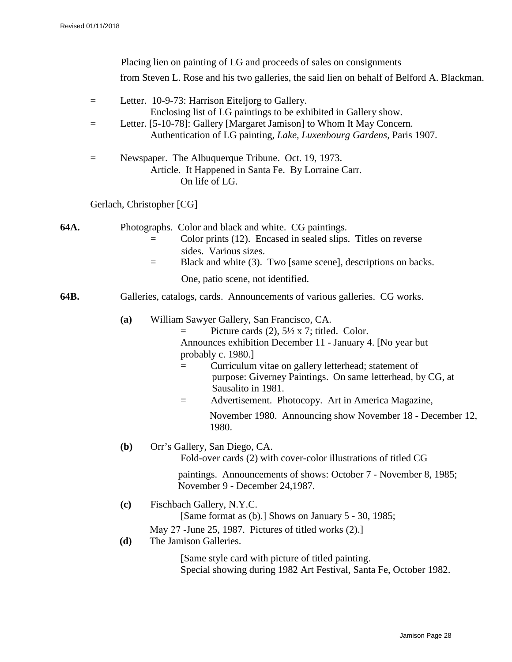|      |     |                                                                           | Placing lien on painting of LG and proceeds of sales on consignments                                                                                                                                                                                                                                                                                                                                      |  |  |  |  |  |  |
|------|-----|---------------------------------------------------------------------------|-----------------------------------------------------------------------------------------------------------------------------------------------------------------------------------------------------------------------------------------------------------------------------------------------------------------------------------------------------------------------------------------------------------|--|--|--|--|--|--|
|      |     |                                                                           | from Steven L. Rose and his two galleries, the said lien on behalf of Belford A. Blackman.                                                                                                                                                                                                                                                                                                                |  |  |  |  |  |  |
|      | $=$ |                                                                           | Letter. 10-9-73: Harrison Eiteljorg to Gallery.<br>Enclosing list of LG paintings to be exhibited in Gallery show.                                                                                                                                                                                                                                                                                        |  |  |  |  |  |  |
|      | $=$ |                                                                           | Letter. [5-10-78]: Gallery [Margaret Jamison] to Whom It May Concern.<br>Authentication of LG painting, Lake, Luxenbourg Gardens, Paris 1907.                                                                                                                                                                                                                                                             |  |  |  |  |  |  |
|      | $=$ |                                                                           | Newspaper. The Albuquerque Tribune. Oct. 19, 1973.<br>Article. It Happened in Santa Fe. By Lorraine Carr.<br>On life of LG.                                                                                                                                                                                                                                                                               |  |  |  |  |  |  |
|      |     |                                                                           | Gerlach, Christopher [CG]                                                                                                                                                                                                                                                                                                                                                                                 |  |  |  |  |  |  |
| 64A. |     |                                                                           | Photographs. Color and black and white. CG paintings.<br>Color prints (12). Encased in sealed slips. Titles on reverse<br>sides. Various sizes.<br>Black and white (3). Two [same scene], descriptions on backs.<br>$\!\!\!=\!\!\!$                                                                                                                                                                       |  |  |  |  |  |  |
|      |     |                                                                           | One, patio scene, not identified.                                                                                                                                                                                                                                                                                                                                                                         |  |  |  |  |  |  |
| 64B. |     | Galleries, catalogs, cards. Announcements of various galleries. CG works. |                                                                                                                                                                                                                                                                                                                                                                                                           |  |  |  |  |  |  |
|      |     | (a)                                                                       | William Sawyer Gallery, San Francisco, CA.<br>Picture cards $(2)$ , $5\frac{1}{2}x$ 7; titled. Color.<br>Announces exhibition December 11 - January 4. [No year but<br>probably c. 1980.]<br>Curriculum vitae on gallery letterhead; statement of<br>$=$<br>purpose: Giverney Paintings. On same letterhead, by CG, at<br>Sausalito in 1981.<br>Advertisement. Photocopy. Art in America Magazine,<br>$=$ |  |  |  |  |  |  |
|      |     |                                                                           | November 1980. Announcing show November 18 - December 12,<br>1980.                                                                                                                                                                                                                                                                                                                                        |  |  |  |  |  |  |
|      |     | ( <b>b</b> )                                                              | Orr's Gallery, San Diego, CA.<br>Fold-over cards (2) with cover-color illustrations of titled CG                                                                                                                                                                                                                                                                                                          |  |  |  |  |  |  |
|      |     |                                                                           | paintings. Announcements of shows: October 7 - November 8, 1985;<br>November 9 - December 24,1987.                                                                                                                                                                                                                                                                                                        |  |  |  |  |  |  |
|      |     | (c)                                                                       | Fischbach Gallery, N.Y.C.<br>[Same format as (b).] Shows on January 5 - 30, 1985;                                                                                                                                                                                                                                                                                                                         |  |  |  |  |  |  |
|      |     | (d)                                                                       | May 27 - June 25, 1987. Pictures of titled works (2).]<br>The Jamison Galleries.                                                                                                                                                                                                                                                                                                                          |  |  |  |  |  |  |
|      |     |                                                                           | [Same style card with picture of titled painting.<br>Special showing during 1982 Art Festival, Santa Fe, October 1982.                                                                                                                                                                                                                                                                                    |  |  |  |  |  |  |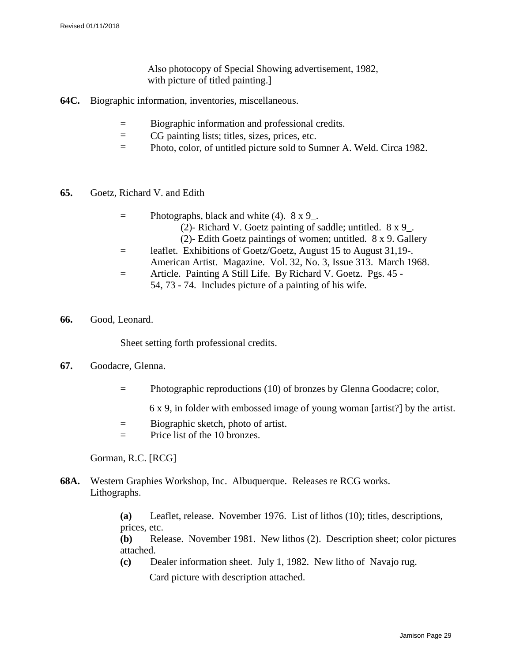Also photocopy of Special Showing advertisement, 1982, with picture of titled painting.]

- **64C.** Biographic information, inventories, miscellaneous.
	- = Biographic information and professional credits.
	- = CG painting lists; titles, sizes, prices, etc.
	- = Photo, color, of untitled picture sold to Sumner A. Weld. Circa 1982.
- **65.** Goetz, Richard V. and Edith

 $=$ 

- = Photographs, black and white (4). 8 x 9\_. (2)- Richard V. Goetz painting of saddle; untitled.  $8 \times 9$ . (2)- Edith Goetz paintings of women; untitled. 8 x 9. Gallery
	- leaflet. Exhibitions of Goetz/Goetz, August 15 to August 31,19-.
- American Artist. Magazine. Vol. 32, No. 3, Issue 313. March 1968.
- $=$ Article. Painting A Still Life. By Richard V. Goetz. Pgs. 45 - 54, 73 - 74. Includes picture of a painting of his wife.
- **66.** Good, Leonard.

Sheet setting forth professional credits.

#### **67.** Goodacre, Glenna.

= Photographic reproductions (10) of bronzes by Glenna Goodacre; color,

6 x 9, in folder with embossed image of young woman [artist?] by the artist.

- = Biographic sketch, photo of artist.
- $=$  Price list of the 10 bronzes.

Gorman, R.C. [RCG]

**68A.** Western Graphies Workshop, Inc. Albuquerque. Releases re RCG works. Lithographs.

> **(a)** Leaflet, release. November 1976. List of lithos (10); titles, descriptions, prices, etc.

**(b)** Release. November 1981. New lithos (2). Description sheet; color pictures attached.

**(c)** Dealer information sheet. July 1, 1982. New litho of Navajo rug.

Card picture with description attached.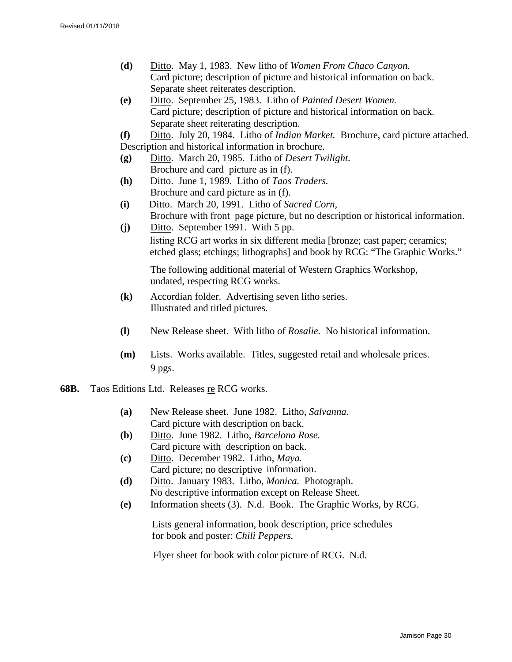- **(d)** Ditto. May 1, 1983. New litho of *Women From Chaco Canyon.* Card picture; description of picture and historical information on back. Separate sheet reiterates description.
- **(e)** Ditto. September 25, 1983. Litho of *Painted Desert Women.* Card picture; description of picture and historical information on back. Separate sheet reiterating description.
- **(f)** Ditto. July 20, 1984. Litho of *Indian Market.* Brochure, card picture attached.

Description and historical information in brochure.

- **(g)** Ditto. March 20, 1985. Litho of *Desert Twilight.* Brochure and card picture as in (f).
- **(h)** Ditto. June 1, 1989. Litho of *Taos Traders.* Brochure and card picture as in (f).
- **(i)** Ditto. March 20, 1991. Litho of *Sacred Corn,* Brochure with front page picture, but no description or historical information.
- **(j)** Ditto. September 1991. With 5 pp. listing RCG art works in six different media [bronze; cast paper; ceramics; etched glass; etchings; lithographs] and book by RCG: "The Graphic Works."

The following additional material of Western Graphics Workshop, undated, respecting RCG works.

- **(k)** Accordian folder. Advertising seven litho series. Illustrated and titled pictures.
- **(l)** New Release sheet. With litho of *Rosalie.* No historical information.
- **(m)** Lists. Works available. Titles, suggested retail and wholesale prices. 9 pgs.
- **68B.** Taos Editions Ltd. Releases re RCG works.
	- **(a)** New Release sheet. June 1982. Litho, *Salvanna.* Card picture with description on back.
	- **(b)** Ditto. June 1982. Litho, *Barcelona Rose.* Card picture with description on back.
	- **(c)** Ditto. December 1982. Litho, *Maya.* Card picture; no descriptive information.
	- **(d)** Ditto. January 1983. Litho, *Monica.* Photograph. No descriptive information except on Release Sheet.
	- **(e)** Information sheets (3). N.d. Book. The Graphic Works, by RCG.

Lists general information, book description, price schedules for book and poster: *Chili Peppers.*

Flyer sheet for book with color picture of RCG. N.d.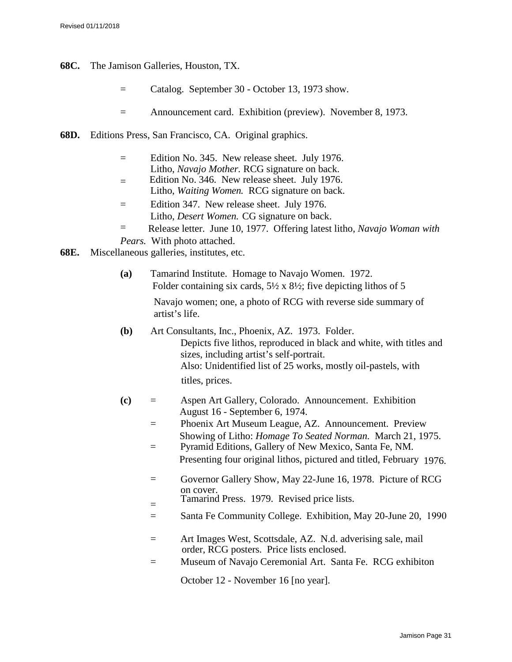- **68C.** The Jamison Galleries, Houston, TX.
	- = Catalog. September 30 October 13, 1973 show.
	- = Announcement card. Exhibition (preview). November 8, 1973.
- **68D.** Editions Press, San Francisco, CA. Original graphics.
	- = Edition No. 345. New release sheet. July 1976.
		- Litho, *Navajo Mother.* RCG signature on back.
	- = Edition No. 346. New release sheet. July 1976. Litho, *Waiting Women.* RCG signature on back.
	- = Edition 347. New release sheet. July 1976. Litho, *Desert Women.* CG signature on back.
	- = Release letter. June 10, 1977. Offering latest litho, *Navajo Woman with*

*Pears.* With photo attached.

**68E.** Miscellaneous galleries, institutes, etc.

=

- **(a)** Tamarind Institute. Homage to Navajo Women. 1972. Folder containing six cards,  $5\frac{1}{2} \times 8\frac{1}{2}$ ; five depicting lithos of 5 Navajo women; one, a photo of RCG with reverse side summary of artist's life.
- **(b)** Art Consultants, Inc., Phoenix, AZ. 1973. Folder. Depicts five lithos, reproduced in black and white, with titles and sizes, including artist's self-portrait. Also: Unidentified list of 25 works, mostly oil-pastels, with titles, prices.
- **(c)** = Aspen Art Gallery, Colorado. Announcement. Exhibition August 16 - September 6, 1974.
	- = Phoenix Art Museum League, AZ. Announcement. Preview Showing of Litho: *Homage To Seated Norman.* March 21, 1975.
	- = Pyramid Editions, Gallery of New Mexico, Santa Fe, NM. Presenting four original lithos, pictured and titled, February 1976.
	- = Governor Gallery Show, May 22-June 16, 1978. Picture of RCG on cover.
		- Tamarind Press. 1979. Revised price lists.
	- $=$ Santa Fe Community College. Exhibition, May 20-June 20, 1990
	- = Art Images West, Scottsdale, AZ. N.d. adverising sale, mail order, RCG posters. Price lists enclosed.
	- = Museum of Navajo Ceremonial Art. Santa Fe. RCG exhibiton

October 12 - November 16 [no year].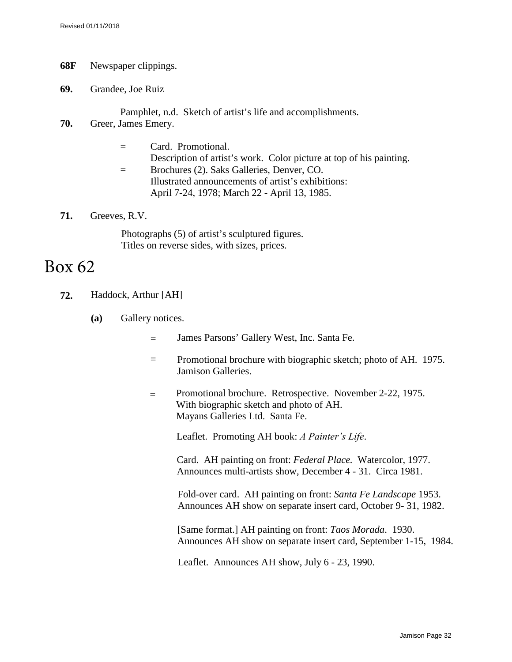- **68F** Newspaper clippings.
- **69.** Grandee, Joe Ruiz

Pamphlet, n.d. Sketch of artist's life and accomplishments.

- **70.** Greer, James Emery.
	- = Card. Promotional. = Description of artist's work. Color picture at top of his painting. Brochures (2). Saks Galleries, Denver, CO. Illustrated announcements of artist's exhibitions: April 7-24, 1978; March 22 - April 13, 1985.
- **71.** Greeves, R.V.

Photographs (5) of artist's sculptured figures. Titles on reverse sides, with sizes, prices.

### Box 62

- **72.** Haddock, Arthur [AH]
	- **(a)** Gallery notices.
		- = James Parsons' Gallery West, Inc. Santa Fe.
		- = Promotional brochure with biographic sketch; photo of AH. 1975. Jamison Galleries.
		- $=$  Promotional brochure. Retrospective. November 2-22, 1975. With biographic sketch and photo of AH. Mayans Galleries Ltd. Santa Fe.

Leaflet. Promoting AH book: *A Painter's Life*.

Card. AH painting on front: *Federal Place.* Watercolor, 1977. Announces multi-artists show, December 4 - 31. Circa 1981.

Fold-over card. AH painting on front: *Santa Fe Landscape* 1953. Announces AH show on separate insert card, October 9- 31, 1982.

[Same format.] AH painting on front: *Taos Morada*. 1930. Announces AH show on separate insert card, September 1-15, 1984.

Leaflet. Announces AH show, July 6 - 23, 1990.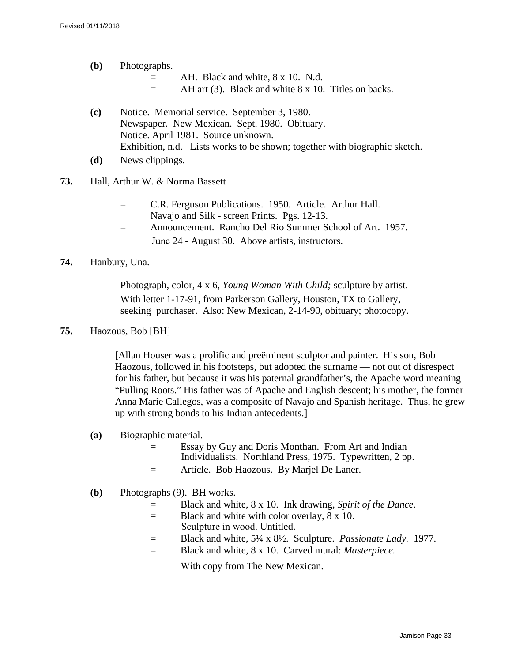- **(b)** Photographs.
	- $=$  AH. Black and white,  $8 \times 10$ . N.d.
	- $=$  AH art (3). Black and white  $8 \times 10$ . Titles on backs.
- **(c)** Notice. Memorial service. September 3, 1980. Newspaper. New Mexican. Sept. 1980. Obituary. Notice. April 1981. Source unknown. Exhibition, n.d. Lists works to be shown; together with biographic sketch.
- **(d)** News clippings.
- **73.** Hall, Arthur W. & Norma Bassett
	- = C.R. Ferguson Publications. 1950. Article. Arthur Hall. Navajo and Silk - screen Prints. Pgs. 12-13.
	- = Announcement. Rancho Del Rio Summer School of Art. 1957. June 24 - August 30. Above artists, instructors.

#### **74.** Hanbury, Una.

Photograph, color, 4 x 6, *Young Woman With Child;* sculpture by artist. With letter 1-17-91, from Parkerson Gallery, Houston, TX to Gallery, seeking purchaser. Also: New Mexican, 2-14-90, obituary; photocopy.

**75.** Haozous, Bob [BH]

[Allan Houser was a prolific and preëminent sculptor and painter. His son, Bob Haozous, followed in his footsteps, but adopted the surname — not out of disrespect for his father, but because it was his paternal grandfather's, the Apache word meaning "Pulling Roots." His father was of Apache and English descent; his mother, the former Anna Marie Callegos, was a composite of Navajo and Spanish heritage. Thus, he grew up with strong bonds to his Indian antecedents.]

- **(a)** Biographic material.
	- = Essay by Guy and Doris Monthan. From Art and Indian Individualists. Northland Press, 1975. Typewritten, 2 pp.
	- = Article. Bob Haozous. By Marjel De Laner.

#### **(b)** Photographs (9). BH works.

=

- = Black and white, 8 x 10. Ink drawing, *Spirit of the Dance.*
- $=$ Black and white with color overlay, 8 x 10. Sculpture in wood. Untitled.
- = Black and white, 5¼ x 8½. Sculpture. *Passionate Lady.* 1977.
	- Black and white, 8 x 10. Carved mural: *Masterpiece.*

With copy from The New Mexican.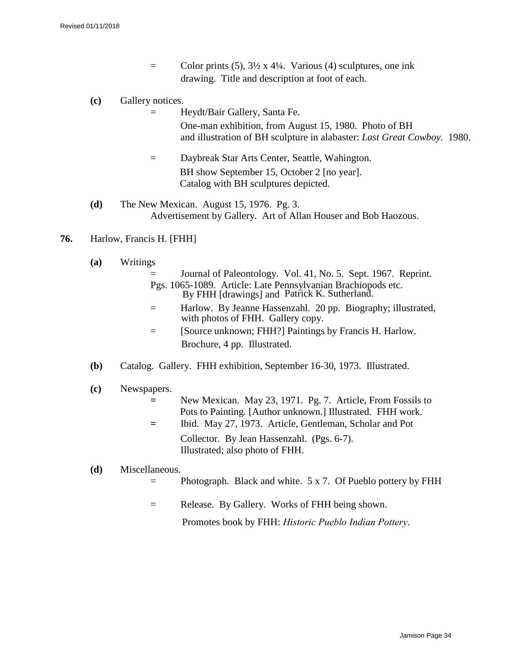- $=$  Color prints (5),  $3\frac{1}{2} \times 4\frac{1}{4}$ . Various (4) sculptures, one ink drawing. Title and description at foot of each.
- **(c)** Gallery notices.
	- = Heydt/Bair Gallery, Santa Fe. One-man exhibition, from August 15, 1980. Photo of BH and illustration of BH sculpture in alabaster: *Last Great Cowboy.* 1980.
	- = Daybreak Star Arts Center, Seattle, Wahington. BH show September 15, October 2 [no year]. Catalog with BH sculptures depicted.
- **(d)** The New Mexican. August 15, 1976. Pg. 3. Advertisement by Gallery. Art of Allan Houser and Bob Haozous.

#### **76.** Harlow, Francis H. [FHH]

- **(a)** Writings
	- Journal of Paleontology. Vol. 41, No. 5. Sept. 1967. Reprint. Pgs. 1065-1089. Article: Late Pennsylvanian Brachiopods etc. By FHH [drawings] and Patrick K. Sutherland.
		- = Harlow. By Jeanne Hassenzahl. 20 pp. Biography; illustrated, with photos of FHH. Gallery copy.
		- = [Source unknown; FHH?] Paintings by Francis H. Harlow. Brochure, 4 pp. Illustrated.
- **(b)** Catalog. Gallery. FHH exhibition, September 16-30, 1973. Illustrated.
- **(c)** Newspapers.
	- **=** New Mexican. May 23, 1971. Pg. 7. Article, From Fossils to Pots to Painting. [Author unknown.] Illustrated. FHH work.
	- **=** Ibid. May 27, 1973. Article, Gentleman, Scholar and Pot

Collector. By Jean Hassenzahl. (Pgs. 6-7). Illustrated; also photo of FHH.

#### **(d)** Miscellaneous.

- = Photograph. Black and white. 5 x 7. Of Pueblo pottery by FHH
- = Release. By Gallery. Works of FHH being shown.

Promotes book by FHH: *Historic Pueblo Indian Pottery*.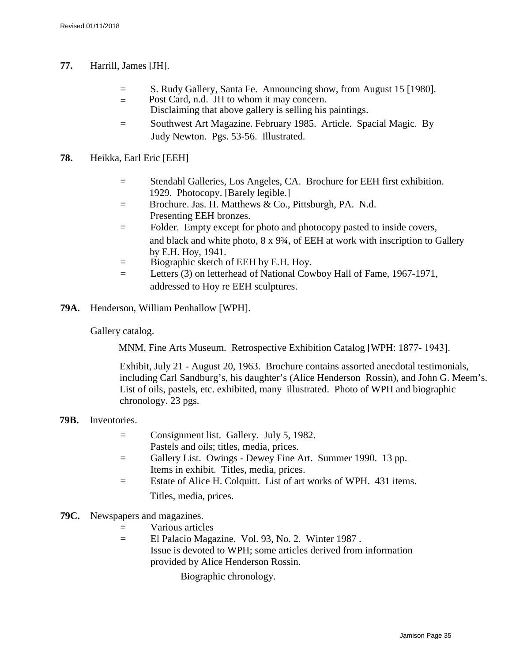- **77.** Harrill, James [JH].
	- = S. Rudy Gallery, Santa Fe. Announcing show, from August 15 [1980].
	- = Post Card, n.d. JH to whom it may concern.
		- Disclaiming that above gallery is selling his paintings.
	- = Southwest Art Magazine. February 1985. Article. Spacial Magic. By Judy Newton. Pgs. 53-56. Illustrated.
- **78.** Heikka, Earl Eric [EEH]
	- = Stendahl Galleries, Los Angeles, CA. Brochure for EEH first exhibition. 1929. Photocopy. [Barely legible.]
	- = Brochure. Jas. H. Matthews & Co., Pittsburgh, PA. N.d. Presenting EEH bronzes.
	- = Folder. Empty except for photo and photocopy pasted to inside covers, and black and white photo, 8 x 9¾, of EEH at work with inscription to Gallery by E.H. Hoy, 1941.
	- = Biographic sketch of EEH by E.H. Hoy.
	- = Letters (3) on letterhead of National Cowboy Hall of Fame, 1967-1971, addressed to Hoy re EEH sculptures.
- **79A.** Henderson, William Penhallow [WPH].

Gallery catalog.

MNM, Fine Arts Museum. Retrospective Exhibition Catalog [WPH: 1877- 1943].

Exhibit, July 21 - August 20, 1963. Brochure contains assorted anecdotal testimonials, including Carl Sandburg's, his daughter's (Alice Henderson Rossin), and John G. Meem's. List of oils, pastels, etc. exhibited, many illustrated. Photo of WPH and biographic chronology. 23 pgs.

- **79B.** Inventories.
	- = Consignment list. Gallery. July 5, 1982. Pastels and oils; titles, media, prices.
	- = Gallery List. Owings - Dewey Fine Art. Summer 1990. 13 pp. Items in exhibit. Titles, media, prices.
	- $=$ Estate of Alice H. Colquitt. List of art works of WPH. 431 items. Titles, media, prices.
- **79C.** Newspapers and magazines.
	- = Various articles
	- = El Palacio Magazine. Vol. 93, No. 2. Winter 1987 .
		- Issue is devoted to WPH; some articles derived from information provided by Alice Henderson Rossin.

Biographic chronology.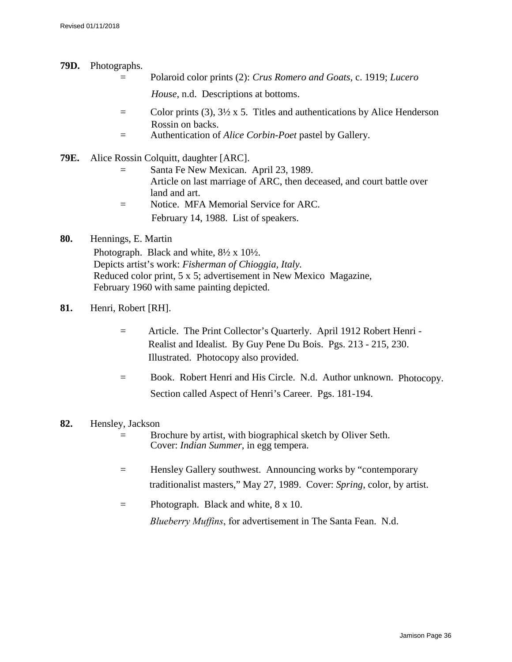**79D.** Photographs.

= Polaroid color prints (2): *Crus Romero and Goats,* c. 1919; *Lucero* 

*House*, n.d. Descriptions at bottoms.

- $=$  Color prints (3),  $3\frac{1}{2} \times 5$ . Titles and authentications by Alice Henderson Rossin on backs.
- = Authentication of *Alice Corbin-Poet* pastel by Gallery.
- **79E.** Alice Rossin Colquitt, daughter [ARC].
	- = Santa Fe New Mexican. April 23, 1989. Article on last marriage of ARC, then deceased, and court battle over land and art.
	- = Notice. MFA Memorial Service for ARC.
		- February 14, 1988. List of speakers.

#### **80.** Hennings, E. Martin

Photograph. Black and white, 8½ x 10½. Depicts artist's work: *Fisherman of Chioggia, Italy.*  Reduced color print, 5 x 5; advertisement in New Mexico Magazine, February 1960 with same painting depicted.

- **81.** Henri, Robert [RH].
	- = Article. The Print Collector's Quarterly. April 1912 Robert Henri Realist and Idealist. By Guy Pene Du Bois. Pgs. 213 - 215, 230. Illustrated. Photocopy also provided.
	- = Book. Robert Henri and His Circle. N.d. Author unknown. Photocopy. Section called Aspect of Henri's Career. Pgs. 181-194.

#### **82.** Hensley, Jackson

- = Brochure by artist, with biographical sketch by Oliver Seth. Cover: *Indian Summer*, in egg tempera.
- = Hensley Gallery southwest. Announcing works by "contemporary traditionalist masters," May 27, 1989. Cover: *Spring*, color, by artist.
- = Photograph. Black and white, 8 x 10.

*Blueberry Muffins*, for advertisement in The Santa Fean. N.d.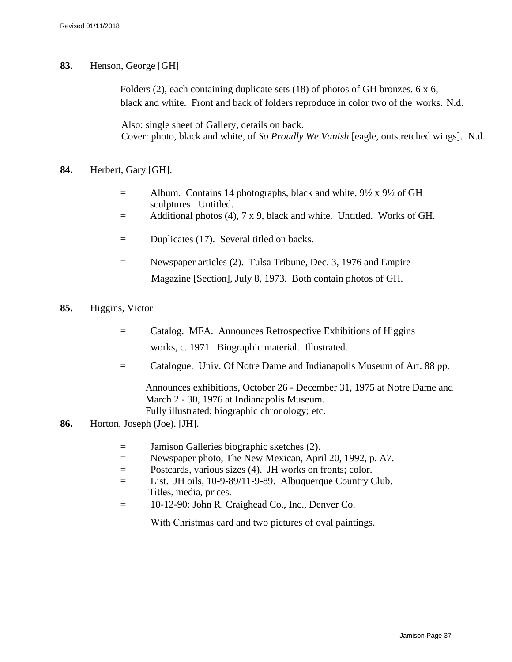# **83.** Henson, George [GH]

Folders (2), each containing duplicate sets (18) of photos of GH bronzes. 6 x 6, black and white. Front and back of folders reproduce in color two of the works. N.d.

Also: single sheet of Gallery, details on back. Cover: photo, black and white, of *So Proudly We Vanish* [eagle, outstretched wings]. N.d.

# **84.** Herbert, Gary [GH].

- = Album. Contains 14 photographs, black and white, 9½ x 9½ of GH sculptures. Untitled.
- = Additional photos (4), 7 x 9, black and white. Untitled. Works of GH.
- = Duplicates (17). Several titled on backs.
- = Newspaper articles (2). Tulsa Tribune, Dec. 3, 1976 and Empire Magazine [Section], July 8, 1973. Both contain photos of GH.

# **85.** Higgins, Victor

- = Catalog. MFA. Announces Retrospective Exhibitions of Higgins works, c. 1971. Biographic material. Illustrated.
- = Catalogue. Univ. Of Notre Dame and Indianapolis Museum of Art. 88 pp.

Announces exhibitions, October 26 - December 31, 1975 at Notre Dame and March 2 - 30, 1976 at Indianapolis Museum. Fully illustrated; biographic chronology; etc.

# **86.** Horton, Joseph (Joe). [JH].

- = Jamison Galleries biographic sketches (2).
- = Newspaper photo, The New Mexican, April 20, 1992, p. A7.
- = Postcards, various sizes (4). JH works on fronts; color.
- = List. JH oils, 10-9-89/11-9-89. Albuquerque Country Club. Titles, media, prices.
- = 10-12-90: John R. Craighead Co., Inc., Denver Co.

With Christmas card and two pictures of oval paintings.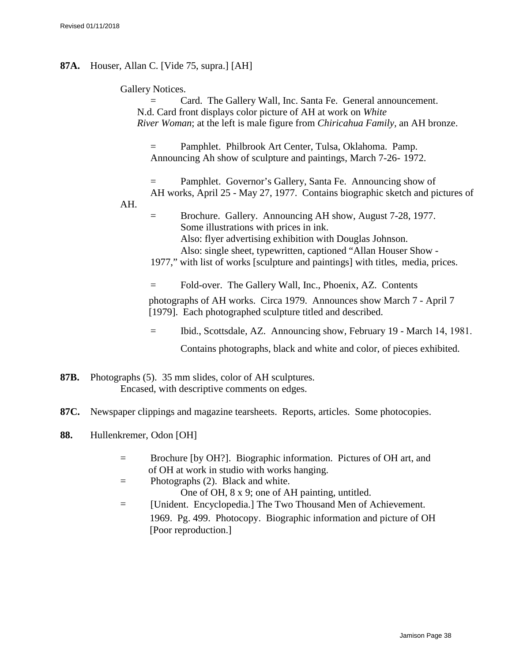**87A.** Houser, Allan C. [Vide 75, supra.] [AH]

#### Gallery Notices.

= Card. The Gallery Wall, Inc. Santa Fe. General announcement. N.d. Card front displays color picture of AH at work on *White River Woman*; at the left is male figure from *Chiricahua Family,* an AH bronze. = Pamphlet. Philbrook Art Center, Tulsa, Oklahoma. Pamp. Announcing Ah show of sculpture and paintings, March 7-26- 1972. = Pamphlet. Governor's Gallery, Santa Fe. Announcing show of AH works, April 25 - May 27, 1977. Contains biographic sketch and pictures of AH. = Brochure. Gallery. Announcing AH show, August 7-28, 1977. Some illustrations with prices in ink. Also: flyer advertising exhibition with Douglas Johnson. Also: single sheet, typewritten, captioned "Allan Houser Show - 1977," with list of works [sculpture and paintings] with titles, media, prices. = Fold-over. The Gallery Wall, Inc., Phoenix, AZ. Contents photographs of AH works. Circa 1979. Announces show March 7 - April 7 [1979]. Each photographed sculpture titled and described. = Ibid., Scottsdale, AZ. Announcing show, February 19 - March 14, 1981. Contains photographs, black and white and color, of pieces exhibited.

- **87B.** Photographs (5). 35 mm slides, color of AH sculptures. Encased, with descriptive comments on edges.
- **87C.** Newspaper clippings and magazine tearsheets. Reports, articles. Some photocopies.
- **88.** Hullenkremer, Odon [OH]
	- = Brochure [by OH?]. Biographic information. Pictures of OH art, and of OH at work in studio with works hanging.
	- = Photographs (2). Black and white.

One of OH, 8 x 9; one of AH painting, untitled.

= [Unident. Encyclopedia.] The Two Thousand Men of Achievement. 1969. Pg. 499. Photocopy. Biographic information and picture of OH [Poor reproduction.]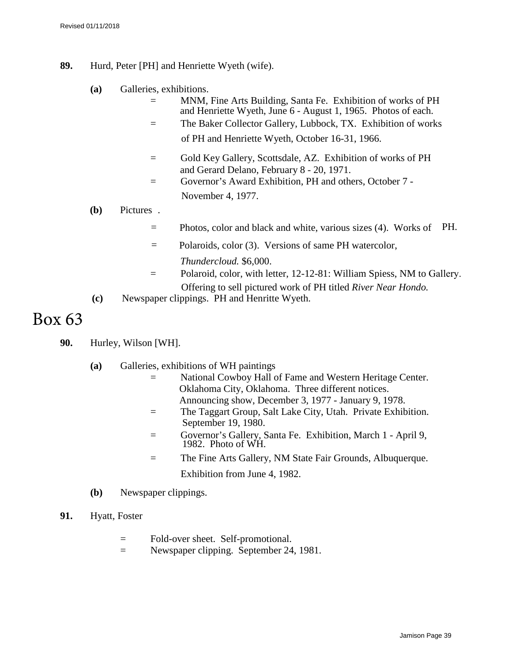- **89.** Hurd, Peter [PH] and Henriette Wyeth (wife).
	- **(a)** Galleries, exhibitions.
		- = MNM, Fine Arts Building, Santa Fe. Exhibition of works of PH and Henriette Wyeth, June 6 - August 1, 1965. Photos of each.
		- = The Baker Collector Gallery, Lubbock, TX. Exhibition of works of PH and Henriette Wyeth, October 16-31, 1966.
		- = Gold Key Gallery, Scottsdale, AZ. Exhibition of works of PH and Gerard Delano, February 8 - 20, 1971.
		- = Governor's Award Exhibition, PH and others, October 7 November 4, 1977.
	- **(b)** Pictures .
		- = Photos, color and black and white, various sizes (4). Works of PH.
		- = Polaroids, color (3). Versions of same PH watercolor,
			- *Thundercloud.* \$6,000.
		- = Polaroid, color, with letter, 12-12-81: William Spiess, NM to Gallery. Offering to sell pictured work of PH titled *River Near Hondo.*
	- **(c)** Newspaper clippings. PH and Henritte Wyeth.

# Box 63

- **90.** Hurley, Wilson [WH].
	- **(a)** Galleries, exhibitions of WH paintings
		- = National Cowboy Hall of Fame and Western Heritage Center. Oklahoma City, Oklahoma. Three different notices. Announcing show, December 3, 1977 - January 9, 1978.
		- = The Taggart Group, Salt Lake City, Utah. Private Exhibition. September 19, 1980.
		- = Governor's Gallery, Santa Fe. Exhibition, March 1 April 9, 1982. Photo of WH.
		- = The Fine Arts Gallery, NM State Fair Grounds, Albuquerque. Exhibition from June 4, 1982.
	- **(b)** Newspaper clippings.
- **91.** Hyatt, Foster
	- = Fold-over sheet. Self-promotional.
	- = Newspaper clipping. September 24, 1981.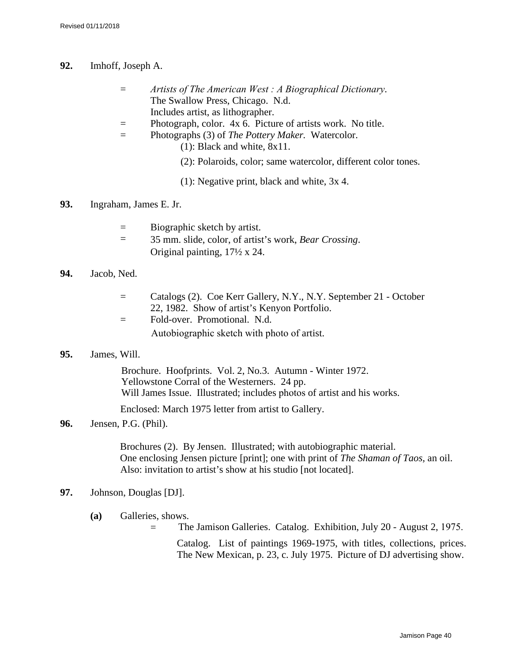- **92.** Imhoff, Joseph A.
	- = *Artists of The American West : A Biographical Dictionary*. The Swallow Press, Chicago. N.d. Includes artist, as lithographer.
	- = Photograph, color. 4x 6. Picture of artists work. No title.
	- = Photographs (3) of *The Pottery Maker.* Watercolor.
		- (1): Black and white, 8x11.
		- (2): Polaroids, color; same watercolor, different color tones.
		- (1): Negative print, black and white, 3x 4.
- **93.** Ingraham, James E. Jr.
	- = Biographic sketch by artist.
	- = 35 mm. slide, color, of artist's work, *Bear Crossing*. Original painting, 17½ x 24.
- **94.** Jacob, Ned.
	- = Catalogs (2). Coe Kerr Gallery, N.Y., N.Y. September 21 - October 22, 1982. Show of artist's Kenyon Portfolio.
	- = Fold-over. Promotional. N.d. Autobiographic sketch with photo of artist.
- **95.** James, Will.

Brochure. Hoofprints. Vol. 2, No.3. Autumn - Winter 1972. Yellowstone Corral of the Westerners. 24 pp. Will James Issue. Illustrated; includes photos of artist and his works.

Enclosed: March 1975 letter from artist to Gallery.

**96.** Jensen, P.G. (Phil).

Brochures (2). By Jensen. Illustrated; with autobiographic material. One enclosing Jensen picture [print]; one with print of *The Shaman of Taos,* an oil. Also: invitation to artist's show at his studio [not located].

- **97.** Johnson, Douglas [DJ].
	- **(a)** Galleries, shows.
		- = The Jamison Galleries. Catalog. Exhibition, July 20 August 2, 1975.

Catalog. List of paintings 1969-1975, with titles, collections, prices. The New Mexican, p. 23, c. July 1975. Picture of DJ advertising show.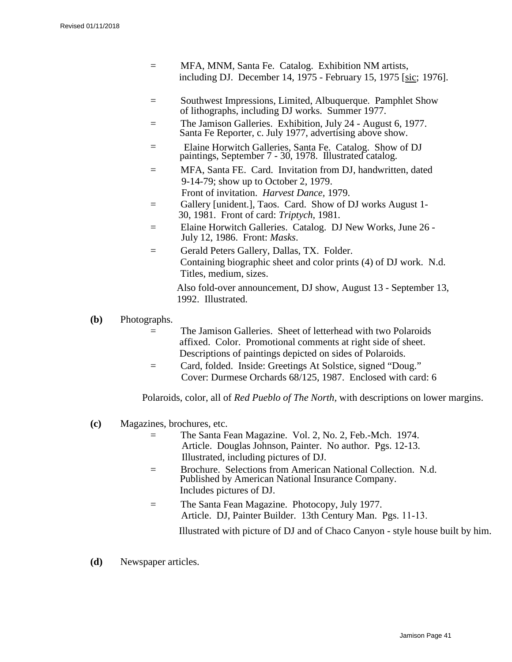- = MFA, MNM, Santa Fe. Catalog. Exhibition NM artists, including DJ. December 14, 1975 - February 15, 1975 [sic; 1976].
- = Southwest Impressions, Limited, Albuquerque. Pamphlet Show of lithographs, including DJ works. Summer 1977.
- = The Jamison Galleries. Exhibition, July 24 August 6, 1977. Santa Fe Reporter, c. July 1977, advertising above show.
- = Elaine Horwitch Galleries, Santa Fe. Catalog. Show of DJ paintings, September 7 - 30, 1978. Illustrated catalog.
- = MFA, Santa FE. Card. Invitation from DJ, handwritten, dated 9-14-79; show up to October 2, 1979. Front of invitation. *Harvest Dance,* 1979.
- = Gallery [unident.], Taos. Card. Show of DJ works August 1- 30, 1981. Front of card: *Triptych,* 1981.
- = Elaine Horwitch Galleries. Catalog. DJ New Works, June 26 July 12, 1986. Front: *Masks*.
- = Gerald Peters Gallery, Dallas, TX. Folder. Containing biographic sheet and color prints (4) of DJ work. N.d. Titles, medium, sizes.

Also fold-over announcement, DJ show, August 13 - September 13, 1992. Illustrated.

**(b)** Photographs.

- = The Jamison Galleries. Sheet of letterhead with two Polaroids affixed. Color. Promotional comments at right side of sheet. Descriptions of paintings depicted on sides of Polaroids.
- = Card, folded. Inside: Greetings At Solstice, signed "Doug." Cover: Durmese Orchards 68/125, 1987. Enclosed with card: 6

Polaroids, color, all of *Red Pueblo of The North,* with descriptions on lower margins.

- **(c)** Magazines, brochures, etc.
	- = The Santa Fean Magazine. Vol. 2, No. 2, Feb.-Mch. 1974. Article. Douglas Johnson, Painter. No author. Pgs. 12-13. Illustrated, including pictures of DJ.
	- = Brochure. Selections from American National Collection. N.d. Published by American National Insurance Company. Includes pictures of DJ.
	- = The Santa Fean Magazine. Photocopy, July 1977. Article. DJ, Painter Builder. 13th Century Man. Pgs. 11-13. Illustrated with picture of DJ and of Chaco Canyon - style house built by him.
- **(d)** Newspaper articles.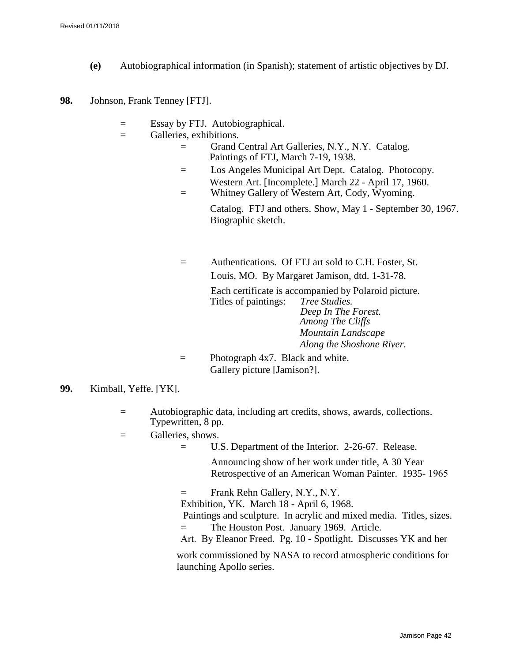**(e)** Autobiographical information (in Spanish); statement of artistic objectives by DJ.

**98.** Johnson, Frank Tenney [FTJ].

- = Essay by FTJ. Autobiographical.
- = Galleries, exhibitions.
	- = Grand Central Art Galleries, N.Y., N.Y. Catalog. Paintings of FTJ, March 7-19, 1938.
	- = Los Angeles Municipal Art Dept. Catalog. Photocopy. Western Art. [Incomplete.] March 22 - April 17, 1960.
	- = Whitney Gallery of Western Art, Cody, Wyoming.

= Authentications. Of FTJ art sold to C.H. Foster, St.

Louis, MO. By Margaret Jamison, dtd. 1-31-78.

Each certificate is accompanied by Polaroid picture.<br>Titles of paintings: Tree Studies. Titles of paintings: *Deep In The Forest. Among The Cliffs Mountain Landscape Along the Shoshone River.* 

= Photograph 4x7. Black and white. Gallery picture [Jamison?].

# **99.** Kimball, Yeffe. [YK].

- = Autobiographic data, including art credits, shows, awards, collections. Typewritten, 8 pp.
- = Galleries, shows.

= U.S. Department of the Interior. 2-26-67. Release.

Announcing show of her work under title, A 30 Year Retrospective of an American Woman Painter. 1935- 1965

= Frank Rehn Gallery, N.Y., N.Y.

Exhibition, YK. March 18 - April 6, 1968.

 Paintings and sculpture. In acrylic and mixed media. Titles, sizes. = The Houston Post. January 1969. Article.

Art. By Eleanor Freed. Pg. 10 - Spotlight. Discusses YK and her

work commissioned by NASA to record atmospheric conditions for launching Apollo series.

Catalog. FTJ and others. Show, May 1 - September 30, 1967. Biographic sketch.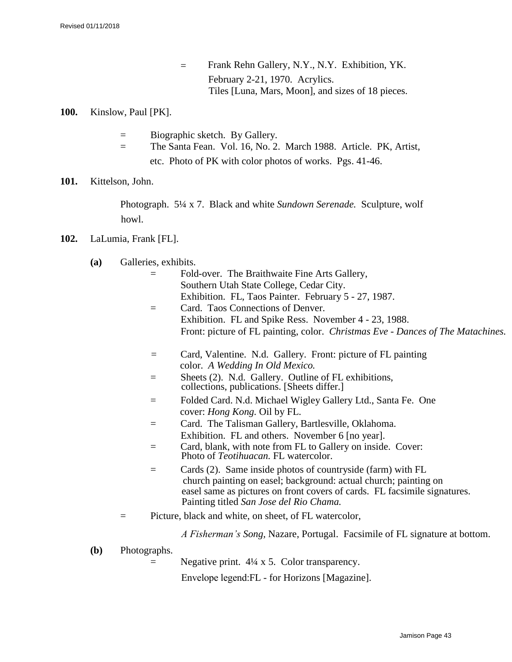$=$  Frank Rehn Gallery, N.Y., N.Y. Exhibition, YK. February 2-21, 1970. Acrylics. Tiles [Luna, Mars, Moon], and sizes of 18 pieces.

#### **100.** Kinslow, Paul [PK].

- = Biographic sketch. By Gallery.
- = The Santa Fean. Vol. 16, No. 2. March 1988. Article. PK, Artist, etc. Photo of PK with color photos of works. Pgs. 41-46.
- **101.** Kittelson, John.

Photograph. 5¼ x 7. Black and white *Sundown Serenade.* Sculpture, wolf howl.

- **102.** LaLumia, Frank [FL].
	- **(a)** Galleries, exhibits.
		- Fold-over. The Braithwaite Fine Arts Gallery, Southern Utah State College, Cedar City. Exhibition. FL, Taos Painter. February 5 - 27, 1987.
		- = Card. Taos Connections of Denver. Exhibition. FL and Spike Ress. November 4 - 23, 1988. Front: picture of FL painting, color. *Christmas Eve - Dances of The Matachines.*
		- *=* Card, Valentine. N.d. Gallery. Front: picture of FL painting color. *A Wedding In Old Mexico.*
		- = Sheets (2). N.d. Gallery. Outline of FL exhibitions, collections, publications. [Sheets differ.]
		- = Folded Card. N.d. Michael Wigley Gallery Ltd., Santa Fe. One cover: *Hong Kong.* Oil by FL.
		- = Card. The Talisman Gallery, Bartlesville, Oklahoma. Exhibition. FL and others. November 6 [no year].
		- = Card, blank, with note from FL to Gallery on inside. Cover: Photo of *Teotihuacan*. FL watercolor.
		- $=$  Cards (2). Same inside photos of countryside (farm) with FL church painting on easel; background: actual church; painting on easel same as pictures on front covers of cards. FL facsimile signatures. Painting titled *San Jose del Rio Chama.*
		- = Picture, black and white, on sheet, of FL watercolor,

*A Fisherman's Song,* Nazare, Portugal. Facsimile of FL signature at bottom.

- **(b)** Photographs.
	- $=$  Negative print.  $4\frac{1}{4} \times 5$ . Color transparency.

Envelope legend:FL - for Horizons [Magazine].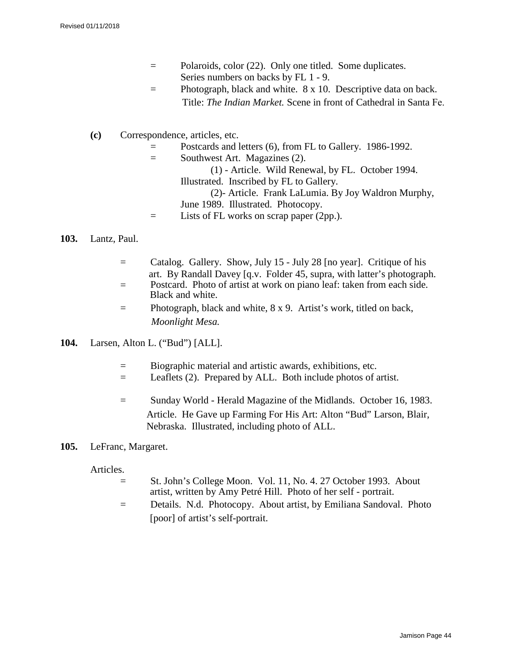- = Polaroids, color (22). Only one titled. Some duplicates. Series numbers on backs by FL 1 - 9.
- = Photograph, black and white. 8 x 10. Descriptive data on back. Title: *The Indian Market.* Scene in front of Cathedral in Santa Fe.
- **(c)** Correspondence, articles, etc.
	- = Postcards and letters (6), from FL to Gallery. 1986-1992.
	- = Southwest Art. Magazines (2).
		- (1) Article. Wild Renewal, by FL. October 1994.
		- Illustrated. Inscribed by FL to Gallery.

(2)- Article. Frank LaLumia. By Joy Waldron Murphy,

- June 1989. Illustrated. Photocopy.
- = Lists of FL works on scrap paper (2pp.).
- **103.** Lantz, Paul.
	- = Catalog. Gallery. Show, July 15 July 28 [no year]. Critique of his art. By Randall Davey [q.v. Folder 45, supra, with latter's photograph.
	- = Postcard. Photo of artist at work on piano leaf: taken from each side. Black and white.
	- = Photograph, black and white, 8 x 9. Artist's work, titled on back, *Moonlight Mesa.*
- **104.** Larsen, Alton L. ("Bud") [ALL].
	- = Biographic material and artistic awards, exhibitions, etc.
	- = Leaflets (2). Prepared by ALL. Both include photos of artist.
	- = Sunday World Herald Magazine of the Midlands. October 16, 1983. Article. He Gave up Farming For His Art: Alton "Bud" Larson, Blair, Nebraska. Illustrated, including photo of ALL.
- **105.** LeFranc, Margaret.

Articles.

- = St. John's College Moon. Vol. 11, No. 4. 27 October 1993. About artist, written by Amy Petré Hill. Photo of her self - portrait.
- = Details. N.d. Photocopy. About artist, by Emiliana Sandoval. Photo [poor] of artist's self-portrait.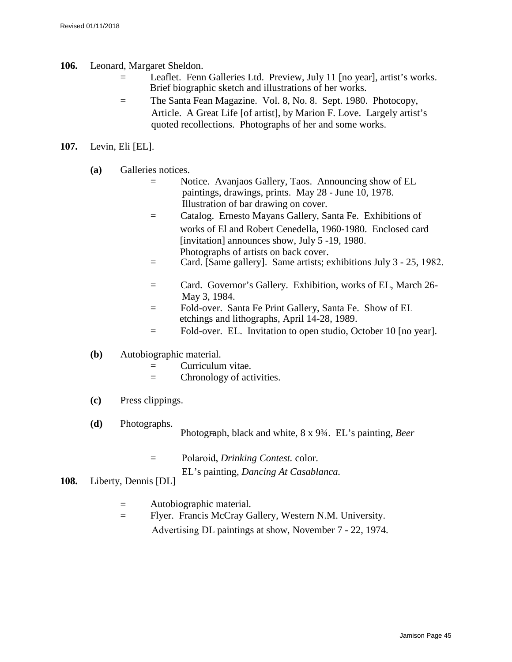- **106.** Leonard, Margaret Sheldon.
	- = Leaflet. Fenn Galleries Ltd. Preview, July 11 [no year], artist's works. Brief biographic sketch and illustrations of her works.
	- = The Santa Fean Magazine. Vol. 8, No. 8. Sept. 1980. Photocopy, Article. A Great Life [of artist], by Marion F. Love. Largely artist's quoted recollections. Photographs of her and some works.
- **107.** Levin, Eli [EL].
	- **(a)** Galleries notices.
		- = Notice. Avanjaos Gallery, Taos. Announcing show of EL paintings, drawings, prints. May 28 - June 10, 1978. Illustration of bar drawing on cover.
		- = Catalog. Ernesto Mayans Gallery, Santa Fe. Exhibitions of works of El and Robert Cenedella, 1960-1980. Enclosed card [invitation] announces show, July 5 -19, 1980. Photographs of artists on back cover.
		- = Card. [Same gallery]. Same artists; exhibitions July 3 25, 1982.
		- = Card. Governor's Gallery. Exhibition, works of EL, March 26- May 3, 1984.
		- = Fold-over. Santa Fe Print Gallery, Santa Fe. Show of EL etchings and lithographs, April 14-28, 1989.
		- = Fold-over. EL. Invitation to open studio, October 10 [no year].
	- **(b)** Autobiographic material.
		- $=$  Curriculum vitae.
		- = Chronology of activities.
	- **(c)** Press clippings.
	- **(d)** Photographs.
- Photograph, black and white, 8 x 9<sup>3</sup>/<sub>4</sub>. EL's painting, *Beer*
- = Polaroid, *Drinking Contest.* color.

EL's painting, *Dancing At Casablanca.*

- **108.** Liberty, Dennis [DL]
	- = Autobiographic material.
	- = Flyer. Francis McCray Gallery, Western N.M. University. Advertising DL paintings at show, November 7 - 22, 1974.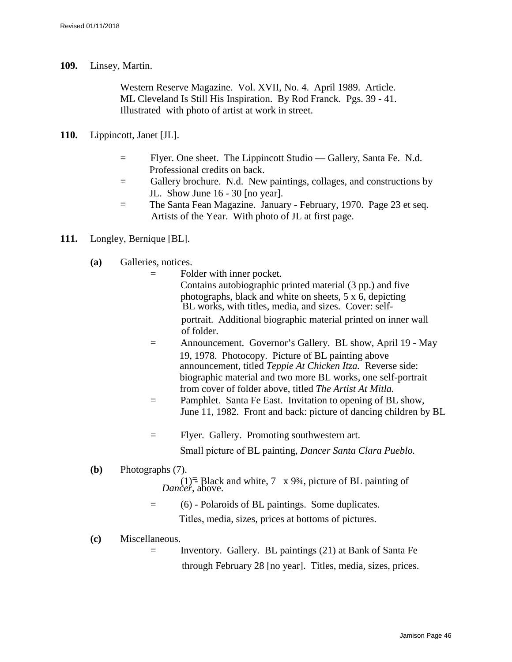**109.** Linsey, Martin.

Western Reserve Magazine. Vol. XVII, No. 4. April 1989. Article. ML Cleveland Is Still His Inspiration. By Rod Franck. Pgs. 39 - 41. Illustrated with photo of artist at work in street.

- **110.** Lippincott, Janet [JL].
	- = Flyer. One sheet. The Lippincott Studio — Gallery, Santa Fe. N.d. Professional credits on back.
	- = Gallery brochure. N.d. New paintings, collages, and constructions by JL. Show June 16 - 30 [no year].
	- = The Santa Fean Magazine. January - February, 1970. Page 23 et seq. Artists of the Year. With photo of JL at first page.
- **111.** Longley, Bernique [BL].
	- **(a)** Galleries, notices.
		- = Folder with inner pocket. Contains autobiographic printed material (3 pp.) and five photographs, black and white on sheets, 5 x 6, depicting BL works, with titles, media, and sizes. Cover: selfportrait. Additional biographic material printed on inner wall of folder.
		- = Announcement. Governor's Gallery. BL show, April 19 May 19, 1978. Photocopy. Picture of BL painting above announcement, titled *Teppie At Chicken Itza.* Reverse side: biographic material and two more BL works, one self-portrait from cover of folder above, titled *The Artist At Mitla.*
		- = Pamphlet. Santa Fe East. Invitation to opening of BL show, June 11, 1982. Front and back: picture of dancing children by BL
		- = Flyer. Gallery. Promoting southwestern art. Small picture of BL painting, *Dancer Santa Clara Pueblo.*
	- **(b)** Photographs (7). (1)= Black and white, 7 x 9<sup>3</sup>/<sub>4</sub>, picture of BL painting of *Dancer*, above.
		- = (6) Polaroids of BL paintings. Some duplicates. Titles, media, sizes, prices at bottoms of pictures.
	- **(c)** Miscellaneous.
		- = Inventory. Gallery. BL paintings (21) at Bank of Santa Fe through February 28 [no year]. Titles, media, sizes, prices.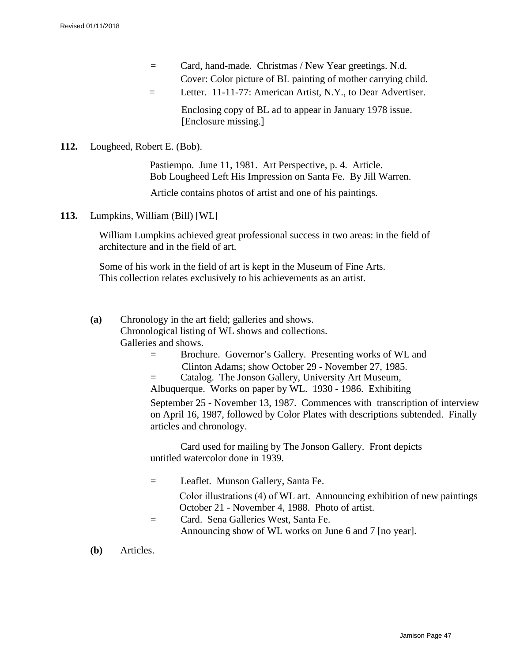- = = Card, hand-made. Christmas / New Year greetings. N.d. Cover: Color picture of BL painting of mother carrying child. Letter. 11-11-77: American Artist, N.Y., to Dear Advertiser.
	- Enclosing copy of BL ad to appear in January 1978 issue. [Enclosure missing.]

#### **112.** Lougheed, Robert E. (Bob).

Pastiempo. June 11, 1981. Art Perspective, p. 4. Article. Bob Lougheed Left His Impression on Santa Fe. By Jill Warren.

Article contains photos of artist and one of his paintings.

**113.** Lumpkins, William (Bill) [WL]

William Lumpkins achieved great professional success in two areas: in the field of architecture and in the field of art.

Some of his work in the field of art is kept in the Museum of Fine Arts. This collection relates exclusively to his achievements as an artist.

- **(a)** Chronology in the art field; galleries and shows. Chronological listing of WL shows and collections. Galleries and shows.
	- = Brochure. Governor's Gallery. Presenting works of WL and Clinton Adams; show October 29 - November 27, 1985.
	- = Catalog. The Jonson Gallery, University Art Museum,

Albuquerque. Works on paper by WL. 1930 - 1986. Exhibiting

September 25 - November 13, 1987. Commences with transcription of interview on April 16, 1987, followed by Color Plates with descriptions subtended. Finally articles and chronology.

Card used for mailing by The Jonson Gallery. Front depicts untitled watercolor done in 1939.

- = Leaflet. Munson Gallery, Santa Fe. Color illustrations (4) of WL art. Announcing exhibition of new paintings October 21 - November 4, 1988. Photo of artist.
- = Card. Sena Galleries West, Santa Fe. Announcing show of WL works on June 6 and 7 [no year].
- **(b)** Articles.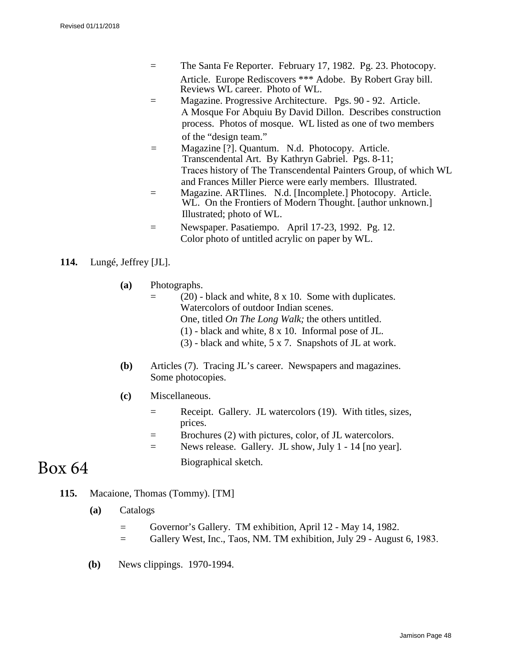- = The Santa Fe Reporter. February 17, 1982. Pg. 23. Photocopy. Article. Europe Rediscovers \*\*\* Adobe. By Robert Gray bill. Reviews WL career. Photo of WL.
- = Magazine. Progressive Architecture. Pgs. 90 92. Article. A Mosque For Abquiu By David Dillon. Describes construction process. Photos of mosque. WL listed as one of two members of the "design team."
- = Magazine [?]. Quantum. N.d. Photocopy. Article. Transcendental Art. By Kathryn Gabriel. Pgs. 8-11; Traces history of The Transcendental Painters Group, of which WL and Frances Miller Pierce were early members. Illustrated.
- = Magazine. ARTlines. N.d. [Incomplete.] Photocopy. Article. WL. On the Frontiers of Modern Thought. [author unknown.] Illustrated; photo of WL.
- = Newspaper. Pasatiempo. April 17-23, 1992. Pg. 12. Color photo of untitled acrylic on paper by WL.

# **114.** Lungé, Jeffrey [JL].

- **(a)** Photographs.
	- $=$  (20) black and white,  $8 \times 10$ . Some with duplicates. Watercolors of outdoor Indian scenes. One, titled *On The Long Walk;* the others untitled. (1) - black and white, 8 x 10. Informal pose of JL. (3) - black and white, 5 x 7. Snapshots of JL at work.
- **(b)** Articles (7). Tracing JL's career. Newspapers and magazines. Some photocopies.
- **(c)** Miscellaneous.
	- = Receipt. Gallery. JL watercolors (19). With titles, sizes, prices.
	- = Brochures (2) with pictures, color, of JL watercolors.
	- = News release. Gallery. JL show, July 1 14 [no year]. Biographical sketch.

# Box 64

- **115.** Macaione, Thomas (Tommy). [TM]
	- **(a)** Catalogs
		- = Governor's Gallery. TM exhibition, April 12 - May 14, 1982.
		- = Gallery West, Inc., Taos, NM. TM exhibition, July 29 - August 6, 1983.
	- **(b)** News clippings. 1970-1994.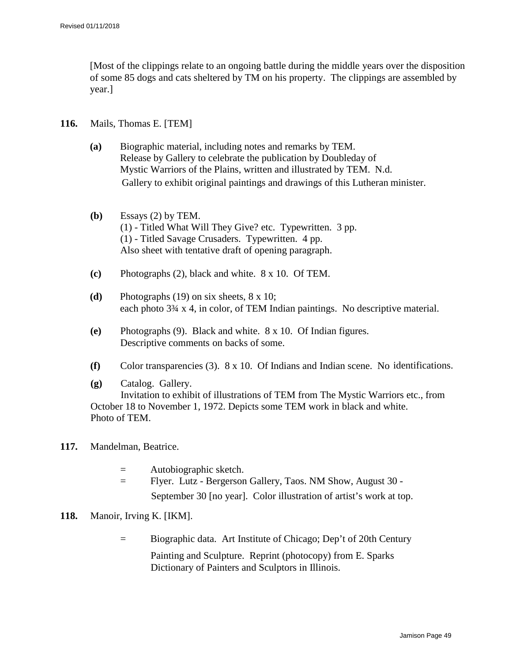[Most of the clippings relate to an ongoing battle during the middle years over the disposition of some 85 dogs and cats sheltered by TM on his property. The clippings are assembled by year.]

- **116.** Mails, Thomas E. [TEM]
	- **(a)** Biographic material, including notes and remarks by TEM. Release by Gallery to celebrate the publication by Doubleday of Mystic Warriors of the Plains, written and illustrated by TEM. N.d. Gallery to exhibit original paintings and drawings of this Lutheran minister.
	- **(b)** Essays (2) by TEM. (1) - Titled What Will They Give? etc. Typewritten. 3 pp. (1) - Titled Savage Crusaders. Typewritten. 4 pp. Also sheet with tentative draft of opening paragraph.
	- **(c)** Photographs (2), black and white. 8 x 10. Of TEM.
	- **(d)** Photographs (19) on six sheets, 8 x 10; each photo 3¾ x 4, in color, of TEM Indian paintings. No descriptive material.
	- **(e)** Photographs (9). Black and white. 8 x 10. Of Indian figures. Descriptive comments on backs of some.
	- **(f)** Color transparencies (3). 8 x 10. Of Indians and Indian scene. No identifications.
	- **(g)** Catalog. Gallery. Invitation to exhibit of illustrations of TEM from The Mystic Warriors etc., from October 18 to November 1, 1972. Depicts some TEM work in black and white. Photo of TEM.
- **117.** Mandelman, Beatrice.
	- = Autobiographic sketch.
	- = Flyer. Lutz Bergerson Gallery, Taos. NM Show, August 30 September 30 [no year]. Color illustration of artist's work at top.
- **118.** Manoir, Irving K. [IKM].
	- = Biographic data. Art Institute of Chicago; Dep't of 20th Century

Painting and Sculpture. Reprint (photocopy) from E. Sparks Dictionary of Painters and Sculptors in Illinois.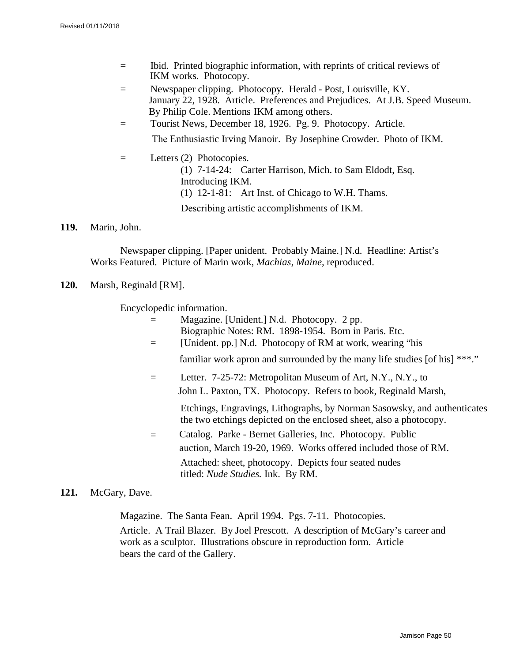- = Ibid. Printed biographic information, with reprints of critical reviews of IKM works. Photocopy.
- = Newspaper clipping. Photocopy. Herald Post, Louisville, KY. January 22, 1928. Article. Preferences and Prejudices. At J.B. Speed Museum. By Philip Cole. Mentions IKM among others.
- = Tourist News, December 18, 1926. Pg. 9. Photocopy. Article.

The Enthusiastic Irving Manoir. By Josephine Crowder. Photo of IKM.

= Letters (2) Photocopies. (1) 7-14-24: Carter Harrison, Mich. to Sam Eldodt, Esq. Introducing IKM. (1) 12-1-81: Art Inst. of Chicago to W.H. Thams. Describing artistic accomplishments of IKM.

**119.** Marin, John.

Newspaper clipping. [Paper unident. Probably Maine.] N.d. Headline: Artist's Works Featured. Picture of Marin work, *Machias, Maine,* reproduced.

**120.** Marsh, Reginald [RM].

Encyclopedic information.

- = Magazine. [Unident.] N.d. Photocopy. 2 pp. Biographic Notes: RM. 1898-1954. Born in Paris. Etc.
- = [Unident. pp.] N.d. Photocopy of RM at work, wearing "his

familiar work apron and surrounded by the many life studies [of his] \*\*\*."

= Letter. 7-25-72: Metropolitan Museum of Art, N.Y., N.Y., to John L. Paxton, TX. Photocopy. Refers to book, Reginald Marsh,

Etchings, Engravings, Lithographs, by Norman Sasowsky, and authenticates the two etchings depicted on the enclosed sheet, also a photocopy.

- = Catalog. Parke Bernet Galleries, Inc. Photocopy. Public auction, March 19-20, 1969. Works offered included those of RM. Attached: sheet, photocopy. Depicts four seated nudes titled: *Nude Studies.* Ink. By RM.
- **121.** McGary, Dave.

Magazine. The Santa Fean. April 1994. Pgs. 7-11. Photocopies.

Article. A Trail Blazer. By Joel Prescott. A description of McGary's career and work as a sculptor. Illustrations obscure in reproduction form. Article bears the card of the Gallery.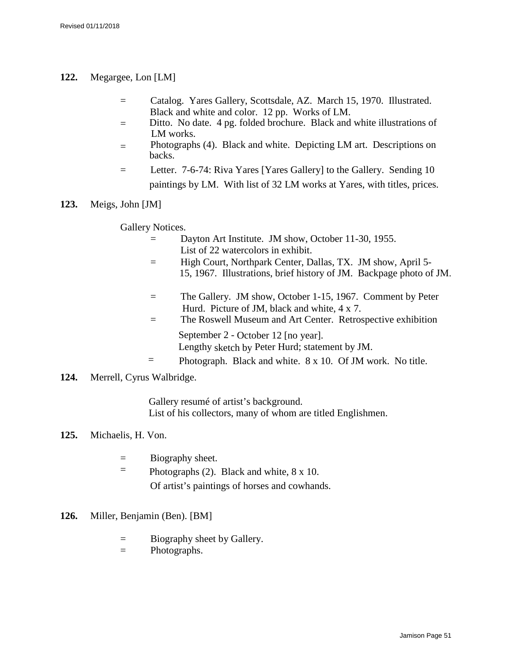# **122.** Megargee, Lon [LM]

- = Catalog. Yares Gallery, Scottsdale, AZ. March 15, 1970. Illustrated. Black and white and color. 12 pp. Works of LM.
- = Ditto. No date. 4 pg. folded brochure. Black and white illustrations of LM works.
- = Photographs (4). Black and white. Depicting LM art. Descriptions on backs.
- = Letter. 7-6-74: Riva Yares [Yares Gallery] to the Gallery. Sending 10 paintings by LM. With list of 32 LM works at Yares, with titles, prices.
- **123.** Meigs, John [JM]

Gallery Notices.

- = Dayton Art Institute. JM show, October 11-30, 1955. List of 22 watercolors in exhibit.
- = High Court, Northpark Center, Dallas, TX. JM show, April 5- 15, 1967. Illustrations, brief history of JM. Backpage photo of JM.
- = The Gallery. JM show, October 1-15, 1967. Comment by Peter Hurd. Picture of JM, black and white, 4 x 7.
- = The Roswell Museum and Art Center. Retrospective exhibition
	- September 2 October 12 [no year].
	- Lengthy sketch by Peter Hurd; statement by JM.
- = Photograph. Black and white. 8 x 10. Of JM work. No title.
- **124.** Merrell, Cyrus Walbridge.

Gallery resumé of artist's background. List of his collectors, many of whom are titled Englishmen.

# **125.** Michaelis, H. Von.

- = Biography sheet.
- = Photographs (2). Black and white, 8 x 10. Of artist's paintings of horses and cowhands.
- **126.** Miller, Benjamin (Ben). [BM]
	- = Biography sheet by Gallery.
	- = Photographs.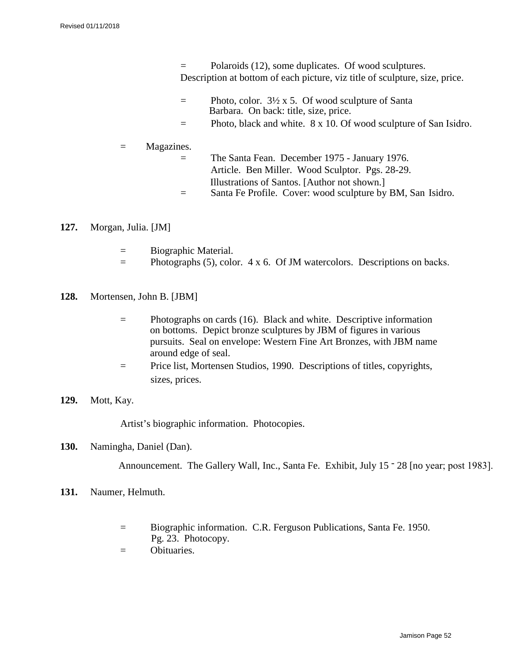| Polaroids (12), some duplicates. Of wood sculptures.                        |
|-----------------------------------------------------------------------------|
| Description at bottom of each picture, viz title of sculpture, size, price. |

- $=$  Photo, color.  $3\frac{1}{2} \times 5$ . Of wood sculpture of Santa Barbara. On back: title, size, price.
- = Photo, black and white. 8 x 10. Of wood sculpture of San Isidro.

# = Magazines.

= The Santa Fean. December 1975 - January 1976. Article. Ben Miller. Wood Sculptor. Pgs. 28-29. Illustrations of Santos. [Author not shown.] = Santa Fe Profile. Cover: wood sculpture by BM, San Isidro.

# **127.** Morgan, Julia. [JM]

- = Biographic Material.
- = Photographs (5), color. 4 x 6. Of JM watercolors. Descriptions on backs.
- **128.** Mortensen, John B. [JBM]
	- = Photographs on cards (16). Black and white. Descriptive information on bottoms. Depict bronze sculptures by JBM of figures in various pursuits. Seal on envelope: Western Fine Art Bronzes, with JBM name around edge of seal.
	- = Price list, Mortensen Studios, 1990. Descriptions of titles, copyrights, sizes, prices.
- **129.** Mott, Kay.

Artist's biographic information. Photocopies.

**130.** Namingha, Daniel (Dan).

Announcement. The Gallery Wall, Inc., Santa Fe. Exhibit, July 15 <sup>-</sup> 28 [no year; post 1983].

- **131.** Naumer, Helmuth.
	- = Biographic information. C.R. Ferguson Publications, Santa Fe. 1950. Pg. 23. Photocopy.
	- = Obituaries.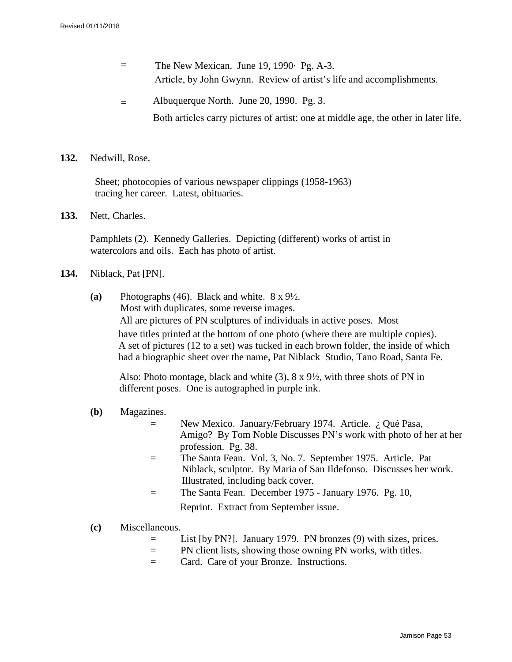- $=$  The New Mexican. June 19, 1990 $\cdot$  Pg. A-3. Article, by John Gwynn. Review of artist's life and accomplishments.
- $=$  Albuquerque North. June 20, 1990. Pg. 3. Both articles carry pictures of artist: one at middle age, the other in later life.
- **132.** Nedwill, Rose.

Sheet; photocopies of various newspaper clippings (1958-1963) tracing her career. Latest, obituaries.

**133.** Nett, Charles.

Pamphlets (2). Kennedy Galleries. Depicting (different) works of artist in watercolors and oils. Each has photo of artist.

- **134.** Niblack, Pat [PN].
	- **(a)** Photographs (46). Black and white. 8 x 9½. Most with duplicates, some reverse images. All are pictures of PN sculptures of individuals in active poses. Most have titles printed at the bottom of one photo (where there are multiple copies). A set of pictures (12 to a set) was tucked in each brown folder, the inside of which had a biographic sheet over the name, Pat Niblack Studio, Tano Road, Santa Fe.

Also: Photo montage, black and white  $(3)$ ,  $8 \times 9\frac{1}{2}$ , with three shots of PN in different poses. One is autographed in purple ink.

- **(b)** Magazines.
	- = New Mexico. January/February 1974. Article. ¿ Qué Pasa, Amigo? By Tom Noble Discusses PN's work with photo of her at her profession. Pg. 38.
	- = The Santa Fean. Vol. 3, No. 7. September 1975. Article. Pat Niblack, sculptor. By Maria of San Ildefonso. Discusses her work. Illustrated, including back cover.
	- = The Santa Fean. December 1975 January 1976. Pg. 10, Reprint. Extract from September issue.
- **(c)** Miscellaneous.
	- = List [by PN?]. January 1979. PN bronzes (9) with sizes, prices.
	- = PN client lists, showing those owning PN works, with titles.
	- = Card. Care of your Bronze. Instructions.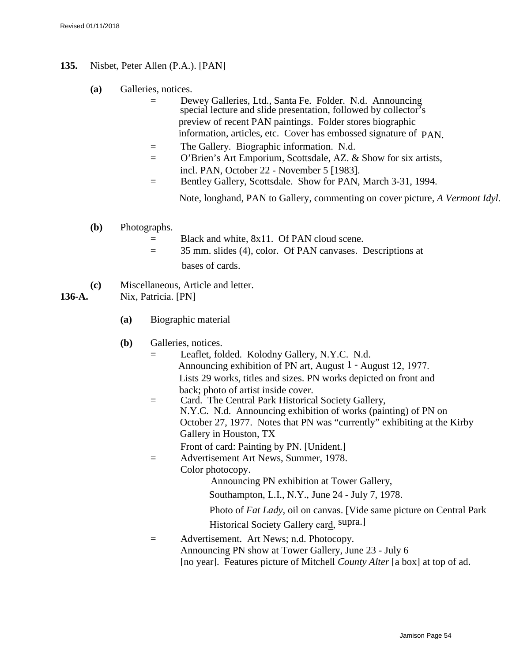- **135.** Nisbet, Peter Allen (P.A.). [PAN]
	- **(a)** Galleries, notices.
		- = Dewey Galleries, Ltd., Santa Fe. Folder. N.d. Announcing special lecture and slide presentation, followed by collector's preview of recent PAN paintings. Folder stores biographic information, articles, etc. Cover has embossed signature of PAN.
		- = The Gallery. Biographic information. N.d.
		- = O'Brien's Art Emporium, Scottsdale, AZ. & Show for six artists, incl. PAN, October 22 - November 5 [1983].
		- = Bentley Gallery, Scottsdale. Show for PAN, March 3-31, 1994.

Note, longhand, PAN to Gallery, commenting on cover picture, *A Vermont Idyl.* 

- **(b)** Photographs.
	- = Black and white, 8x11. Of PAN cloud scene.
	- = 35 mm. slides (4), color. Of PAN canvases. Descriptions at bases of cards.
- **(c)** Miscellaneous, Article and letter.
- **136-A.** Nix, Patricia. [PN]
	- **(a)** Biographic material
	- **(b)** Galleries, notices.
		- = Leaflet, folded. Kolodny Gallery, N.Y.C. N.d. Announcing exhibition of PN art, August 1 - August 12, 1977. Lists 29 works, titles and sizes. PN works depicted on front and back; photo of artist inside cover.
		- = Card. The Central Park Historical Society Gallery, N.Y.C. N.d. Announcing exhibition of works (painting) of PN on October 27, 1977. Notes that PN was "currently" exhibiting at the Kirby Gallery in Houston, TX

Front of card: Painting by PN. [Unident.]

= Advertisement Art News, Summer, 1978. Color photocopy.

Announcing PN exhibition at Tower Gallery,

Southampton, L.I., N.Y., June 24 - July 7, 1978.

Photo of *Fat Lady,* oil on canvas. [Vide same picture on Central Park Historical Society Gallery card, supra.]

= Advertisement. Art News; n.d. Photocopy. Announcing PN show at Tower Gallery, June 23 - July 6 [no year]. Features picture of Mitchell *County Alter* [a box] at top of ad.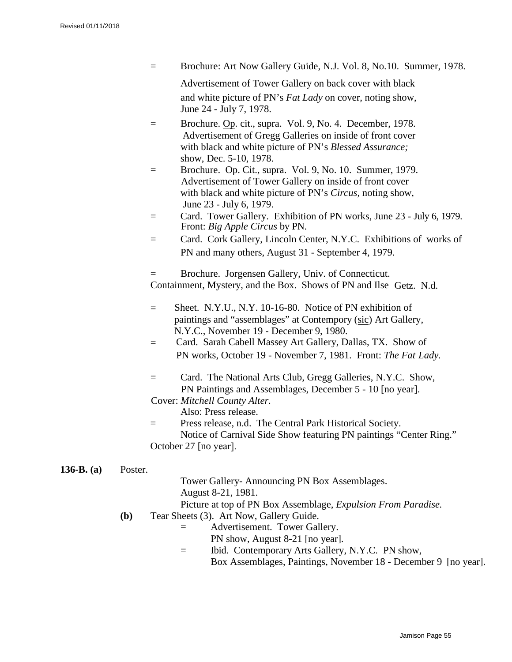| $=$ | Brochure: Art Now Gallery Guide, N.J. Vol. 8, No.10. Summer, 1978. |  |
|-----|--------------------------------------------------------------------|--|
|     | Advertisement of Tower Gallery on back cover with black            |  |

and white picture of PN's *Fat Lady* on cover, noting show, June 24 - July 7, 1978.

- = Brochure. Op. cit., supra. Vol. 9, No. 4. December, 1978. Advertisement of Gregg Galleries on inside of front cover with black and white picture of PN's *Blessed Assurance;* show, Dec. 5-10, 1978.
- $=$ Brochure. Op. Cit., supra. Vol. 9, No. 10. Summer, 1979. Advertisement of Tower Gallery on inside of front cover with black and white picture of PN's *Circus,* noting show, June 23 - July 6, 1979.
- = Card. Tower Gallery. Exhibition of PN works, June 23 July 6, 1979. Front: *Big Apple Circus* by PN.
- = Card. Cork Gallery, Lincoln Center, N.Y.C. Exhibitions of works of PN and many others, August 31 - September 4, 1979.

= Brochure. Jorgensen Gallery, Univ. of Connecticut. Containment, Mystery, and the Box. Shows of PN and Ilse Getz. N.d.

- = Sheet. N.Y.U., N.Y. 10-16-80. Notice of PN exhibition of paintings and "assemblages" at Contempory (sic) Art Gallery, N.Y.C., November 19 - December 9, 1980.
- = Card. Sarah Cabell Massey Art Gallery, Dallas, TX. Show of PN works, October 19 - November 7, 1981. Front: *The Fat Lady.*
- = Card. The National Arts Club, Gregg Galleries, N.Y.C. Show, PN Paintings and Assemblages, December 5 - 10 [no year].

Cover: *Mitchell County Alter.*

Also: Press release.

= Press release, n.d. The Central Park Historical Society. Notice of Carnival Side Show featuring PN paintings "Center Ring." October 27 [no year].

**136-B. (a)** Poster. Tower Gallery- Announcing PN Box Assemblages. August 8-21, 1981. Picture at top of PN Box Assemblage, *Expulsion From Paradise.* **(b)** Tear Sheets (3). Art Now, Gallery Guide. = Advertisement. Tower Gallery. = PN show, August 8-21 [no year]. Ibid. Contemporary Arts Gallery, N.Y.C. PN show, Box Assemblages, Paintings, November 18 - December 9 [no year].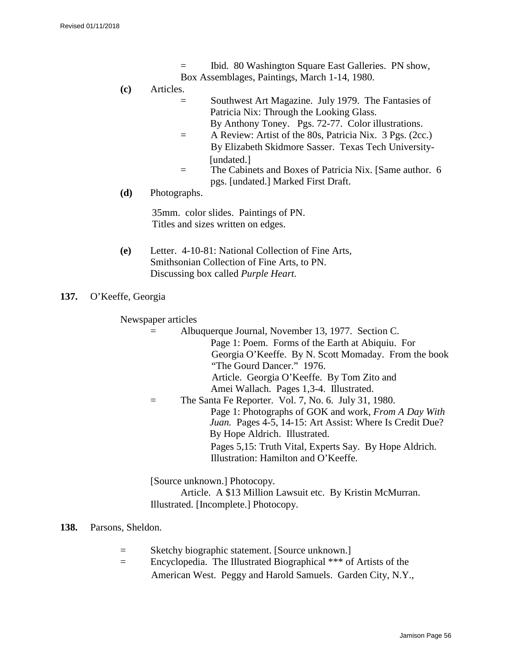- = Ibid. 80 Washington Square East Galleries. PN show, Box Assemblages, Paintings, March 1-14, 1980.
- **(c)** Articles.
	- = Southwest Art Magazine. July 1979. The Fantasies of Patricia Nix: Through the Looking Glass.
		- By Anthony Toney. Pgs. 72-77. Color illustrations.
		- = A Review: Artist of the 80s, Patricia Nix. 3 Pgs. (2cc.) By Elizabeth Skidmore Sasser. Texas Tech University- [undated.]
		- = The Cabinets and Boxes of Patricia Nix. [Same author. 6 pgs. [undated.] Marked First Draft.
- **(d)** Photographs.

35mm. color slides. Paintings of PN. Titles and sizes written on edges.

**(e)** Letter. 4-10-81: National Collection of Fine Arts, Smithsonian Collection of Fine Arts, to PN. Discussing box called *Purple Heart.*

# **137.** O'Keeffe, Georgia

#### Newspaper articles

- = Albuquerque Journal, November 13, 1977. Section C. Page 1: Poem. Forms of the Earth at Abiquiu. For Georgia O'Keeffe. By N. Scott Momaday. From the book "The Gourd Dancer." 1976. Article. Georgia O'Keeffe. By Tom Zito and Amei Wallach. Pages 1,3-4. Illustrated.
- = The Santa Fe Reporter. Vol. 7, No. 6. July 31, 1980. Page 1: Photographs of GOK and work, *From A Day With Juan.* Pages 4-5, 14-15: Art Assist: Where Is Credit Due? By Hope Aldrich. Illustrated. Pages 5,15: Truth Vital, Experts Say. By Hope Aldrich. Illustration: Hamilton and O'Keeffe.

[Source unknown.] Photocopy. Article. A \$13 Million Lawsuit etc. By Kristin McMurran. Illustrated. [Incomplete.] Photocopy.

#### **138.** Parsons, Sheldon.

- = Sketchy biographic statement. [Source unknown.]
- = Encyclopedia. The Illustrated Biographical \*\*\* of Artists of the American West. Peggy and Harold Samuels. Garden City, N.Y.,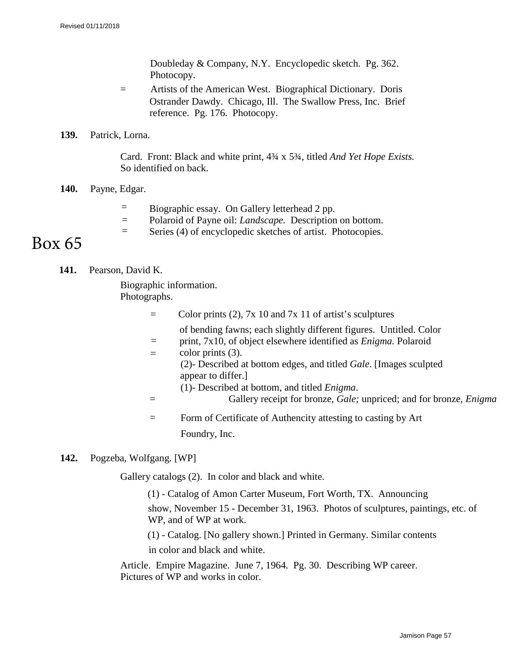Doubleday & Company, N.Y. Encyclopedic sketch. Pg. 362. Photocopy.

- = Artists of the American West. Biographical Dictionary. Doris Ostrander Dawdy. Chicago, Ill. The Swallow Press, Inc. Brief reference. Pg. 176. Photocopy.
- **139.** Patrick, Lorna.

Card. Front: Black and white print, 4¾ x 5¾, titled *And Yet Hope Exists.* So identified on back.

- **140.** Payne, Edgar.
	- = Biographic essay. On Gallery letterhead 2 pp.
	- = Polaroid of Payne oil: *Landscape.* Description on bottom.
	- = Series (4) of encyclopedic sketches of artist. Photocopies.

# Box 65

**141.** Pearson, David K.

Biographic information. Photographs.

- $=$  Color prints (2), 7x 10 and 7x 11 of artist's sculptures
- of bending fawns; each slightly different figures. Untitled. Color
- = print, 7x10, of object elsewhere identified as *Enigma.* Polaroid
- = color prints (3). (2)- Described at bottom edges, and titled *Gale*. [Images sculpted appear to differ.]
	- (1)- Described at bottom, and titled *Enigma*.
- = Gallery receipt for bronze, *Gale;* unpriced; and for bronze, *Enigma*
- = Form of Certificate of Authencity attesting to casting by Art Foundry, Inc.
- **142.** Pogzeba, Wolfgang. [WP]

Gallery catalogs (2). In color and black and white.

(1) - Catalog of Amon Carter Museum, Fort Worth, TX. Announcing

show, November 15 - December 31, 1963. Photos of sculptures, paintings, etc. of WP, and of WP at work.

(1) - Catalog. [No gallery shown.] Printed in Germany. Similar contents

in color and black and white.

Article. Empire Magazine. June 7, 1964. Pg. 30. Describing WP career. Pictures of WP and works in color.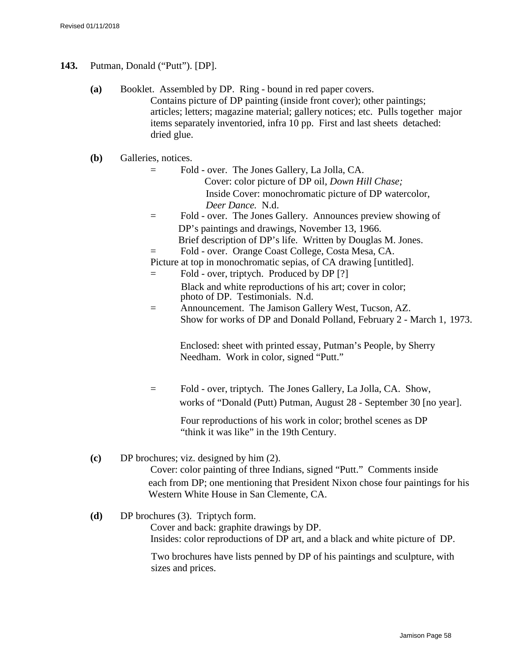- **143.** Putman, Donald ("Putt"). [DP].
	- **(a)** Booklet. Assembled by DP. Ring bound in red paper covers. Contains picture of DP painting (inside front cover); other paintings; articles; letters; magazine material; gallery notices; etc. Pulls together major items separately inventoried, infra 10 pp. First and last sheets detached: dried glue.
	- **(b)** Galleries, notices.
		- = Fold over. The Jones Gallery, La Jolla, CA.
			- Cover: color picture of DP oil, *Down Hill Chase;* Inside Cover: monochromatic picture of DP watercolor, *Deer Dance.* N.d.
		- = Fold over. The Jones Gallery. Announces preview showing of DP's paintings and drawings, November 13, 1966. Brief description of DP's life. Written by Douglas M. Jones.
		- = Fold over. Orange Coast College, Costa Mesa, CA.
		- Picture at top in monochromatic sepias, of CA drawing [untitled].
		- = Fold over, triptych. Produced by DP [?] Black and white reproductions of his art; cover in color; photo of DP. Testimonials. N.d.
		- = Announcement. The Jamison Gallery West, Tucson, AZ. Show for works of DP and Donald Polland, February 2 - March 1, 1973.

Enclosed: sheet with printed essay, Putman's People, by Sherry Needham. Work in color, signed "Putt."

= Fold - over, triptych. The Jones Gallery, La Jolla, CA. Show, works of "Donald (Putt) Putman, August 28 - September 30 [no year].

Four reproductions of his work in color; brothel scenes as DP "think it was like" in the 19th Century.

- **(c)** DP brochures; viz. designed by him (2). Cover: color painting of three Indians, signed "Putt." Comments inside each from DP; one mentioning that President Nixon chose four paintings for his Western White House in San Clemente, CA.
- **(d)** DP brochures (3). Triptych form. Cover and back: graphite drawings by DP. Insides: color reproductions of DP art, and a black and white picture of DP.

Two brochures have lists penned by DP of his paintings and sculpture, with sizes and prices.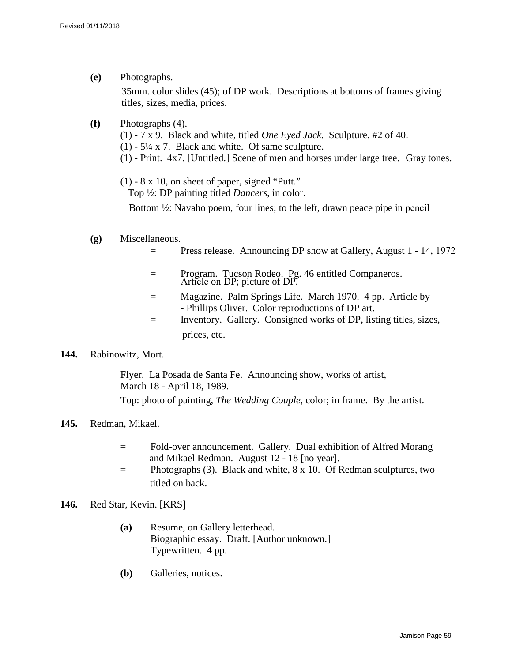**(e)** Photographs.

35mm. color slides (45); of DP work. Descriptions at bottoms of frames giving titles, sizes, media, prices.

- **(f)** Photographs (4).
	- (1) 7 x 9. Black and white, titled *One Eyed Jack.* Sculpture, #2 of 40.
	- (1)  $-5\frac{1}{4}$  x 7. Black and white. Of same sculpture.
	- (1) Print. 4x7. [Untitled.] Scene of men and horses under large tree. Gray tones.
	- $(1)$  8 x 10, on sheet of paper, signed "Putt." Top ½: DP painting titled *Dancers*, in color.

Bottom ½: Navaho poem, four lines; to the left, drawn peace pipe in pencil

- **(g)** Miscellaneous.
	- = Press release. Announcing DP show at Gallery, August 1 14, 1972
	- = Program. Tucson Rodeo. Pg. 46 entitled Companeros. Article on DP; picture of DP.
	- = Magazine. Palm Springs Life. March 1970. 4 pp. Article by - Phillips Oliver. Color reproductions of DP art.
	- = Inventory. Gallery. Consigned works of DP, listing titles, sizes, prices, etc.

# **144.** Rabinowitz, Mort.

Flyer. La Posada de Santa Fe. Announcing show, works of artist, March 18 - April 18, 1989. Top: photo of painting, *The Wedding Couple,* color; in frame. By the artist.

- **145.** Redman, Mikael.
	- = Fold-over announcement. Gallery. Dual exhibition of Alfred Morang and Mikael Redman. August 12 - 18 [no year].
	- $=$  Photographs (3). Black and white,  $8 \times 10$ . Of Redman sculptures, two titled on back.
- **146.** Red Star, Kevin. [KRS]
	- **(a)** Resume, on Gallery letterhead. Biographic essay. Draft. [Author unknown.] Typewritten. 4 pp.
	- **(b)** Galleries, notices.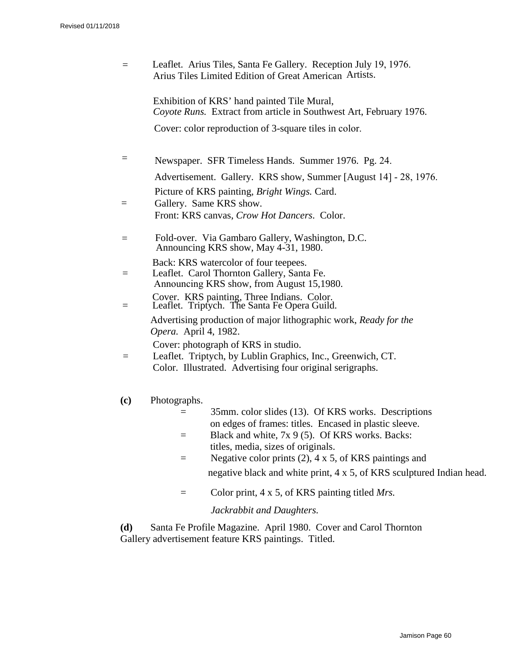= Leaflet. Arius Tiles, Santa Fe Gallery. Reception July 19, 1976. Arius Tiles Limited Edition of Great American Artists.

> Exhibition of KRS' hand painted Tile Mural, *Coyote Runs.* Extract from article in Southwest Art, February 1976.

Cover: color reproduction of 3-square tiles in color.

= Newspaper. SFR Timeless Hands. Summer 1976. Pg. 24.

Advertisement. Gallery. KRS show, Summer [August 14] - 28, 1976.

- Picture of KRS painting, *Bright Wings.* Card.
- = Gallery. Same KRS show. Front: KRS canvas, *Crow Hot Dancers*. Color.
- = Fold-over. Via Gambaro Gallery, Washington, D.C. Announcing KRS show, May 4-31, 1980.
- = Back: KRS watercolor of four teepees. Leaflet. Carol Thornton Gallery, Santa Fe. Announcing KRS show, from August 15,1980. Cover. KRS painting, Three Indians. Color.
- = Leaflet. Triptych. The Santa Fe Opera Guild.

Advertising production of major lithographic work, *Ready for the Opera.* April 4, 1982.

- Cover: photograph of KRS in studio.
- = Leaflet. Triptych, by Lublin Graphics, Inc., Greenwich, CT. Color. Illustrated. Advertising four original serigraphs.
- **(c)** Photographs.
	- = 35mm. color slides (13). Of KRS works. Descriptions on edges of frames: titles. Encased in plastic sleeve.
	- = Black and white, 7x 9 (5). Of KRS works. Backs: titles, media, sizes of originals.
	- = Negative color prints (2), 4 x 5, of KRS paintings and negative black and white print, 4 x 5, of KRS sculptured Indian head.
	- = Color print, 4 x 5, of KRS painting titled *Mrs.*

# *Jackrabbit and Daughters.*

**(d)** Santa Fe Profile Magazine. April 1980. Cover and Carol Thornton Gallery advertisement feature KRS paintings. Titled.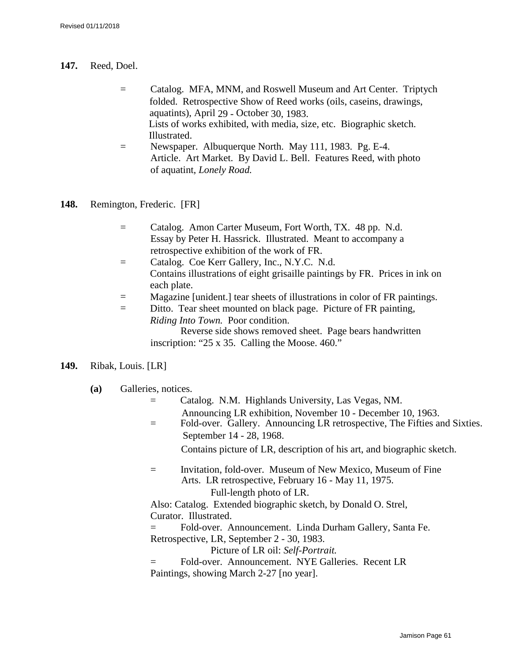- **147.** Reed, Doel.
	- = Catalog. MFA, MNM, and Roswell Museum and Art Center. Triptych folded. Retrospective Show of Reed works (oils, caseins, drawings, aquatints), April 29 - October 30, 1983. Lists of works exhibited, with media, size, etc. Biographic sketch. Illustrated.
	- = Newspaper. Albuquerque North. May 111, 1983. Pg. E-4. Article. Art Market. By David L. Bell. Features Reed, with photo of aquatint, *Lonely Road.*
- **148.** Remington, Frederic. [FR]
	- = Catalog. Amon Carter Museum, Fort Worth, TX. 48 pp. N.d. Essay by Peter H. Hassrick. Illustrated. Meant to accompany a retrospective exhibition of the work of FR.
	- = Catalog. Coe Kerr Gallery, Inc., N.Y.C. N.d. Contains illustrations of eight grisaille paintings by FR. Prices in ink on each plate.
	- = Magazine [unident.] tear sheets of illustrations in color of FR paintings.
	- = Ditto. Tear sheet mounted on black page. Picture of FR painting, *Riding Into Town.* Poor condition.

Reverse side shows removed sheet. Page bears handwritten inscription: "25 x 35. Calling the Moose. 460."

# **149.** Ribak, Louis. [LR]

- **(a)** Galleries, notices.
	- = Catalog. N.M. Highlands University, Las Vegas, NM. Announcing LR exhibition, November 10 - December 10, 1963.
	- = Fold-over. Gallery. Announcing LR retrospective, The Fifties and Sixties. September 14 - 28, 1968.

Contains picture of LR, description of his art, and biographic sketch.

= Invitation, fold-over. Museum of New Mexico, Museum of Fine Arts. LR retrospective, February 16 - May 11, 1975. Full-length photo of LR.

Also: Catalog. Extended biographic sketch, by Donald O. Strel, Curator. Illustrated.

= Fold-over. Announcement. Linda Durham Gallery, Santa Fe.

Retrospective, LR, September 2 - 30, 1983.

Picture of LR oil: *Self-Portrait.*

= Fold-over. Announcement. NYE Galleries. Recent LR Paintings, showing March 2-27 [no year].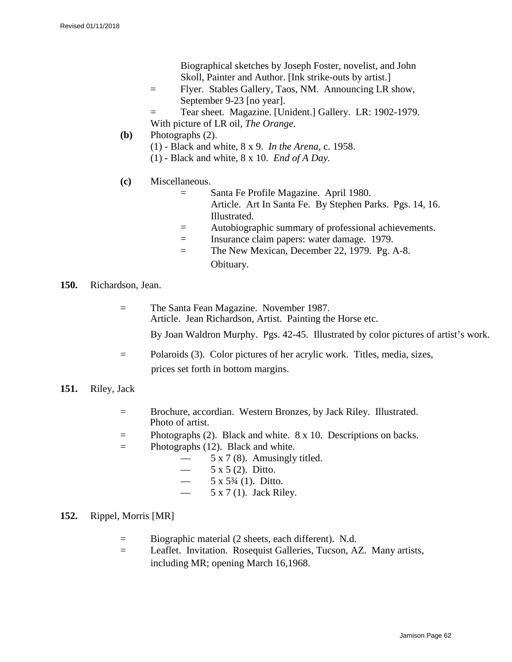Biographical sketches by Joseph Foster, novelist, and John Skoll, Painter and Author. [Ink strike-outs by artist.]

- = Flyer. Stables Gallery, Taos, NM. Announcing LR show, September 9-23 [no year].
- = Tear sheet. Magazine. [Unident.] Gallery. LR: 1902-1979. With picture of LR oil, *The Orange.*
- **(b)** Photographs (2).
	- (1) Black and white, 8 x 9. *In the Arena,* c. 1958.
	- (1) Black and white, 8 x 10. *End of A Day.*

# **(c)** Miscellaneous.

- = Santa Fe Profile Magazine. April 1980. Article. Art In Santa Fe. By Stephen Parks. Pgs. 14, 16. Illustrated.
- = Autobiographic summary of professional achievements.
- = Insurance claim papers: water damage. 1979.
- = The New Mexican, December 22, 1979. Pg. A-8. Obituary.

# **150.** Richardson, Jean.

= The Santa Fean Magazine. November 1987. Article. Jean Richardson, Artist. Painting the Horse etc.

By Joan Waldron Murphy. Pgs. 42-45. Illustrated by color pictures of artist's work.

- = Polaroids (3). Color pictures of her acrylic work. Titles, media, sizes, prices set forth in bottom margins.
- **151.** Riley, Jack
	- = Brochure, accordian. Western Bronzes, by Jack Riley. Illustrated. Photo of artist.
	- = Photographs (2). Black and white. 8 x 10. Descriptions on backs.
	- = Photographs (12). Black and white.
		- $5 \times 7$  (8). Amusingly titled.
		- $5 \times 5 (2)$ . Ditto.
		- 5 x 5¾ (1). Ditto.
		- $-$  5 x 7 (1). Jack Riley.

# **152.** Rippel, Morris [MR]

- = Biographic material (2 sheets, each different). N.d.
- = Leaflet. Invitation. Rosequist Galleries, Tucson, AZ. Many artists, including MR; opening March 16,1968.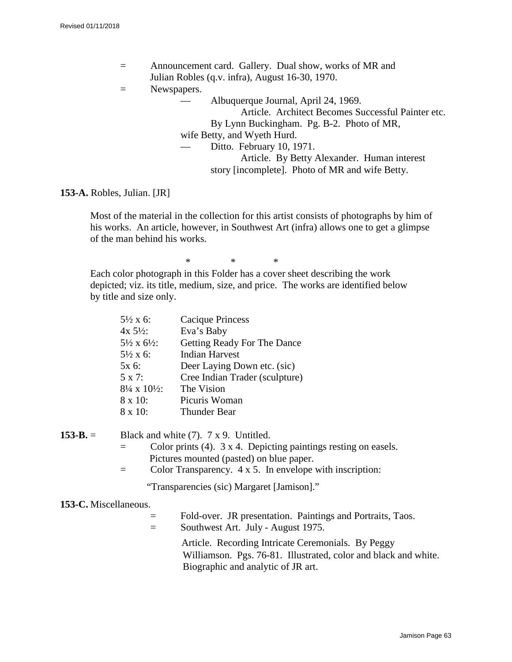= Announcement card. Gallery. Dual show, works of MR and Julian Robles (q.v. infra), August 16-30, 1970.

```
= 
Newspapers.
```
— Albuquerque Journal, April 24, 1969. Article. Architect Becomes Successful Painter etc. By Lynn Buckingham. Pg. B-2. Photo of MR, wife Betty, and Wyeth Hurd. — Ditto. February 10, 1971. Article. By Betty Alexander. Human interest story [incomplete]. Photo of MR and wife Betty.

**153-A.** Robles, Julian. [JR]

Most of the material in the collection for this artist consists of photographs by him of his works. An article, however, in Southwest Art (infra) allows one to get a glimpse of the man behind his works.

\* \* \*

Each color photograph in this Folder has a cover sheet describing the work depicted; viz. its title, medium, size, and price. The works are identified below by title and size only.

| $5\frac{1}{2}$ x 6:                   | Cacique Princess               |
|---------------------------------------|--------------------------------|
| $4x\,5\frac{1}{2}$ :                  | Eva's Baby                     |
| $5\frac{1}{2} \times 6\frac{1}{2}$    | Getting Ready For The Dance    |
| $5\frac{1}{2}$ x 6:                   | <b>Indian Harvest</b>          |
| 5x 6:                                 | Deer Laying Down etc. (sic)    |
| 5 x 7:                                | Cree Indian Trader (sculpture) |
| $8\frac{1}{4} \times 10\frac{1}{2}$ : | The Vision                     |
| $8 \times 10$ :                       | Picuris Woman                  |
| $8 \times 10$ :                       | Thunder Bear                   |

**153-B.** = Black and white (7). 7 x 9. Untitled.

- $=$  Color prints (4).  $3 \times 4$ . Depicting paintings resting on easels. Pictures mounted (pasted) on blue paper.
- $=$  Color Transparency.  $4 \times 5$ . In envelope with inscription:

"Transparencies (sic) Margaret [Jamison]."

#### **153-C.** Miscellaneous.

- = Fold-over. JR presentation. Paintings and Portraits, Taos.
- = Southwest Art. July August 1975.

Article. Recording Intricate Ceremonials. By Peggy Williamson. Pgs. 76-81. Illustrated, color and black and white. Biographic and analytic of JR art.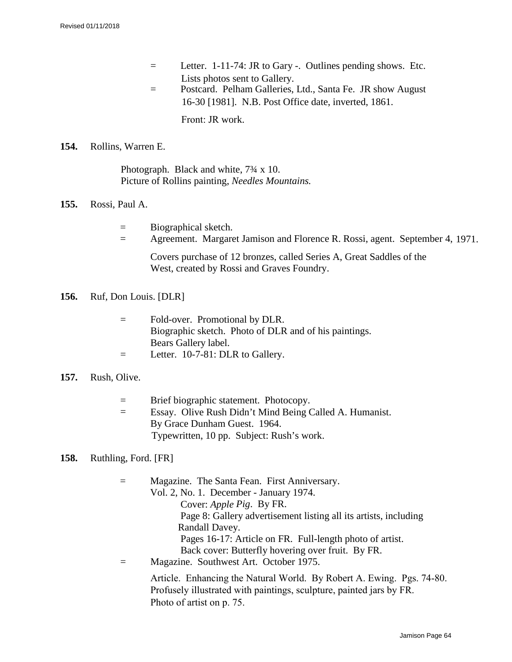- = Letter. 1-11-74: JR to Gary -. Outlines pending shows. Etc. Lists photos sent to Gallery.
- = Postcard. Pelham Galleries, Ltd., Santa Fe. JR show August 16-30 [1981]. N.B. Post Office date, inverted, 1861.

Front: JR work.

**154.** Rollins, Warren E.

Photograph. Black and white,  $7\frac{3}{4} \times 10$ . Picture of Rollins painting, *Needles Mountains.*

- **155.** Rossi, Paul A.
	- = Biographical sketch.
	- = Agreement. Margaret Jamison and Florence R. Rossi, agent. September 4, 1971.

Covers purchase of 12 bronzes, called Series A, Great Saddles of the West, created by Rossi and Graves Foundry.

- **156.** Ruf, Don Louis. [DLR]
	- = Fold-over. Promotional by DLR. Biographic sketch. Photo of DLR and of his paintings. Bears Gallery label.
	- = Letter. 10-7-81: DLR to Gallery.

# **157.** Rush, Olive.

- = Brief biographic statement. Photocopy.
- = Essay. Olive Rush Didn't Mind Being Called A. Humanist. By Grace Dunham Guest. 1964. Typewritten, 10 pp. Subject: Rush's work.

# **158.** Ruthling, Ford. [FR]

| Magazine. The Santa Fean. First Anniversary.                          |
|-----------------------------------------------------------------------|
| Vol. 2, No. 1. December - January 1974.                               |
| Cover: <i>Apple Pig.</i> By FR.                                       |
| Page 8: Gallery advertisement listing all its artists, including      |
| Randall Davey.                                                        |
| Pages 16-17: Article on FR. Full-length photo of artist.              |
| Back cover: Butterfly hovering over fruit. By FR.                     |
| Magazine. Southwest Art. October 1975.                                |
| Article. Enhancing the Natural World. By Robert A. Ewing. Pgs. 74-80. |

Profusely illustrated with paintings, sculpture, painted jars by FR. Photo of artist on p. 75.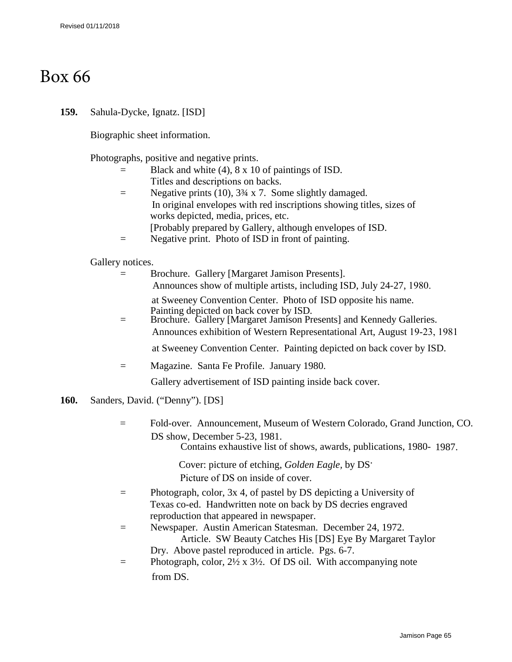# Box 66

**159.** Sahula-Dycke, Ignatz. [ISD]

Biographic sheet information.

Photographs, positive and negative prints.

- $=$ Black and white (4), 8 x 10 of paintings of ISD. Titles and descriptions on backs.
- = Negative prints (10), 3¾ x 7. Some slightly damaged. In original envelopes with red inscriptions showing titles, sizes of works depicted, media, prices, etc.
	- [Probably prepared by Gallery, although envelopes of ISD.
- = Negative print. Photo of ISD in front of painting.

Gallery notices.

- = Brochure. Gallery [Margaret Jamison Presents]. Announces show of multiple artists, including ISD, July 24-27, 1980. at Sweeney Convention Center. Photo of ISD opposite his name. Painting depicted on back cover by ISD.
- = Brochure. Gallery [Margaret Jamison Presents] and Kennedy Galleries. Announces exhibition of Western Representational Art, August 19-23, 1981

at Sweeney Convention Center. Painting depicted on back cover by ISD.

= Magazine. Santa Fe Profile. January 1980.

Gallery advertisement of ISD painting inside back cover.

- **160.** Sanders, David. ("Denny"). [DS]
	- = Fold-over. Announcement, Museum of Western Colorado, Grand Junction, CO. DS show, December 5-23, 1981.

Contains exhaustive list of shows, awards, publications, 1980- 1987.

Cover: picture of etching, *Golden Eagle,* by DS. Picture of DS on inside of cover.

- = Photograph, color, 3x 4, of pastel by DS depicting a University of Texas co-ed. Handwritten note on back by DS decries engraved reproduction that appeared in newspaper.
- = Newspaper. Austin American Statesman. December 24, 1972. Article. SW Beauty Catches His [DS] Eye By Margaret Taylor
	- Dry. Above pastel reproduced in article. Pgs. 6-7.
- $=$  Photograph, color,  $2\frac{1}{2} \times 3\frac{1}{2}$ . Of DS oil. With accompanying note from DS.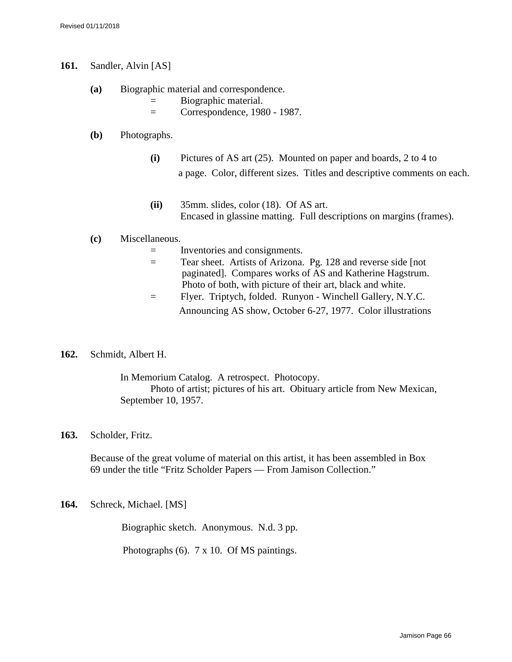- **161.** Sandler, Alvin [AS]
	- **(a)** Biographic material and correspondence.
		- = Biographic material.
		- = Correspondence, 1980 1987.

#### **(b)** Photographs.

- **(i)** Pictures of AS art (25). Mounted on paper and boards, 2 to 4 to a page. Color, different sizes. Titles and descriptive comments on each.
- **(ii)** 35mm. slides, color (18). Of AS art. Encased in glassine matting. Full descriptions on margins (frames).

#### **(c)** Miscellaneous.

- = Inventories and consignments.
- = Tear sheet. Artists of Arizona. Pg. 128 and reverse side [not paginated]. Compares works of AS and Katherine Hagstrum. Photo of both, with picture of their art, black and white.
- = Flyer. Triptych, folded. Runyon Winchell Gallery, N.Y.C. Announcing AS show, October 6-27, 1977. Color illustrations

#### **162.** Schmidt, Albert H.

In Memorium Catalog. A retrospect. Photocopy. Photo of artist; pictures of his art. Obituary article from New Mexican, September 10, 1957.

**163.** Scholder, Fritz.

Because of the great volume of material on this artist, it has been assembled in Box 69 under the title "Fritz Scholder Papers — From Jamison Collection."

**164.** Schreck, Michael. [MS]

Biographic sketch. Anonymous. N.d. 3 pp.

Photographs (6). 7 x 10. Of MS paintings.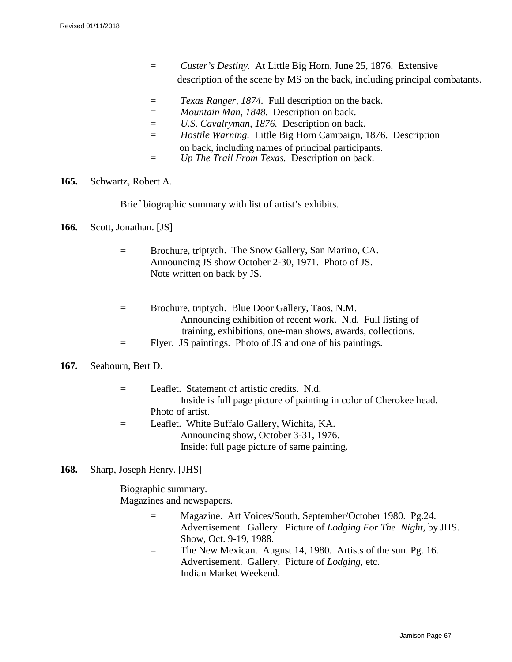- = *Custer's Destiny.* At Little Big Horn, June 25, 1876. Extensive description of the scene by MS on the back, including principal combatants.
- = *Texas Ranger, 1874.* Full description on the back.
- = *Mountain Man, 1848.* Description on back.
- = *U.S. Cavalryman, 1876.* Description on back.
- = *Hostile Warning.* Little Big Horn Campaign, 1876. Description on back, including names of principal participants.
- = *Up The Trail From Texas.* Description on back.
- **165.** Schwartz, Robert A.

Brief biographic summary with list of artist's exhibits.

- **166.** Scott, Jonathan. [JS]
	- = Brochure, triptych. The Snow Gallery, San Marino, CA. Announcing JS show October 2-30, 1971. Photo of JS. Note written on back by JS.
	- = Brochure, triptych. Blue Door Gallery, Taos, N.M. Announcing exhibition of recent work. N.d. Full listing of training, exhibitions, one-man shows, awards, collections.
	- = Flyer. JS paintings. Photo of JS and one of his paintings.

#### **167.** Seabourn, Bert D.

- = Leaflet. Statement of artistic credits. N.d. Inside is full page picture of painting in color of Cherokee head. Photo of artist. = Leaflet. White Buffalo Gallery, Wichita, KA.
- Announcing show, October 3-31, 1976. Inside: full page picture of same painting.
- **168.** Sharp, Joseph Henry. [JHS]

Biographic summary. Magazines and newspapers.

- = Magazine. Art Voices/South, September/October 1980. Pg.24. Advertisement. Gallery. Picture of *Lodging For The Night,* by JHS. Show, Oct. 9-19, 1988.
- = The New Mexican. August 14, 1980. Artists of the sun. Pg. 16. Advertisement. Gallery. Picture of *Lodging,* etc. Indian Market Weekend.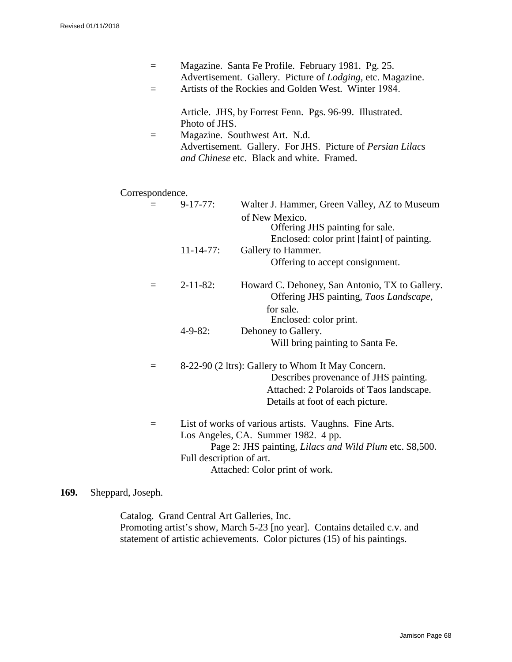| $=$             |                          | Magazine. Santa Fe Profile. February 1981. Pg. 25.                                                                                                                                                  |
|-----------------|--------------------------|-----------------------------------------------------------------------------------------------------------------------------------------------------------------------------------------------------|
| $=$             |                          | Advertisement. Gallery. Picture of Lodging, etc. Magazine.<br>Artists of the Rockies and Golden West. Winter 1984.                                                                                  |
| $=$             | Photo of JHS.            | Article. JHS, by Forrest Fenn. Pgs. 96-99. Illustrated.<br>Magazine. Southwest Art. N.d.<br>Advertisement. Gallery. For JHS. Picture of Persian Lilacs<br>and Chinese etc. Black and white. Framed. |
| Correspondence. |                          |                                                                                                                                                                                                     |
|                 | $9-17-77$ :              | Walter J. Hammer, Green Valley, AZ to Museum<br>of New Mexico.<br>Offering JHS painting for sale.<br>Enclosed: color print [faint] of painting.                                                     |
|                 | $11 - 14 - 77$ :         | Gallery to Hammer.<br>Offering to accept consignment.                                                                                                                                               |
| $=$             | $2 - 11 - 82$ :          | Howard C. Dehoney, San Antonio, TX to Gallery.<br>Offering JHS painting, Taos Landscape,<br>for sale.<br>Enclosed: color print.                                                                     |
|                 | $4 - 9 - 82$ :           | Dehoney to Gallery.<br>Will bring painting to Santa Fe.                                                                                                                                             |
| $=$             |                          | 8-22-90 (2 ltrs): Gallery to Whom It May Concern.<br>Describes provenance of JHS painting.<br>Attached: 2 Polaroids of Taos landscape.<br>Details at foot of each picture.                          |
| $=$             | Full description of art. | List of works of various artists. Vaughns. Fine Arts.<br>Los Angeles, CA. Summer 1982. 4 pp.<br>Page 2: JHS painting, Lilacs and Wild Plum etc. \$8,500.<br>Attached: Color print of work.          |

# **169.** Sheppard, Joseph.

Catalog. Grand Central Art Galleries, Inc. Promoting artist's show, March 5-23 [no year]. Contains detailed c.v. and statement of artistic achievements. Color pictures (15) of his paintings.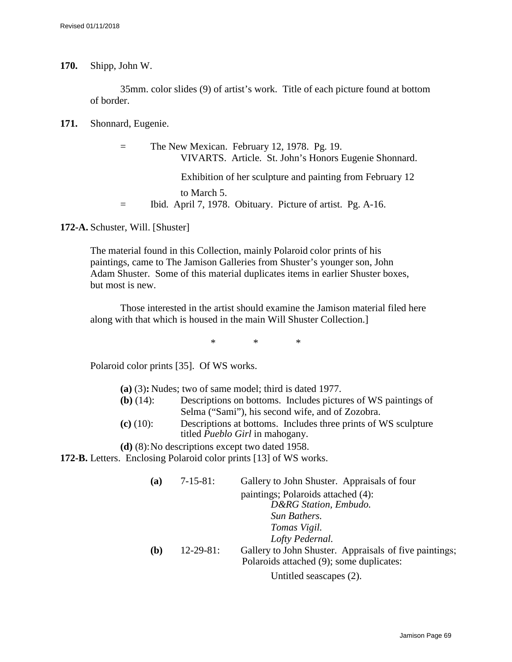**170.** Shipp, John W.

35mm. color slides (9) of artist's work. Title of each picture found at bottom of border.

#### **171.** Shonnard, Eugenie.

= The New Mexican. February 12, 1978. Pg. 19. VIVARTS. Article. St. John's Honors Eugenie Shonnard. Exhibition of her sculpture and painting from February 12  $=$ to March 5. Ibid. April 7, 1978. Obituary. Picture of artist. Pg. A-16.

**172-A.** Schuster, Will. [Shuster]

The material found in this Collection, mainly Polaroid color prints of his paintings, came to The Jamison Galleries from Shuster's younger son, John Adam Shuster. Some of this material duplicates items in earlier Shuster boxes, but most is new.

Those interested in the artist should examine the Jamison material filed here along with that which is housed in the main Will Shuster Collection.]

\* \* \*

Polaroid color prints [35]. Of WS works.

|                     | (a) $(3)$ : Nudes; two of same model; third is dated 1977.                                               |
|---------------------|----------------------------------------------------------------------------------------------------------|
| <b>(b)</b> $(14)$ : | Descriptions on bottoms. Includes pictures of WS paintings of                                            |
|                     | Selma ("Sami"), his second wife, and of Zozobra.                                                         |
| (c) $(10)$ :        | Descriptions at bottoms. Includes three prints of WS sculpture<br>titled <i>Pueblo Girl</i> in mahogany. |
|                     | (d) $(8)$ : No descriptions except two dated 1958.                                                       |
|                     | <b>172-B.</b> Letters. Enclosing Polaroid color prints [13] of WS works.                                 |

| (a) | $7 - 15 - 81$ :  | Gallery to John Shuster. Appraisals of four            |
|-----|------------------|--------------------------------------------------------|
|     |                  | paintings; Polaroids attached (4):                     |
|     |                  | D&RG Station, Embudo.                                  |
|     |                  | Sun Bathers.                                           |
|     |                  | Tomas Vigil.                                           |
|     |                  | Lofty Pedernal.                                        |
| (b) | $12 - 29 - 81$ : | Gallery to John Shuster. Appraisals of five paintings; |
|     |                  | Polaroids attached (9); some duplicates:               |
|     |                  | $Iinitial$ concorned $(2)$                             |

Untitled seascapes (2).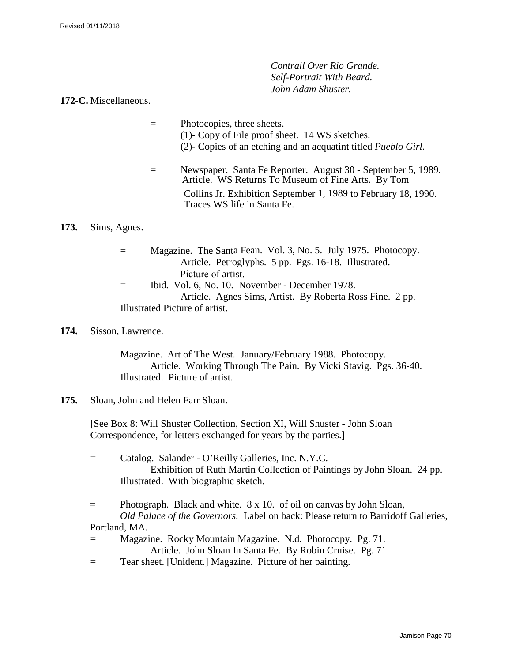*Contrail Over Rio Grande. Self-Portrait With Beard. John Adam Shuster.*

#### **172-C.** Miscellaneous.

- = Photocopies, three sheets. (1)- Copy of File proof sheet. 14 WS sketches. (2)- Copies of an etching and an acquatint titled *Pueblo Girl.*
- = Newspaper. Santa Fe Reporter. August 30 September 5, 1989. Article. WS Returns To Museum of Fine Arts. By Tom Collins Jr. Exhibition September 1, 1989 to February 18, 1990. Traces WS life in Santa Fe.

#### **173.** Sims, Agnes.

- = Magazine. The Santa Fean. Vol. 3, No. 5. July 1975. Photocopy. Article. Petroglyphs. 5 pp. Pgs. 16-18. Illustrated. Picture of artist.  $=$  Ibid. Vol. 6, No. 10. November - December 1978.
- Article. Agnes Sims, Artist. By Roberta Ross Fine. 2 pp. Illustrated Picture of artist.
- **174.** Sisson, Lawrence.

Magazine. Art of The West. January/February 1988. Photocopy. Article. Working Through The Pain. By Vicki Stavig. Pgs. 36-40. Illustrated. Picture of artist.

**175.** Sloan, John and Helen Farr Sloan.

[See Box 8: Will Shuster Collection, Section XI, Will Shuster - John Sloan Correspondence, for letters exchanged for years by the parties.]

= Catalog. Salander - O'Reilly Galleries, Inc. N.Y.C. Exhibition of Ruth Martin Collection of Paintings by John Sloan. 24 pp. Illustrated. With biographic sketch.

= Photograph. Black and white. 8 x 10. of oil on canvas by John Sloan, *Old Palace of the Governors.* Label on back: Please return to Barridoff Galleries, Portland, MA.

- = Magazine. Rocky Mountain Magazine. N.d. Photocopy. Pg. 71. Article. John Sloan In Santa Fe. By Robin Cruise. Pg. 71
- = Tear sheet. [Unident.] Magazine. Picture of her painting.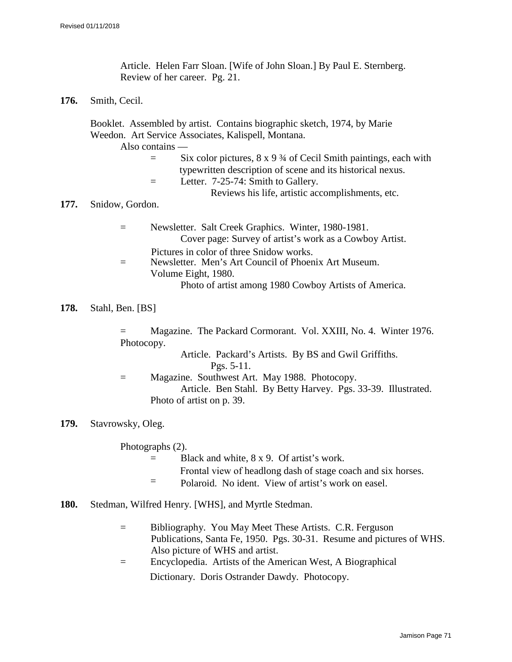Article. Helen Farr Sloan. [Wife of John Sloan.] By Paul E. Sternberg. Review of her career. Pg. 21.

**176.** Smith, Cecil.

Booklet. Assembled by artist. Contains biographic sketch, 1974, by Marie Weedon. Art Service Associates, Kalispell, Montana.

Also contains —

- $=$  Six color pictures,  $8 \times 9 \frac{3}{4}$  of Cecil Smith paintings, each with typewritten description of scene and its historical nexus.
- = Letter. 7-25-74: Smith to Gallery.
	- Reviews his life, artistic accomplishments, etc.

#### **177.** Snidow, Gordon.

- = Newsletter. Salt Creek Graphics. Winter, 1980-1981. Cover page: Survey of artist's work as a Cowboy Artist. Pictures in color of three Snidow works.
- = Newsletter. Men's Art Council of Phoenix Art Museum. Volume Eight, 1980. Photo of artist among 1980 Cowboy Artists of America.

# **178.** Stahl, Ben. [BS]

= Magazine. The Packard Cormorant. Vol. XXIII, No. 4. Winter 1976. Photocopy.

Article. Packard's Artists. By BS and Gwil Griffiths. Pgs. 5-11.

= Magazine. Southwest Art. May 1988. Photocopy. Article. Ben Stahl. By Betty Harvey. Pgs. 33-39. Illustrated. Photo of artist on p. 39.

#### **179.** Stavrowsky, Oleg.

Photographs (2).

- = Black and white, 8 x 9. Of artist's work.
	- Frontal view of headlong dash of stage coach and six horses.
- = Polaroid. No ident. View of artist's work on easel.

# **180.** Stedman, Wilfred Henry. [WHS], and Myrtle Stedman.

- = Bibliography. You May Meet These Artists. C.R. Ferguson Publications, Santa Fe, 1950. Pgs. 30-31. Resume and pictures of WHS. Also picture of WHS and artist.
- = Encyclopedia. Artists of the American West, A Biographical Dictionary. Doris Ostrander Dawdy. Photocopy.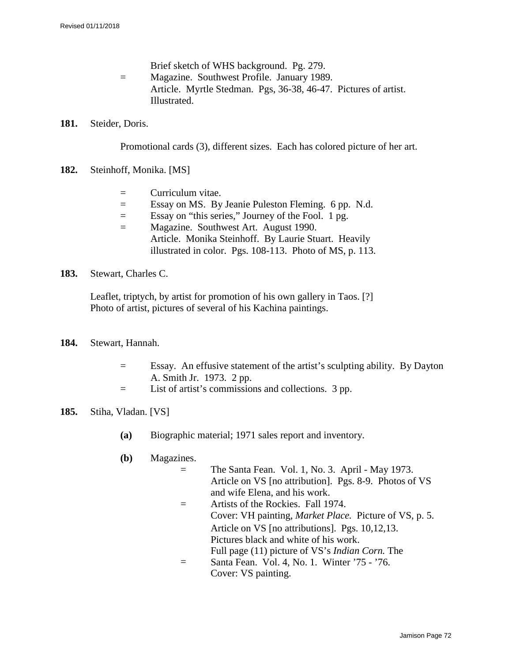| Brief sketch of WHS background. Pg. 279.                        |
|-----------------------------------------------------------------|
| Magazine. Southwest Profile. January 1989.                      |
| Article. Myrtle Stedman. Pgs, 36-38, 46-47. Pictures of artist. |
| Illustrated.                                                    |

#### **181.** Steider, Doris.

Promotional cards (3), different sizes. Each has colored picture of her art.

**182.** Steinhoff, Monika. [MS]

- = Essay on MS. By Jeanie Puleston Fleming. 6 pp. N.d.
- = Essay on "this series," Journey of the Fool. 1 pg.
- = Magazine. Southwest Art. August 1990. Article. Monika Steinhoff. By Laurie Stuart. Heavily illustrated in color. Pgs. 108-113. Photo of MS, p. 113.
- **183.** Stewart, Charles C.

Leaflet, triptych, by artist for promotion of his own gallery in Taos. [?] Photo of artist, pictures of several of his Kachina paintings.

- **184.** Stewart, Hannah.
	- = Essay. An effusive statement of the artist's sculpting ability. By Dayton A. Smith Jr. 1973. 2 pp.
	- = List of artist's commissions and collections. 3 pp.
- **185.** Stiha, Vladan. [VS]
	- **(a)** Biographic material; 1971 sales report and inventory.
	- **(b)** Magazines.
		- $=$  The Santa Fean. Vol. 1, No. 3. April May 1973. Article on VS [no attribution]. Pgs. 8-9. Photos of VS and wife Elena, and his work.
		- = Artists of the Rockies. Fall 1974. Cover: VH painting, *Market Place.* Picture of VS, p. 5. Article on VS [no attributions]. Pgs. 10,12,13. Pictures black and white of his work. Full page (11) picture of VS's *Indian Corn.* The
		- = Santa Fean. Vol. 4, No. 1. Winter '75 - '76. Cover: VS painting.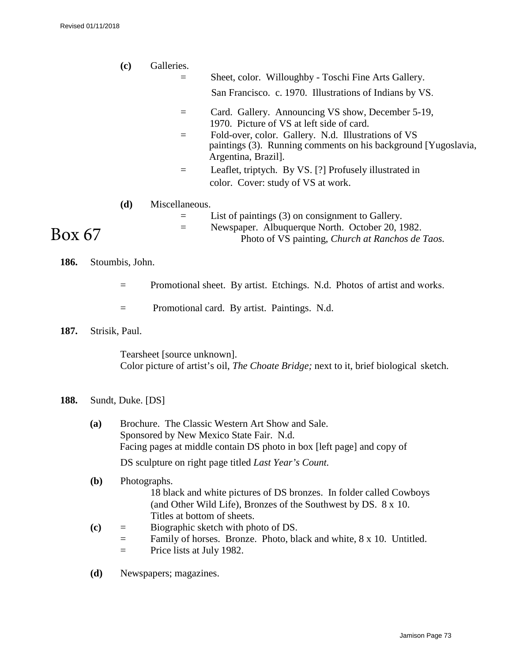|        |                | (c)               | Galleries.<br>$=$                                                                                                     | Sheet, color. Willoughby - Toschi Fine Arts Gallery.<br>San Francisco. c. 1970. Illustrations of Indians by VS.                                                                                                                                                                                                                                |  |
|--------|----------------|-------------------|-----------------------------------------------------------------------------------------------------------------------|------------------------------------------------------------------------------------------------------------------------------------------------------------------------------------------------------------------------------------------------------------------------------------------------------------------------------------------------|--|
|        |                |                   | $\equiv$<br>$\equiv$<br>$\equiv$                                                                                      | Card. Gallery. Announcing VS show, December 5-19,<br>1970. Picture of VS at left side of card.<br>Fold-over, color. Gallery. N.d. Illustrations of VS<br>paintings (3). Running comments on his background [Yugoslavia,<br>Argentina, Brazil].<br>Leaflet, triptych. By VS. [?] Profusely illustrated in<br>color. Cover: study of VS at work. |  |
| Box 67 |                | (d)               | Miscellaneous.<br>$=$<br>$=$                                                                                          | List of paintings (3) on consignment to Gallery.<br>Newspaper. Albuquerque North. October 20, 1982.<br>Photo of VS painting, Church at Ranchos de Taos.                                                                                                                                                                                        |  |
| 186.   |                | Stoumbis, John.   |                                                                                                                       |                                                                                                                                                                                                                                                                                                                                                |  |
|        |                | $=$               |                                                                                                                       | Promotional sheet. By artist. Etchings. N.d. Photos of artist and works.                                                                                                                                                                                                                                                                       |  |
|        |                | $=$               | Promotional card. By artist. Paintings. N.d.                                                                          |                                                                                                                                                                                                                                                                                                                                                |  |
| 187.   | Strisik, Paul. |                   |                                                                                                                       |                                                                                                                                                                                                                                                                                                                                                |  |
|        |                |                   | Tearsheet [source unknown].<br>Color picture of artist's oil, The Choate Bridge; next to it, brief biological sketch. |                                                                                                                                                                                                                                                                                                                                                |  |
| 188.   |                | Sundt, Duke. [DS] |                                                                                                                       |                                                                                                                                                                                                                                                                                                                                                |  |

| (a) | Brochure. The Classic Western Art Show and Sale.<br>Sponsored by New Mexico State Fair. N.d.<br>Facing pages at middle contain DS photo in box [left page] and copy of |                                                                                                                                                                      |  |
|-----|------------------------------------------------------------------------------------------------------------------------------------------------------------------------|----------------------------------------------------------------------------------------------------------------------------------------------------------------------|--|
|     |                                                                                                                                                                        | DS sculpture on right page titled <i>Last Year's Count</i> .                                                                                                         |  |
| (b) | Photographs.                                                                                                                                                           | 18 black and white pictures of DS bronzes. In folder called Cowboys<br>(and Other Wild Life), Bronzes of the Southwest by DS. 8 x 10.<br>Titles at bottom of sheets. |  |
| (c) | $=$                                                                                                                                                                    | Biographic sketch with photo of DS.                                                                                                                                  |  |
|     | $=$                                                                                                                                                                    | Family of horses. Bronze. Photo, black and white, 8 x 10. Untitled.                                                                                                  |  |
|     |                                                                                                                                                                        | Price lists at July 1982.                                                                                                                                            |  |

**(d)** Newspapers; magazines.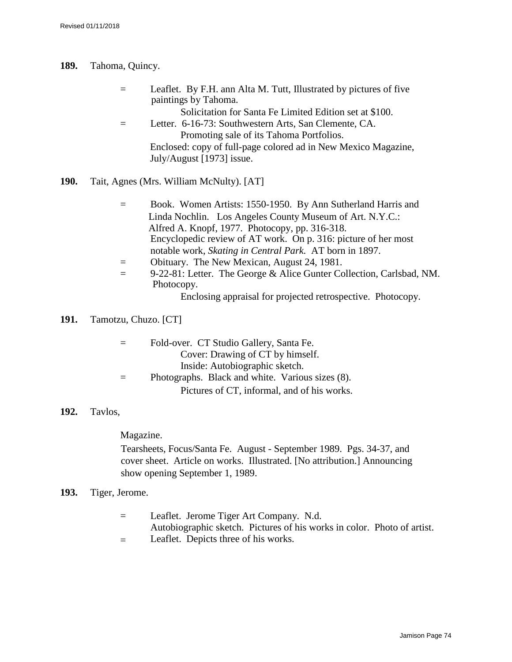- **189.** Tahoma, Quincy.
	- = Leaflet. By F.H. ann Alta M. Tutt, Illustrated by pictures of five paintings by Tahoma.
		- Solicitation for Santa Fe Limited Edition set at \$100.
	- = Letter. 6-16-73: Southwestern Arts, San Clemente, CA. Promoting sale of its Tahoma Portfolios. Enclosed: copy of full-page colored ad in New Mexico Magazine, July/August [1973] issue.
- **190.** Tait, Agnes (Mrs. William McNulty). [AT]
	- = Book. Women Artists: 1550-1950. By Ann Sutherland Harris and Linda Nochlin. Los Angeles County Museum of Art. N.Y.C.: Alfred A. Knopf, 1977. Photocopy, pp. 316-318. Encyclopedic review of AT work. On p. 316: picture of her most notable work, *Skating in Central Park.* AT born in 1897.
	- = Obituary. The New Mexican, August 24, 1981.
	- = 9-22-81: Letter. The George & Alice Gunter Collection, Carlsbad, NM. Photocopy.

Enclosing appraisal for projected retrospective. Photocopy.

### **191.** Tamotzu, Chuzo. [CT]

| Fold-over. CT Studio Gallery, Santa Fe.          |
|--------------------------------------------------|
| Cover: Drawing of CT by himself.                 |
| Inside: Autobiographic sketch.                   |
| Photographs. Black and white. Various sizes (8). |
| Pictures of CT, informal, and of his works.      |

### **192.** Tavlos,

Magazine.

Tearsheets, Focus/Santa Fe. August - September 1989. Pgs. 34-37, and cover sheet. Article on works. Illustrated. [No attribution.] Announcing show opening September 1, 1989.

- **193.** Tiger, Jerome.
	- = Leaflet. Jerome Tiger Art Company. N.d. Autobiographic sketch. Pictures of his works in color. Photo of artist.
	- = Leaflet. Depicts three of his works.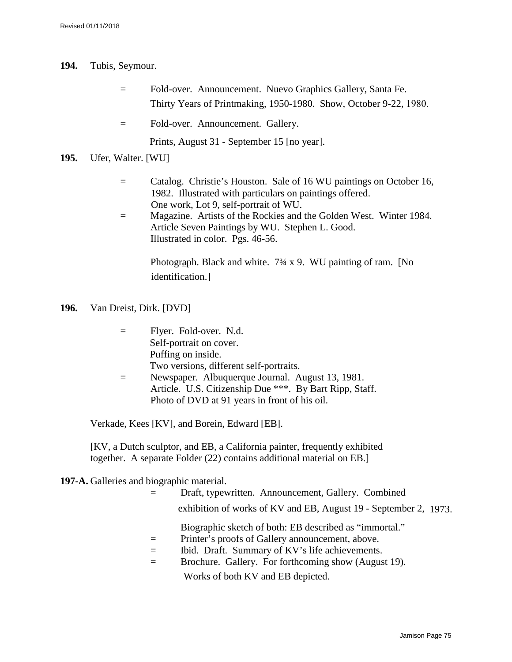- **194.** Tubis, Seymour.
	- = Fold-over. Announcement. Nuevo Graphics Gallery, Santa Fe. Thirty Years of Printmaking, 1950-1980. Show, October 9-22, 1980.
	- = Fold-over. Announcement. Gallery.

Prints, August 31 - September 15 [no year].

- **195.** Ufer, Walter. [WU]
	- = Catalog. Christie's Houston. Sale of 16 WU paintings on October 16, 1982. Illustrated with particulars on paintings offered. One work, Lot 9, self-portrait of WU.
	- = Magazine. Artists of the Rockies and the Golden West. Winter 1984. Article Seven Paintings by WU. Stephen L. Good. Illustrated in color. Pgs. 46-56.

Photograph. Black and white.  $7\frac{3}{4}$  x 9. WU painting of ram. [No identification.]

**196.** Van Dreist, Dirk. [DVD]

| Flyer. Fold-over. N.d.                                  |
|---------------------------------------------------------|
| Self-portrait on cover.                                 |
| Puffing on inside.                                      |
| Two versions, different self-portraits.                 |
| Newspaper. Albuquerque Journal. August 13, 1981.        |
| Article. U.S. Citizenship Due ***. By Bart Ripp, Staff. |
| Photo of DVD at 91 years in front of his oil.           |

Verkade, Kees [KV], and Borein, Edward [EB].

[KV, a Dutch sculptor, and EB, a California painter, frequently exhibited together. A separate Folder (22) contains additional material on EB.]

### **197-A.** Galleries and biographic material.

= Draft, typewritten. Announcement, Gallery. Combined

exhibition of works of KV and EB, August 19 - September 2, 1973.

Biographic sketch of both: EB described as "immortal."

- = Printer's proofs of Gallery announcement, above.
- $=$ Ibid. Draft. Summary of KV's life achievements.
- = Brochure. Gallery. For forthcoming show (August 19). Works of both KV and EB depicted.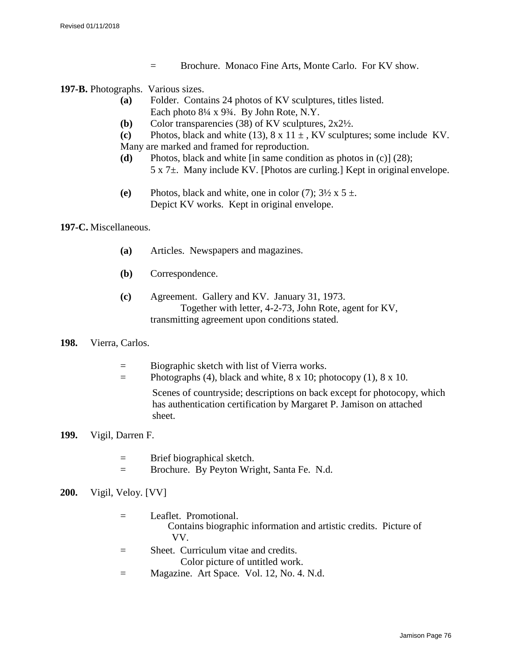= Brochure. Monaco Fine Arts, Monte Carlo. For KV show.

**197-B.** Photographs. Various sizes.

- **(a)** Folder. Contains 24 photos of KV sculptures, titles listed. Each photo  $8\frac{1}{4}$  x  $9\frac{3}{4}$ . By John Rote, N.Y.
- **(b)** Color transparencies (38) of KV sculptures, 2x2½.
- **(c)** Photos, black and white (13),  $8 \times 11 \pm$ , KV sculptures; some include KV. Many are marked and framed for reproduction.
- **(d)** Photos, black and white [in same condition as photos in (c)] (28);  $5 \times 7 \pm$ . Many include KV. [Photos are curling.] Kept in original envelope.
- **(e)** Photos, black and white, one in color (7);  $3\frac{1}{2} \times 5 \pm$ . Depict KV works. Kept in original envelope.

### **197-C.** Miscellaneous.

- **(a)** Articles. Newspapers and magazines.
- **(b)** Correspondence.
- **(c)** Agreement. Gallery and KV. January 31, 1973. Together with letter, 4-2-73, John Rote, agent for KV, transmitting agreement upon conditions stated.
- **198.** Vierra, Carlos.
	- = Biographic sketch with list of Vierra works.
	- $=$  Photographs (4), black and white,  $8 \times 10$ ; photocopy (1),  $8 \times 10$ .

Scenes of countryside; descriptions on back except for photocopy, which has authentication certification by Margaret P. Jamison on attached sheet.

### **199.** Vigil, Darren F.

- = Brief biographical sketch.
- = Brochure. By Peyton Wright, Santa Fe. N.d.

### **200.** Vigil, Veloy. [VV]

- = Leaflet. Promotional. Contains biographic information and artistic credits. Picture of VV.
- $=$  Sheet. Curriculum vitae and credits.
	- Color picture of untitled work.
- = Magazine. Art Space. Vol. 12, No. 4. N.d.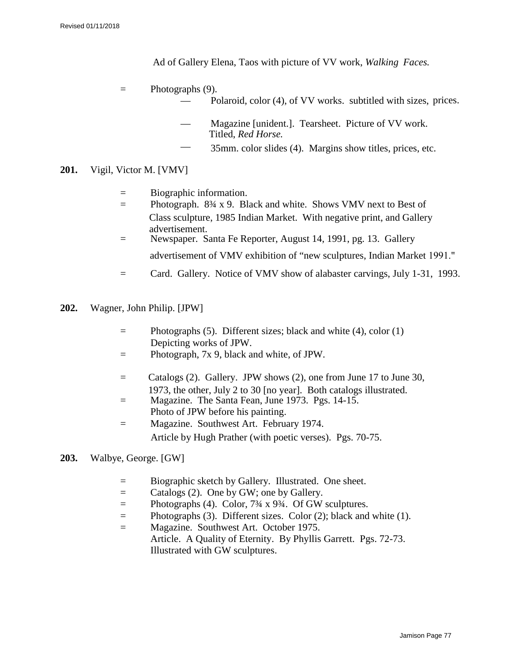Ad of Gallery Elena, Taos with picture of VV work, *Walking Faces.*

- = Photographs (9).
	- Polaroid, color (4), of VV works. subtitled with sizes, prices.
	- Magazine [unident.]. Tearsheet. Picture of VV work. Titled, *Red Horse.*
	- 35mm. color slides (4). Margins show titles, prices, etc.
- **201.** Vigil, Victor M. [VMV]
	- = Biographic information.
	- = Photograph. 8¾ x 9. Black and white. Shows VMV next to Best of Class sculpture, 1985 Indian Market. With negative print, and Gallery advertisement.
	- = Newspaper. Santa Fe Reporter, August 14, 1991, pg. 13. Gallery advertisement of VMV exhibition of "new sculptures, Indian Market 1991."
	- = Card. Gallery. Notice of VMV show of alabaster carvings, July 1-31, 1993.
- **202.** Wagner, John Philip. [JPW]
	- = Photographs (5). Different sizes; black and white (4), color (1) Depicting works of JPW.
	- = Photograph, 7x 9, black and white, of JPW.
	- = Catalogs (2). Gallery. JPW shows (2), one from June 17 to June 30, 1973, the other, July 2 to 30 [no year]. Both catalogs illustrated.
	- = Magazine. The Santa Fean, June 1973. Pgs. 14-15. Photo of JPW before his painting.
	- = Magazine. Southwest Art. February 1974. Article by Hugh Prather (with poetic verses). Pgs. 70-75.
- **203.** Walbye, George. [GW]
	- = Biographic sketch by Gallery. Illustrated. One sheet.
	- = Catalogs (2). One by GW; one by Gallery.
	- = Photographs (4). Color, 7¾ x 9¾. Of GW sculptures.
	- $=$  Photographs (3). Different sizes. Color (2); black and white (1).
	- = Magazine. Southwest Art. October 1975. Article. A Quality of Eternity. By Phyllis Garrett. Pgs. 72-73. Illustrated with GW sculptures.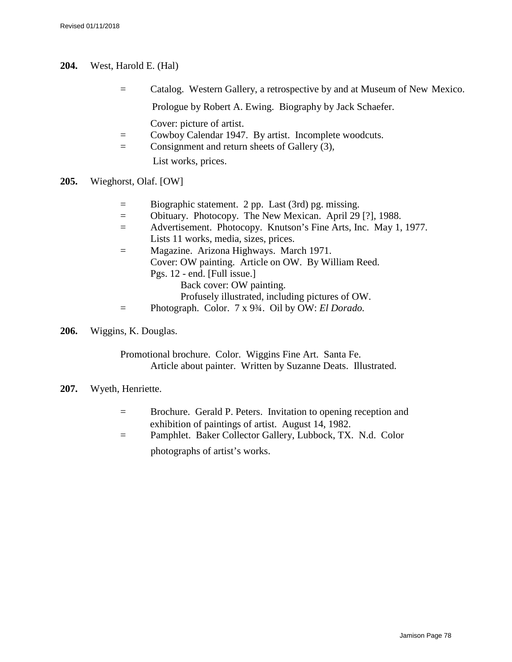- **204.** West, Harold E. (Hal)
	- = Catalog. Western Gallery, a retrospective by and at Museum of New Mexico.

Prologue by Robert A. Ewing. Biography by Jack Schaefer.

- Cover: picture of artist.
- = Cowboy Calendar 1947. By artist. Incomplete woodcuts.
- = Consignment and return sheets of Gallery (3),

List works, prices.

- **205.** Wieghorst, Olaf. [OW]
	- = Biographic statement. 2 pp. Last (3rd) pg. missing.
	- = Obituary. Photocopy. The New Mexican. April 29 [?], 1988.
	- = Advertisement. Photocopy. Knutson's Fine Arts, Inc. May 1, 1977. Lists 11 works, media, sizes, prices.
	- = Magazine. Arizona Highways. March 1971. Cover: OW painting. Article on OW. By William Reed. Pgs. 12 - end. [Full issue.] Back cover: OW painting.

Profusely illustrated, including pictures of OW.

- = Photograph. Color. 7 x 9¾. Oil by OW: *El Dorado.*
- **206.** Wiggins, K. Douglas.

Promotional brochure. Color. Wiggins Fine Art. Santa Fe. Article about painter. Written by Suzanne Deats. Illustrated.

- **207.** Wyeth, Henriette.
	- = Brochure. Gerald P. Peters. Invitation to opening reception and exhibition of paintings of artist. August 14, 1982.
	- = Pamphlet. Baker Collector Gallery, Lubbock, TX. N.d. Color photographs of artist's works.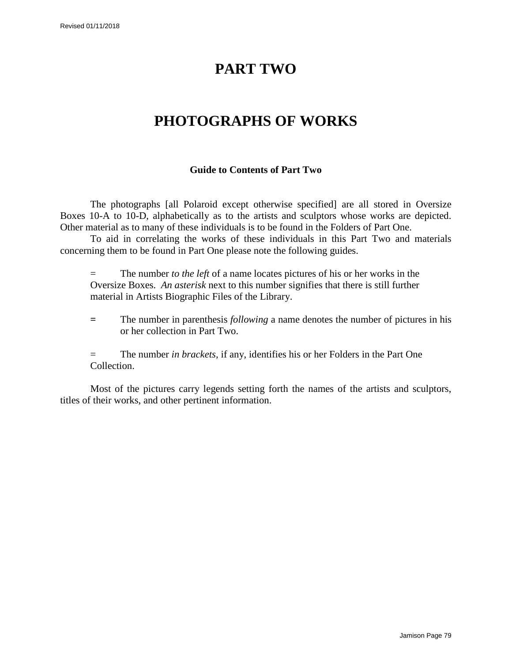## **PART TWO**

## **PHOTOGRAPHS OF WORKS**

### **Guide to Contents of Part Two**

The photographs [all Polaroid except otherwise specified] are all stored in Oversize Boxes 10-A to 10-D, alphabetically as to the artists and sculptors whose works are depicted. Other material as to many of these individuals is to be found in the Folders of Part One.

To aid in correlating the works of these individuals in this Part Two and materials concerning them to be found in Part One please note the following guides.

= The number *to the left* of a name locates pictures of his or her works in the Oversize Boxes. *An asterisk* next to this number signifies that there is still further material in Artists Biographic Files of the Library.

**=** The number in parenthesis *following* a name denotes the number of pictures in his or her collection in Part Two.

= The number *in brackets,* if any, identifies his or her Folders in the Part One Collection.

Most of the pictures carry legends setting forth the names of the artists and sculptors, titles of their works, and other pertinent information.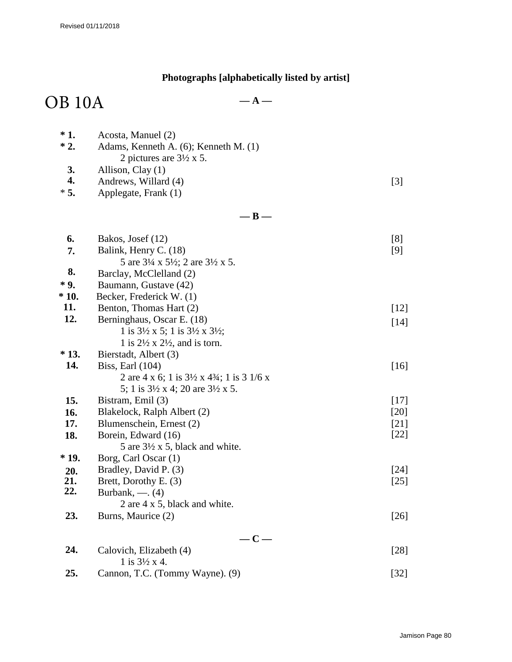### **Photographs [alphabetically listed by artist]**

# OB 10A

**— A —** 

| $*1.$  | Acosta, Manuel (2)                                                         |        |
|--------|----------------------------------------------------------------------------|--------|
| $*2.$  | Adams, Kenneth A. (6); Kenneth M. (1)                                      |        |
|        | 2 pictures are $3\frac{1}{2} \times 5$ .                                   |        |
| 3.     | Allison, Clay (1)                                                          |        |
| 4.     | Andrews, Willard (4)                                                       | $[3]$  |
| $*5.$  | Applegate, Frank (1)                                                       |        |
|        | - B —                                                                      |        |
| 6.     | Bakos, Josef (12)                                                          | [8]    |
| 7.     | Balink, Henry C. (18)                                                      | [9]    |
|        | 5 are $3\frac{1}{4} \times 5\frac{1}{2}$ ; 2 are $3\frac{1}{2} \times 5$ . |        |
| 8.     | Barclay, McClelland (2)                                                    |        |
| * 9.   | Baumann, Gustave (42)                                                      |        |
| $*10.$ | Becker, Frederick W. (1)                                                   |        |
| 11.    | Benton, Thomas Hart (2)                                                    | $[12]$ |
| 12.    | Berninghaus, Oscar E. (18)                                                 | $[14]$ |
|        | 1 is $3\frac{1}{2} \times 5$ ; 1 is $3\frac{1}{2} \times 3\frac{1}{2}$ ;   |        |
|        | 1 is $2\frac{1}{2} \times 2\frac{1}{2}$ , and is torn.                     |        |
| $*13.$ | Bierstadt, Albert (3)                                                      |        |
| 14.    | Biss, Earl $(104)$                                                         | $[16]$ |
|        | 2 are 4 x 6; 1 is $3\frac{1}{2}$ x $4\frac{3}{4}$ ; 1 is 3 1/6 x           |        |
|        | 5; 1 is $3\frac{1}{2}x$ 4; 20 are $3\frac{1}{2}x$ 5.                       |        |
| 15.    | Bistram, Emil (3)                                                          | $[17]$ |
| 16.    | Blakelock, Ralph Albert (2)                                                | $[20]$ |
| 17.    | Blumenschein, Ernest (2)                                                   | $[21]$ |
| 18.    | Borein, Edward (16)                                                        | $[22]$ |
|        | 5 are $3\frac{1}{2}$ x 5, black and white.                                 |        |
| $*19.$ | Borg, Carl Oscar (1)                                                       |        |
| 20.    | Bradley, David P. (3)                                                      | $[24]$ |
| 21.    | Brett, Dorothy E. (3)                                                      | $[25]$ |
| 22.    | Burbank, $\leftarrow$ . (4)                                                |        |
|        | 2 are 4 x 5, black and white.                                              |        |
| 23.    | Burns, Maurice (2)                                                         | $[26]$ |
|        | $-c-$                                                                      |        |
| 24.    | Calovich, Elizabeth (4)                                                    | $[28]$ |
|        | 1 is $3\frac{1}{2}$ x 4.                                                   |        |
| 25.    | Cannon, T.C. (Tommy Wayne). (9)                                            | $[32]$ |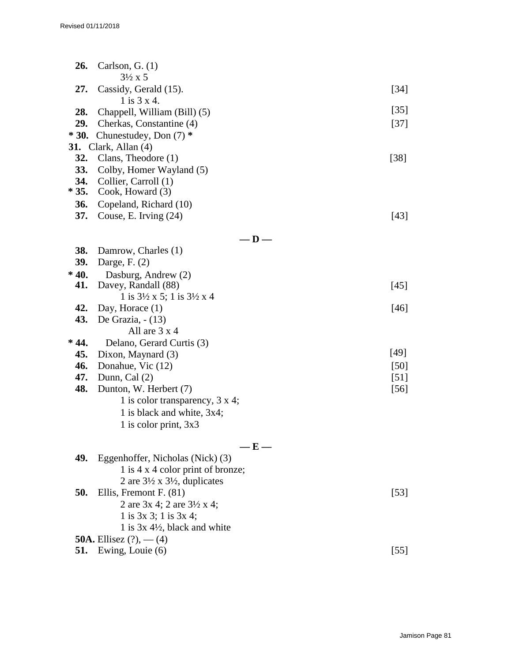| 26.        | Carlson, G. $(1)$                                     |        |
|------------|-------------------------------------------------------|--------|
| 27.        | $3\frac{1}{2} \times 5$                               |        |
|            | Cassidy, Gerald (15).<br>$1$ is $3 \times 4$ .        | $[34]$ |
| 28.        | Chappell, William (Bill) (5)                          | $[35]$ |
| 29.        | Cherkas, Constantine (4)                              | $[37]$ |
| $*30.$     | Chunestudey, Don $(7)$ *                              |        |
|            | <b>31.</b> Clark, Allan (4)                           |        |
| 32.        | Clans, Theodore (1)                                   | $[38]$ |
| 33.        | Colby, Homer Wayland (5)                              |        |
| 34.        | Collier, Carroll (1)                                  |        |
| $*35.$     | Cook, Howard (3)                                      |        |
| <b>36.</b> | Copeland, Richard (10)                                |        |
| 37.        | Couse, E. Irving (24)                                 | $[43]$ |
|            | $-$ D $-$                                             |        |
| 38.        | Damrow, Charles (1)                                   |        |
| 39.        | Darge, $F. (2)$                                       |        |
| $*40.$     | Dasburg, Andrew (2)                                   |        |
| 41.        | Davey, Randall (88)                                   | $[45]$ |
|            | 1 is $3\frac{1}{2}x$ 5; 1 is $3\frac{1}{2}x$ 4        |        |
| 42.        | Day, Horace $(1)$                                     | $[46]$ |
| 43.        | De Grazia, $- (13)$                                   |        |
|            | All are $3 \times 4$                                  |        |
| $* 44.$    | Delano, Gerard Curtis (3)                             |        |
| 45.        | Dixon, Maynard (3)                                    | $[49]$ |
| 46.        | Donahue, Vic (12)                                     | $[50]$ |
| 47.        | Dunn, Cal $(2)$                                       | $[51]$ |
| 48.        | Dunton, W. Herbert (7)                                | $[56]$ |
|            | 1 is color transparency, $3 \times 4$ ;               |        |
|            | 1 is black and white, 3x4;                            |        |
|            | 1 is color print, $3x3$                               |        |
|            | $-$ E $-$                                             |        |
| 49.        | Eggenhoffer, Nicholas (Nick) (3)                      |        |
|            | 1 is 4 x 4 color print of bronze;                     |        |
|            | 2 are $3\frac{1}{2} \times 3\frac{1}{2}$ , duplicates |        |
| 50.        | Ellis, Fremont F. (81)                                | $[53]$ |
|            | 2 are $3x$ 4; 2 are $3\frac{1}{2}x$ 4;                |        |
|            | 1 is 3x 3; 1 is 3x 4;                                 |        |
|            | 1 is $3x \frac{4}{2}$ , black and white               |        |
|            | <b>50A.</b> Ellisez $(?)$ , — (4)                     |        |
| 51.        | Ewing, Louie (6)                                      | $[55]$ |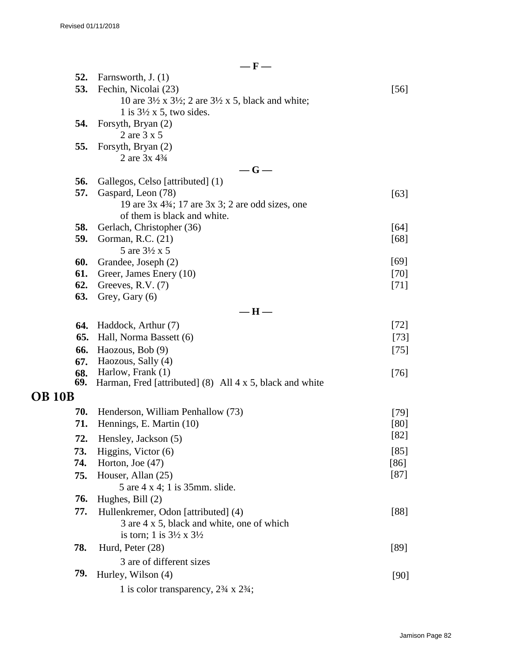|               | $-$ F $-$                                                                                    |        |
|---------------|----------------------------------------------------------------------------------------------|--------|
| 52.           | Farnsworth, J. (1)                                                                           |        |
| 53.           | Fechin, Nicolai (23)                                                                         | $[56]$ |
|               | 10 are $3\frac{1}{2} \times 3\frac{1}{2}$ ; 2 are $3\frac{1}{2} \times 5$ , black and white; |        |
|               | 1 is $3\frac{1}{2}$ x 5, two sides.                                                          |        |
| 54.           | Forsyth, Bryan (2)                                                                           |        |
|               | $2$ are $3 \times 5$                                                                         |        |
| 55.           | Forsyth, Bryan (2)                                                                           |        |
|               | 2 are $3x 4\frac{3}{4}$                                                                      |        |
|               | $-$ G $-$                                                                                    |        |
| 56.           | Gallegos, Celso [attributed] (1)                                                             |        |
| 57.           | Gaspard, Leon (78)                                                                           | $[63]$ |
|               | 19 are 3x 4 <sup>3</sup> / <sub>4</sub> ; 17 are 3x 3; 2 are odd sizes, one                  |        |
|               | of them is black and white.                                                                  |        |
| 58.           | Gerlach, Christopher (36)                                                                    | $[64]$ |
| 59.           | Gorman, R.C. (21)                                                                            | [68]   |
|               | 5 are $3\frac{1}{2}$ x 5                                                                     |        |
| 60.           | Grandee, Joseph (2)                                                                          | [69]   |
| 61.           | Greer, James Enery (10)                                                                      | $[70]$ |
| 62.           | Greeves, R.V. $(7)$                                                                          | $[71]$ |
| 63.           | Grey, Gary (6)                                                                               |        |
|               | $-$ H $-$                                                                                    |        |
| 64.           | Haddock, Arthur (7)                                                                          | $[72]$ |
| 65.           | Hall, Norma Bassett (6)                                                                      | $[73]$ |
| 66.           | Haozous, Bob (9)                                                                             | $[75]$ |
| 67.           | Haozous, Sally (4)                                                                           |        |
| 68.           | Harlow, Frank (1)                                                                            | $[76]$ |
| 69.           | Harman, Fred [attributed] $(8)$ All 4 x 5, black and white                                   |        |
| <b>OB 10B</b> |                                                                                              |        |
| 70.           | Henderson, William Penhallow (73)                                                            | $[79]$ |
| 71.           | Hennings, E. Martin (10)                                                                     | [80]   |
|               |                                                                                              | [82]   |
| 72.           | Hensley, Jackson (5)                                                                         |        |
| 73.           | Higgins, Victor (6)                                                                          | $[85]$ |
| 74.           | Horton, Joe (47)                                                                             | [86]   |
| 75.           | Houser, Allan (25)                                                                           | $[87]$ |
|               | 5 are 4 x 4; 1 is 35mm. slide.                                                               |        |
| 76.           | Hughes, Bill $(2)$                                                                           |        |
| 77.           | Hullenkremer, Odon [attributed] (4)                                                          | [88]   |
|               | 3 are 4 x 5, black and white, one of which                                                   |        |
|               | is torn; 1 is $3\frac{1}{2} \times 3\frac{1}{2}$                                             |        |
| 78.           | Hurd, Peter (28)                                                                             | [89]   |
|               | 3 are of different sizes                                                                     |        |
| 79.           | Hurley, Wilson (4)                                                                           | [90]   |
|               | 1 is color transparency, $2\frac{3}{4} \times 2\frac{3}{4}$ ;                                |        |
|               |                                                                                              |        |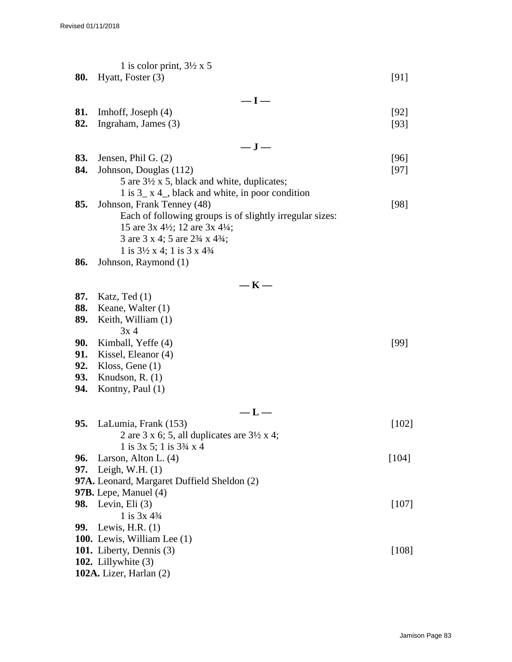|     | 1 is color print, $3\frac{1}{2} \times 5$                |         |
|-----|----------------------------------------------------------|---------|
| 80. | Hyatt, Foster (3)                                        | [91]    |
|     |                                                          |         |
|     | $-I-$                                                    |         |
| 81. | Imhoff, Joseph $(4)$                                     | $[92]$  |
| 82. | Ingraham, James (3)                                      | $[93]$  |
|     |                                                          |         |
|     | $-\mathbf{J}-$                                           |         |
| 83. | Jensen, Phil G. (2)                                      | $[96]$  |
| 84. | Johnson, Douglas (112)                                   | $[97]$  |
|     | 5 are $3\frac{1}{2}x$ 5, black and white, duplicates;    |         |
|     | 1 is $3_x + 4_y$ , black and white, in poor condition    |         |
| 85. | Johnson, Frank Tenney (48)                               | $[98]$  |
|     | Each of following groups is of slightly irregular sizes: |         |
|     | 15 are $3x\frac{4}{2}$ ; 12 are $3x\frac{4}{4}$ ;        |         |
|     | 3 are 3 x 4; 5 are 23/4 x 43/4;                          |         |
|     | 1 is $3\frac{1}{2}$ x 4; 1 is 3 x 4 $\frac{3}{4}$        |         |
| 86. | Johnson, Raymond (1)                                     |         |
|     |                                                          |         |
| 87. | $-$ K $-$<br>Katz, Ted $(1)$                             |         |
| 88. | Keane, Walter (1)                                        |         |
| 89. | Keith, William (1)                                       |         |
|     | 3x <sub>4</sub>                                          |         |
| 90. | Kimball, Yeffe (4)                                       | $[99]$  |
| 91. | Kissel, Eleanor (4)                                      |         |
| 92. | Kloss, Gene $(1)$                                        |         |
| 93. | Knudson, $R. (1)$                                        |         |
| 94. | Kontny, Paul (1)                                         |         |
|     |                                                          |         |
|     | $-{\rm L}-$                                              |         |
| 95. | LaLumia, Frank (153)                                     | $[102]$ |
|     | 2 are 3 x 6; 5, all duplicates are $3\frac{1}{2}$ x 4;   |         |
|     | 1 is $3x 5$ ; 1 is $3\frac{3}{4}x 4$                     |         |
| 96. | Larson, Alton L. (4)                                     | $[104]$ |
| 97. | Leigh, W.H. $(1)$                                        |         |
|     | 97A. Leonard, Margaret Duffield Sheldon (2)              |         |
|     | $97B$ . Lepe, Manuel $(4)$                               |         |
|     | <b>98.</b> Levin, Eli (3)                                | $[107]$ |
|     | 1 is $3x\frac{43}{4}$                                    |         |
| 99. | Lewis, H.R. $(1)$                                        |         |
|     | 100. Lewis, William Lee (1)                              |         |
|     | 101. Liberty, Dennis (3)                                 | $[108]$ |
|     | 102. Lillywhite $(3)$                                    |         |
|     | 102A. Lizer, Harlan (2)                                  |         |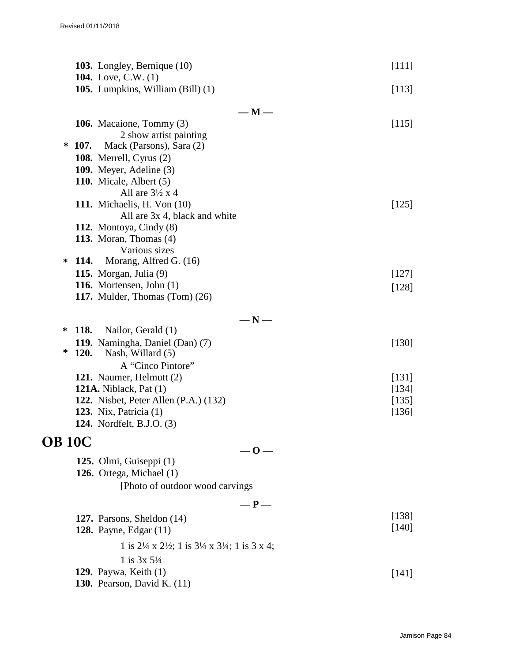|               |             | 103. Longley, Bernique (10)                                                                     | [111]   |
|---------------|-------------|-------------------------------------------------------------------------------------------------|---------|
|               |             | 104. Love, C.W. (1)                                                                             |         |
|               |             | 105. Lumpkins, William (Bill) (1)                                                               | [113]   |
|               |             |                                                                                                 |         |
|               |             | $-$ M $-$                                                                                       |         |
|               |             | <b>106.</b> Macaione, Tommy (3)                                                                 | [115]   |
|               |             | 2 show artist painting                                                                          |         |
| ∗             | <b>107.</b> | Mack (Parsons), Sara (2)                                                                        |         |
|               |             | 108. Merrell, Cyrus $(2)$                                                                       |         |
|               |             | 109. Meyer, Adeline (3)                                                                         |         |
|               |             | 110. Micale, Albert $(5)$                                                                       |         |
|               |             | All are $3\frac{1}{2}x$ 4                                                                       |         |
|               |             | <b>111.</b> Michaelis, H. Von (10)                                                              | $[125]$ |
|               |             | All are 3x 4, black and white                                                                   |         |
|               |             | 112. Montoya, Cindy (8)                                                                         |         |
|               |             | 113. Moran, Thomas $(4)$                                                                        |         |
| ∗             | 114.        | Various sizes                                                                                   |         |
|               |             | Morang, Alfred G. (16)                                                                          |         |
|               |             | 115. Morgan, Julia $(9)$                                                                        | $[127]$ |
|               |             | 116. Mortensen, John $(1)$                                                                      | $[128]$ |
|               |             | 117. Mulder, Thomas (Tom) (26)                                                                  |         |
|               |             | $-$ N $-$                                                                                       |         |
| ∗             | <b>118.</b> | Nailor, Gerald (1)                                                                              |         |
|               |             | 119. Namingha, Daniel (Dan) (7)                                                                 | [130]   |
| ∗             | <b>120.</b> | Nash, Willard (5)                                                                               |         |
|               |             | A "Cinco Pintore"                                                                               |         |
|               |             | 121. Naumer, Helmutt (2)                                                                        | $[131]$ |
|               |             | 121A. Niblack, Pat $(1)$                                                                        | [134]   |
|               |             | 122. Nisbet, Peter Allen (P.A.) (132)                                                           | [135]   |
|               |             | 123. Nix, Patricia $(1)$                                                                        | [136]   |
|               |             | <b>124.</b> Nordfelt, B.J.O. (3)                                                                |         |
|               |             |                                                                                                 |         |
| <b>OB 10C</b> |             | $-0-$                                                                                           |         |
|               |             | 125. Olmi, Guiseppi (1)                                                                         |         |
|               |             | 126. Ortega, Michael (1)                                                                        |         |
|               |             |                                                                                                 |         |
|               |             | [Photo of outdoor wood carvings                                                                 |         |
|               |             | $-$ P $-$                                                                                       |         |
|               |             | 127. Parsons, Sheldon (14)                                                                      | [138]   |
|               |             | <b>128.</b> Payne, Edgar (11)                                                                   | $[140]$ |
|               |             | 1 is $2\frac{1}{4} \times 2\frac{1}{2}$ ; 1 is $3\frac{1}{4} \times 3\frac{1}{4}$ ; 1 is 3 x 4; |         |
|               |             |                                                                                                 |         |
|               |             | 1 is $3x\frac{5}{4}$                                                                            |         |
|               |             | <b>129.</b> Paywa, Keith (1)                                                                    | $[141]$ |
|               |             | <b>130.</b> Pearson, David K. (11)                                                              |         |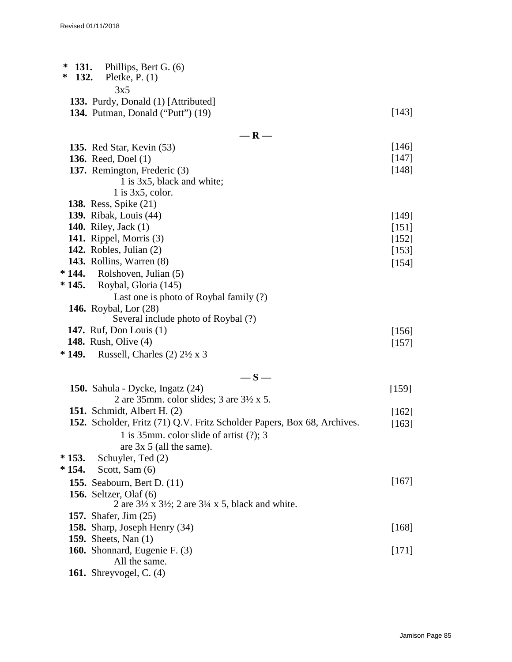| ∗<br>131.<br>*<br>132. | Phillips, Bert G. (6)<br>Pletke, $P(1)$                                                     |         |
|------------------------|---------------------------------------------------------------------------------------------|---------|
|                        | 3x5                                                                                         |         |
|                        | 133. Purdy, Donald (1) [Attributed]                                                         |         |
|                        | <b>134.</b> Putman, Donald ("Putt") (19)                                                    | $[143]$ |
|                        |                                                                                             |         |
|                        | $- R -$                                                                                     |         |
|                        | <b>135.</b> Red Star, Kevin (53)                                                            | [146]   |
|                        | <b>136.</b> Reed, Doel (1)                                                                  | [147]   |
|                        | 137. Remington, Frederic (3)                                                                | $[148]$ |
|                        | 1 is 3x5, black and white;                                                                  |         |
|                        | $1$ is $3x5$ , color.                                                                       |         |
|                        | <b>138.</b> Ress, Spike (21)                                                                |         |
|                        | 139. Ribak, Louis (44)                                                                      | $[149]$ |
|                        | <b>140.</b> Riley, Jack (1)                                                                 | $[151]$ |
|                        | 141. Rippel, Morris (3)                                                                     | $[152]$ |
|                        | 142. Robles, Julian (2)                                                                     | $[153]$ |
|                        | 143. Rollins, Warren (8)                                                                    | [154]   |
| $*144.$                | Rolshoven, Julian (5)                                                                       |         |
| $*145.$                | Roybal, Gloria (145)                                                                        |         |
|                        | Last one is photo of Roybal family (?)                                                      |         |
|                        | <b>146.</b> Roybal, Lor (28)                                                                |         |
|                        | Several include photo of Roybal (?)                                                         |         |
|                        | <b>147.</b> Ruf, Don Louis (1)                                                              | $[156]$ |
|                        | <b>148.</b> Rush, Olive (4)                                                                 | $[157]$ |
| $*149.$                | Russell, Charles $(2)$ 2½ x 3                                                               |         |
|                        |                                                                                             |         |
|                        | $-S-$                                                                                       |         |
|                        | 150. Sahula - Dycke, Ingatz (24)                                                            | $[159]$ |
|                        | 2 are 35mm. color slides; 3 are $3\frac{1}{2} \times 5$ .                                   |         |
|                        | 151. Schmidt, Albert H. (2)                                                                 | $[162]$ |
|                        | 152. Scholder, Fritz (71) Q.V. Fritz Scholder Papers, Box 68, Archives.                     | $[163]$ |
|                        | 1 is 35mm. color slide of artist $(?)$ ; 3                                                  |         |
|                        | are $3x 5$ (all the same).                                                                  |         |
| $*153.$                | Schuyler, Ted (2)                                                                           |         |
| $*154.$                | Scott, Sam (6)                                                                              |         |
|                        | <b>155.</b> Seabourn, Bert D. (11)                                                          | $[167]$ |
|                        | <b>156.</b> Seltzer, Olaf (6)                                                               |         |
|                        | 2 are $3\frac{1}{2} \times 3\frac{1}{2}$ ; 2 are $3\frac{1}{4} \times 5$ , black and white. |         |
|                        | <b>157.</b> Shafer, Jim (25)                                                                |         |
|                        | <b>158.</b> Sharp, Joseph Henry (34)                                                        | $[168]$ |
|                        | <b>159.</b> Sheets, Nan (1)                                                                 |         |
|                        | 160. Shonnard, Eugenie F. (3)                                                               | $[171]$ |
|                        | All the same.                                                                               |         |
|                        | <b>161.</b> Shreyvogel, C. (4)                                                              |         |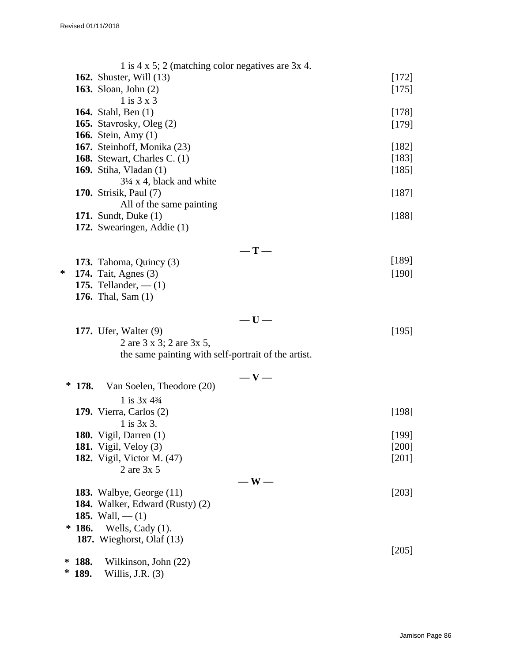|   |         | 1 is 4 x 5; 2 (matching color negatives are 3x 4.   |                |  |
|---|---------|-----------------------------------------------------|----------------|--|
|   |         | <b>162.</b> Shuster, Will (13)                      | [172]          |  |
|   |         | <b>163.</b> Sloan, John (2)                         | [175]          |  |
|   |         | $1$ is $3 \times 3$                                 |                |  |
|   |         | <b>164.</b> Stahl, Ben (1)                          | $[178]$        |  |
|   |         | 165. Stavrosky, Oleg $(2)$                          | $[179]$        |  |
|   |         | <b>166.</b> Stein, Amy (1)                          |                |  |
|   |         | 167. Steinhoff, Monika (23)                         | [182]          |  |
|   |         |                                                     |                |  |
|   |         | 168. Stewart, Charles C. (1)                        | $[183]$        |  |
|   |         | <b>169.</b> Stiha, Vladan (1)                       | [185]          |  |
|   |         | $3\frac{1}{4}$ x 4, black and white                 |                |  |
|   |         | <b>170.</b> Strisik, Paul (7)                       | $[187]$        |  |
|   |         | All of the same painting                            |                |  |
|   |         | <b>171.</b> Sundt, Duke (1)                         | [188]          |  |
|   |         | 172. Swearingen, Addie (1)                          |                |  |
|   |         |                                                     |                |  |
|   |         |                                                     | $-\mathbf{T}-$ |  |
|   |         | 173. Tahoma, Quincy $(3)$                           | $[189]$        |  |
| ∗ |         | <b>174.</b> Tait, Agnes (3)                         | $[190]$        |  |
|   |         | <b>175.</b> Tellander, $- (1)$                      |                |  |
|   |         | <b>176.</b> Thal, Sam (1)                           |                |  |
|   |         |                                                     |                |  |
|   |         |                                                     | $-\mathbf{U}$  |  |
|   |         |                                                     |                |  |
|   |         | <b>177.</b> Ufer, Walter (9)                        | [195]          |  |
|   |         | 2 are 3 x 3; 2 are 3x 5,                            |                |  |
|   |         | the same painting with self-portrait of the artist. |                |  |
|   |         |                                                     |                |  |
| * |         |                                                     | $-$ V $-$      |  |
|   | 178.    | Van Soelen, Theodore (20)                           |                |  |
|   |         | 1 is $3x 4\frac{3}{4}$                              |                |  |
|   |         | 179. Vierra, Carlos (2)                             | [198]          |  |
|   |         | $1$ is $3x$ 3.                                      |                |  |
|   |         | <b>180.</b> Vigil, Darren (1)                       | [199]          |  |
|   |         | <b>181.</b> Vigil, Veloy (3)                        | $[200]$        |  |
|   |         | <b>182.</b> Vigil, Victor M. (47)                   | $[201]$        |  |
|   |         | $2$ are $3x 5$                                      |                |  |
|   |         |                                                     | $-$ W $-$      |  |
|   |         |                                                     |                |  |
|   |         | 183. Walbye, George (11)                            | $[203]$        |  |
|   |         | 184. Walker, Edward (Rusty) (2)                     |                |  |
|   |         | 185. Wall, $-(1)$                                   |                |  |
|   | $*186.$ | Wells, Cady (1).                                    |                |  |
|   |         | 187. Wieghorst, Olaf (13)                           |                |  |
|   |         |                                                     | $[205]$        |  |
| * | 188.    | Wilkinson, John (22)                                |                |  |
|   |         |                                                     |                |  |

**\* 189.** Willis, J.R. (3)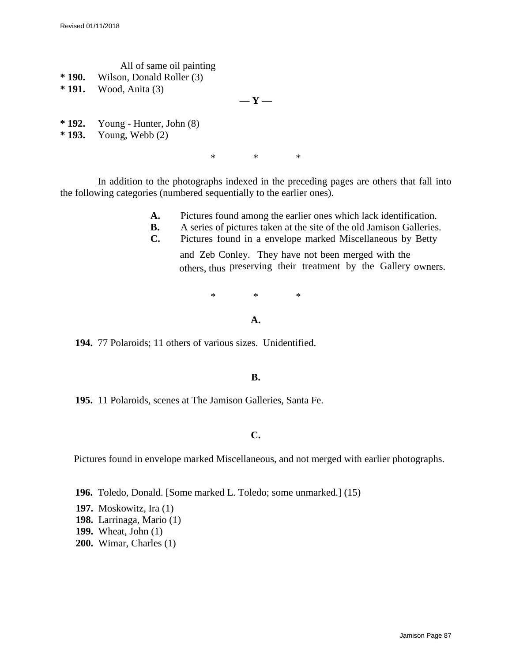- **\* 190.** Wilson, Donald Roller (3)
- **\* 191.** Wood, Anita (3)

 $-\mathbf{Y}$ —

- **\* 192.** Young Hunter, John (8)
- **\* 193.** Young, Webb (2)

\* \* \*

In addition to the photographs indexed in the preceding pages are others that fall into the following categories (numbered sequentially to the earlier ones).

- **A.** Pictures found among the earlier ones which lack identification.
- **B.** A series of pictures taken at the site of the old Jamison Galleries.
- **C.**  Pictures found in a envelope marked Miscellaneous by Betty

and Zeb Conley. They have not been merged with the others, thus preserving their treatment by the Gallery owners.

\* \* \*

**A.**

**194.** 77 Polaroids; 11 others of various sizes. Unidentified.

#### **B.**

**195.** 11 Polaroids, scenes at The Jamison Galleries, Santa Fe.

### **C.**

Pictures found in envelope marked Miscellaneous, and not merged with earlier photographs.

**196.** Toledo, Donald. [Some marked L. Toledo; some unmarked.] (15)

- **197.** Moskowitz, Ira (1)
- **198.** Larrinaga, Mario (1)
- **199.** Wheat, John (1)
- **200.** Wimar, Charles (1)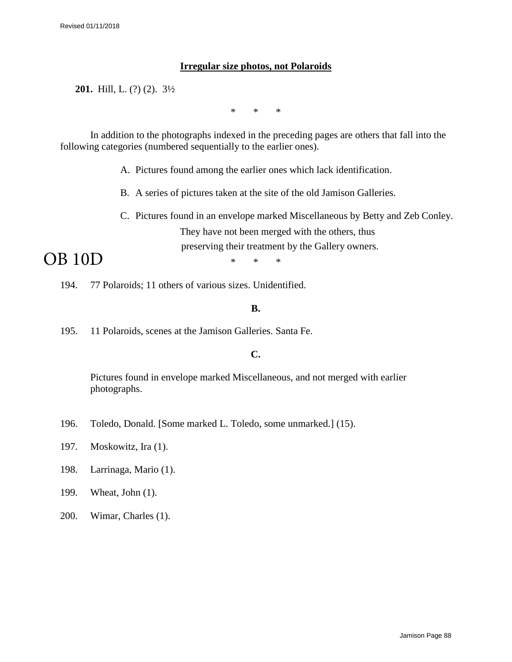### **Irregular size photos, not Polaroids**

**201.** Hill, L. (?) (2). 3½

\* \* \*

In addition to the photographs indexed in the preceding pages are others that fall into the following categories (numbered sequentially to the earlier ones).

- A. Pictures found among the earlier ones which lack identification.
- B. A series of pictures taken at the site of the old Jamison Galleries.
- C. Pictures found in an envelope marked Miscellaneous by Betty and Zeb Conley. They have not been merged with the others, thus preserving their treatment by the Gallery owners.

## OB 10D

- \* \* \*
- 194. 77 Polaroids; 11 others of various sizes. Unidentified.

### **B.**

195. 11 Polaroids, scenes at the Jamison Galleries. Santa Fe.

### **C.**

Pictures found in envelope marked Miscellaneous, and not merged with earlier photographs.

- 196. Toledo, Donald. [Some marked L. Toledo, some unmarked.] (15).
- 197. Moskowitz, Ira (1).
- 198. Larrinaga, Mario (1).
- 199. Wheat, John (1).
- 200. Wimar, Charles (1).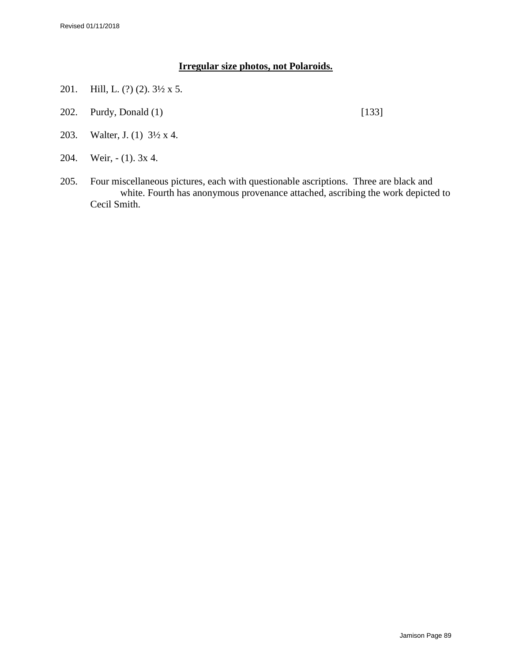### **Irregular size photos, not Polaroids.**

- 201. Hill, L. (?) (2). 3½ x 5.
- 202. Purdy, Donald (1) [133]

- 203. Walter, J. (1) 3½ x 4.
- 204. Weir, (1). 3x 4.
- 205. Four miscellaneous pictures, each with questionable ascriptions. Three are black and white. Fourth has anonymous provenance attached, ascribing the work depicted to Cecil Smith.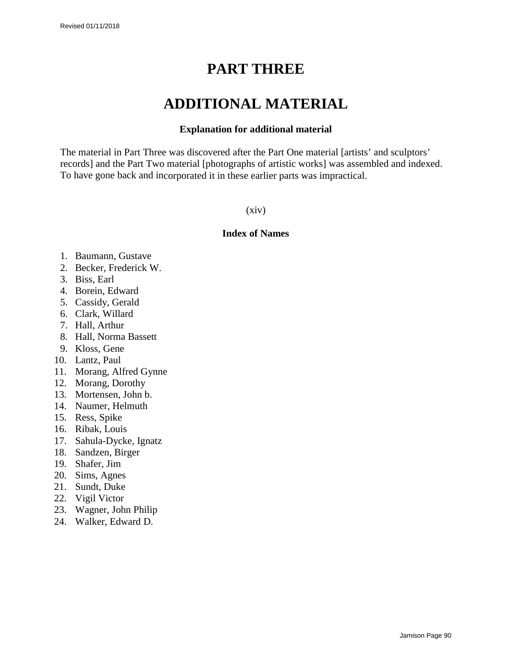## **PART THREE**

## **ADDITIONAL MATERIAL**

### **Explanation for additional material**

The material in Part Three was discovered after the Part One material [artists' and sculptors' records] and the Part Two material [photographs of artistic works] was assembled and indexed. To have gone back and incorporated it in these earlier parts was impractical.

(xiv)

### **Index of Names**

- 1. Baumann, Gustave
- 2. Becker, Frederick W.
- 3. Biss, Earl
- 4. Borein, Edward
- 5. Cassidy, Gerald
- 6. Clark, Willard
- 7. Hall, Arthur
- 8. Hall, Norma Bassett
- 9. Kloss, Gene
- 10. Lantz, Paul
- 11. Morang, Alfred Gynne
- 12. Morang, Dorothy
- 13. Mortensen, John b.
- 14. Naumer, Helmuth
- 15. Ress, Spike
- 16. Ribak, Louis
- 17. Sahula-Dycke, Ignatz
- 18. Sandzen, Birger
- 19. Shafer, Jim
- 20. Sims, Agnes
- 21. Sundt, Duke
- 22. Vigil Victor
- 23. Wagner, John Philip
- 24. Walker, Edward D.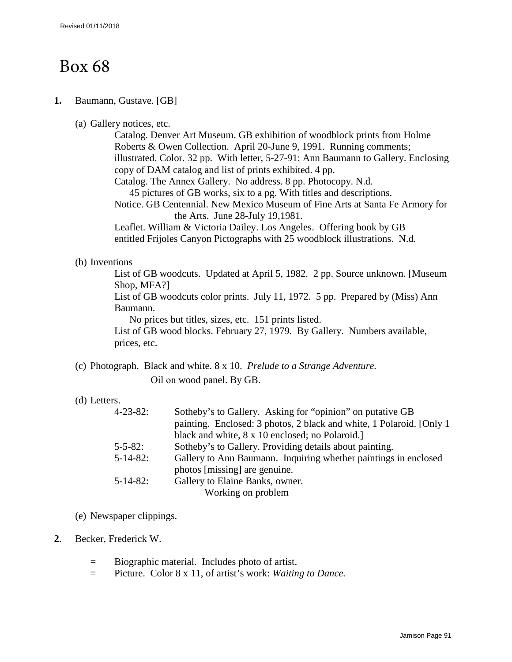# Box 68

### **1.** Baumann, Gustave. [GB]

(a) Gallery notices, etc.

Catalog. Denver Art Museum. GB exhibition of woodblock prints from Holme Roberts & Owen Collection. April 20-June 9, 1991. Running comments; illustrated. Color. 32 pp. With letter, 5-27-91: Ann Baumann to Gallery. Enclosing copy of DAM catalog and list of prints exhibited. 4 pp. Catalog. The Annex Gallery. No address. 8 pp. Photocopy. N.d. 45 pictures of GB works, six to a pg. With titles and descriptions. Notice. GB Centennial. New Mexico Museum of Fine Arts at Santa Fe Armory for the Arts. June 28-July 19,1981. Leaflet. William & Victoria Dailey. Los Angeles. Offering book by GB entitled Frijoles Canyon Pictographs with 25 woodblock illustrations. N.d.

### (b) Inventions

List of GB woodcuts. Updated at April 5, 1982. 2 pp. Source unknown. [Museum Shop, MFA?]

List of GB woodcuts color prints. July 11, 1972. 5 pp. Prepared by (Miss) Ann Baumann.

No prices but titles, sizes, etc. 151 prints listed.

List of GB wood blocks. February 27, 1979. By Gallery. Numbers available, prices, etc.

(c) Photograph. Black and white. 8 x 10. *Prelude to a Strange Adventure.* Oil on wood panel. By GB.

### (d) Letters.

| $4 - 23 - 82$ : | Sotheby's to Gallery. Asking for "opinion" on putative GB<br>painting. Enclosed: 3 photos, 2 black and white, 1 Polaroid. [Only 1]<br>black and white, 8 x 10 enclosed; no Polaroid. |
|-----------------|--------------------------------------------------------------------------------------------------------------------------------------------------------------------------------------|
| $5 - 5 - 82$ :  | Sotheby's to Gallery. Providing details about painting.                                                                                                                              |
| $5 - 14 - 82$ : | Gallery to Ann Baumann. Inquiring whether paintings in enclosed                                                                                                                      |
|                 | photos [missing] are genuine.                                                                                                                                                        |
| $5 - 14 - 82$ : | Gallery to Elaine Banks, owner.                                                                                                                                                      |
|                 | Working on problem                                                                                                                                                                   |

- (e) Newspaper clippings.
- **2**. Becker, Frederick W.
	- = Biographic material. Includes photo of artist.
	- = Picture. Color 8 x 11, of artist's work: *Waiting to Dance.*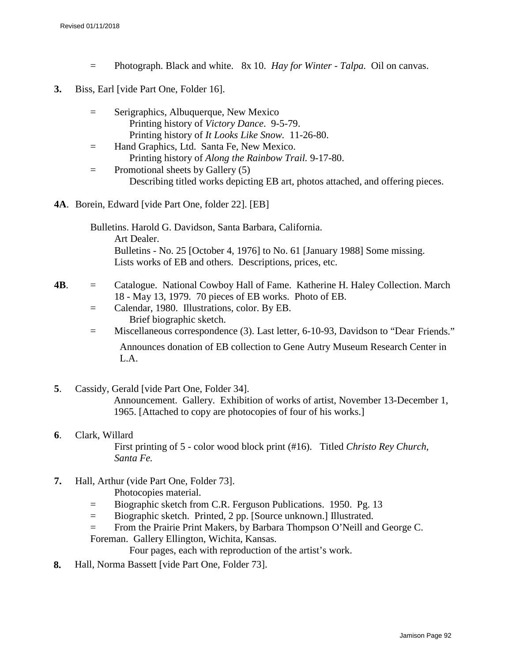- = Photograph. Black and white. 8x 10. *Hay for Winter Talpa.* Oil on canvas.
- **3.** Biss, Earl [vide Part One, Folder 16].
	- = Serigraphics, Albuquerque, New Mexico Printing history of *Victory Dance*. 9-5-79. Printing history of *It Looks Like Snow.* 11-26-80.
	- = Hand Graphics, Ltd. Santa Fe, New Mexico. Printing history of *Along the Rainbow Trail.* 9-17-80.
	- = Promotional sheets by Gallery (5) Describing titled works depicting EB art, photos attached, and offering pieces.
- **4A**. Borein, Edward [vide Part One, folder 22]. [EB]

Bulletins. Harold G. Davidson, Santa Barbara, California. Art Dealer. Bulletins - No. 25 [October 4, 1976] to No. 61 [January 1988] Some missing. Lists works of EB and others. Descriptions, prices, etc.

- **4B**. = Catalogue. National Cowboy Hall of Fame. Katherine H. Haley Collection. March 18 - May 13, 1979. 70 pieces of EB works. Photo of EB.
	- = Calendar, 1980. Illustrations, color. By EB. Brief biographic sketch.
	- = Miscellaneous correspondence (3). Last letter, 6-10-93, Davidson to "Dear Friends." Announces donation of EB collection to Gene Autry Museum Research Center in L.A.

**5**. Cassidy, Gerald [vide Part One, Folder 34].

Announcement. Gallery. Exhibition of works of artist, November 13-December 1, 1965. [Attached to copy are photocopies of four of his works.]

- **6**. Clark, Willard First printing of 5 - color wood block print (#16). Titled *Christo Rey Church, Santa Fe.*
- **7.** Hall, Arthur (vide Part One, Folder 73].

Photocopies material.

- = Biographic sketch from C.R. Ferguson Publications. 1950. Pg. 13
- = Biographic sketch. Printed, 2 pp. [Source unknown.] Illustrated.
- = From the Prairie Print Makers, by Barbara Thompson O'Neill and George C.

Foreman. Gallery Ellington, Wichita, Kansas.

Four pages, each with reproduction of the artist's work.

**8.** Hall, Norma Bassett [vide Part One, Folder 73].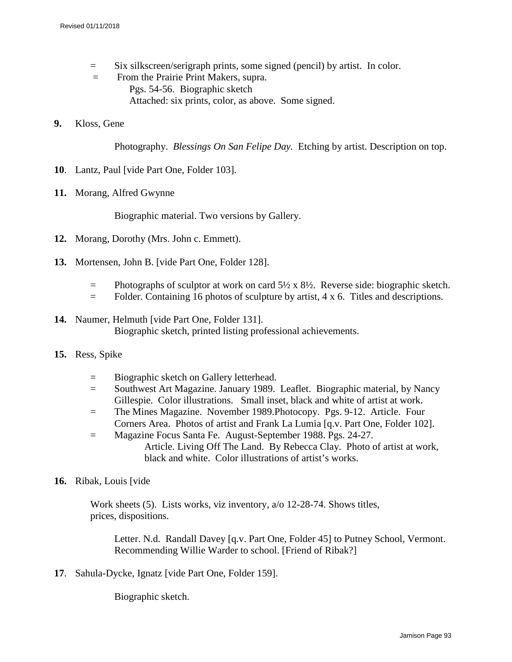- = Six silkscreen/serigraph prints, some signed (pencil) by artist. In color.
- = From the Prairie Print Makers, supra. Pgs. 54-56. Biographic sketch Attached: six prints, color, as above. Some signed.
- **9.** Kloss, Gene

Photography. *Blessings On San Felipe Day.* Etching by artist. Description on top.

- **10**. Lantz, Paul [vide Part One, Folder 103].
- **11.** Morang, Alfred Gwynne

Biographic material. Two versions by Gallery.

- **12.** Morang, Dorothy (Mrs. John c. Emmett).
- **13.** Mortensen, John B. [vide Part One, Folder 128].
	- = Photographs of sculptor at work on card 5½ x 8½. Reverse side: biographic sketch.
	- = Folder. Containing 16 photos of sculpture by artist, 4 x 6. Titles and descriptions.
- **14.** Naumer, Helmuth [vide Part One, Folder 131]. Biographic sketch, printed listing professional achievements.
- **15.** Ress, Spike
	- = Biographic sketch on Gallery letterhead.
	- = Southwest Art Magazine. January 1989. Leaflet. Biographic material, by Nancy Gillespie. Color illustrations. Small inset, black and white of artist at work.
	- = The Mines Magazine. November 1989.Photocopy. Pgs. 9-12. Article. Four Corners Area. Photos of artist and Frank La Lumia [q.v. Part One, Folder 102].
	- = Magazine Focus Santa Fe. August-September 1988. Pgs. 24-27. Article. Living Off The Land. By Rebecca Clay. Photo of artist at work, black and white. Color illustrations of artist's works.
- **16.** Ribak, Louis [vide

Work sheets (5). Lists works, viz inventory, a/o 12-28-74. Shows titles, prices, dispositions.

Letter. N.d. Randall Davey [q.v. Part One, Folder 45] to Putney School, Vermont. Recommending Willie Warder to school. [Friend of Ribak?]

**17**. Sahula-Dycke, Ignatz [vide Part One, Folder 159].

Biographic sketch.